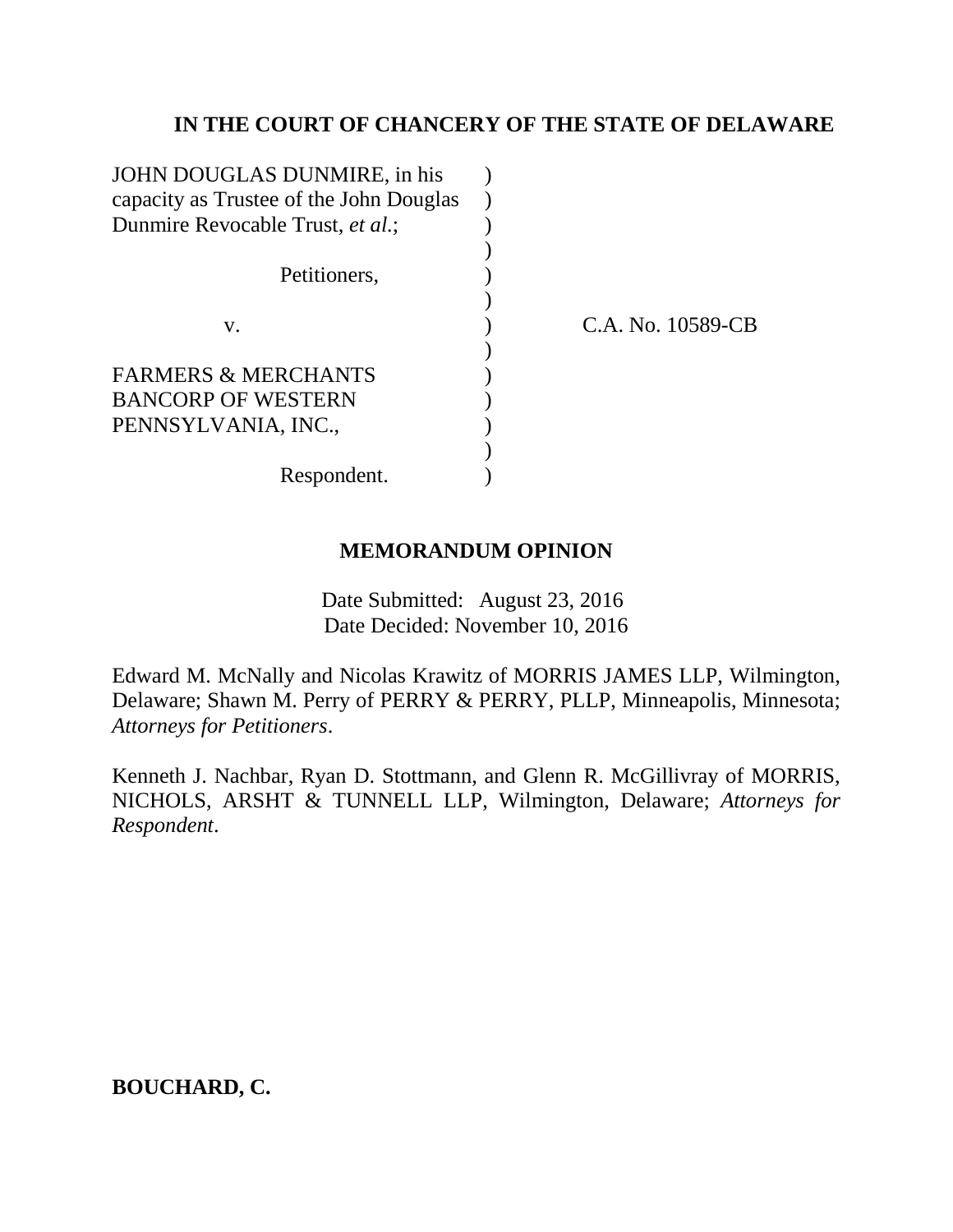# **IN THE COURT OF CHANCERY OF THE STATE OF DELAWARE**

| JOHN DOUGLAS DUNMIRE, in his            |  |
|-----------------------------------------|--|
| capacity as Trustee of the John Douglas |  |
| Dunmire Revocable Trust, et al.;        |  |
|                                         |  |
| Petitioners,                            |  |
|                                         |  |
| V.                                      |  |
|                                         |  |
| <b>FARMERS &amp; MERCHANTS</b>          |  |
| <b>BANCORP OF WESTERN</b>               |  |
| PENNSYLVANIA, INC.,                     |  |
|                                         |  |
| Respondent.                             |  |
|                                         |  |

C.A. No. 10589-CB

## **MEMORANDUM OPINION**

Date Submitted: August 23, 2016 Date Decided: November 10, 2016

Edward M. McNally and Nicolas Krawitz of MORRIS JAMES LLP, Wilmington, Delaware; Shawn M. Perry of PERRY & PERRY, PLLP, Minneapolis, Minnesota; *Attorneys for Petitioners*.

Kenneth J. Nachbar, Ryan D. Stottmann, and Glenn R. McGillivray of MORRIS, NICHOLS, ARSHT & TUNNELL LLP, Wilmington, Delaware; *Attorneys for Respondent*.

**BOUCHARD, C.**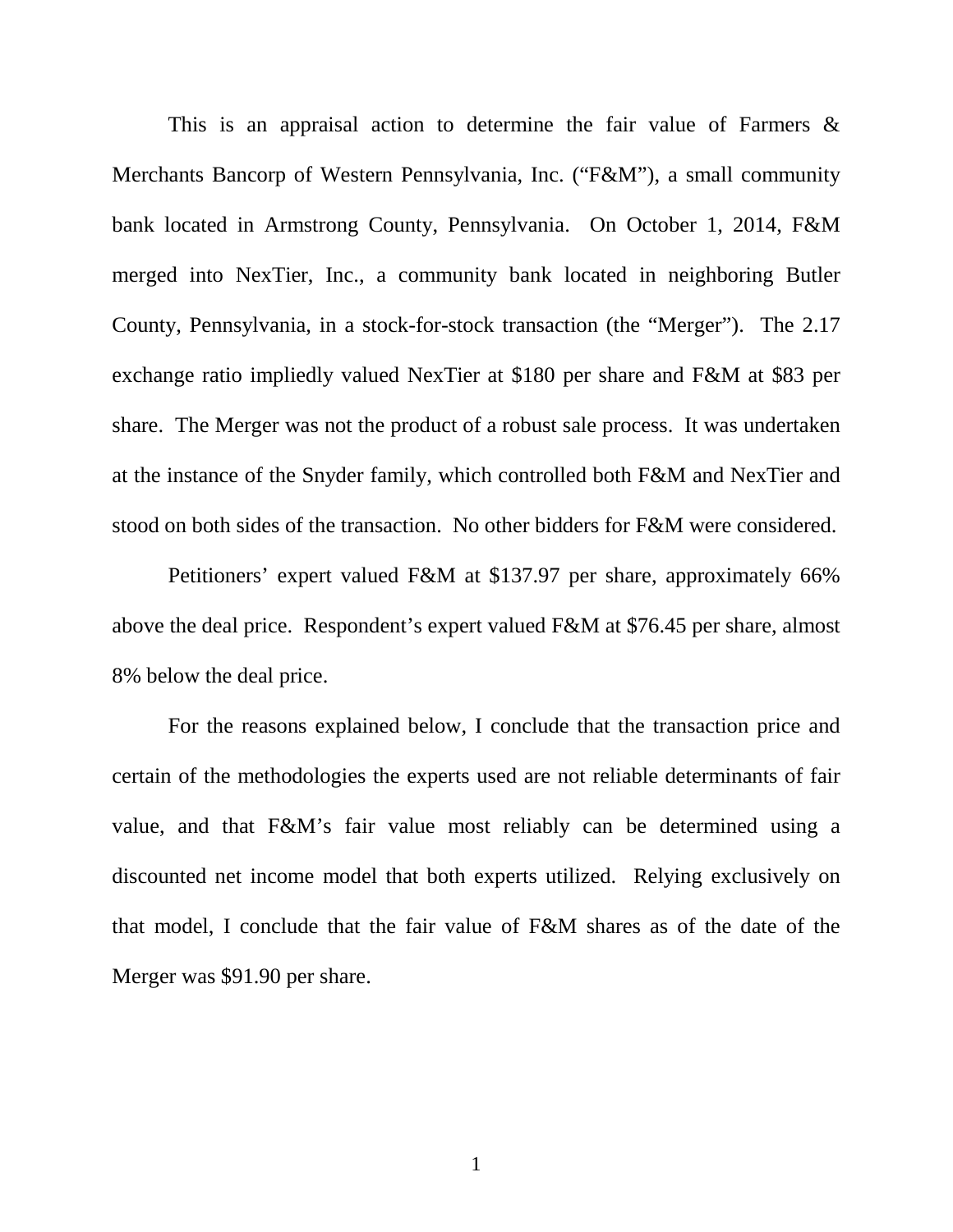This is an appraisal action to determine the fair value of Farmers & Merchants Bancorp of Western Pennsylvania, Inc. ("F&M"), a small community bank located in Armstrong County, Pennsylvania. On October 1, 2014, F&M merged into NexTier, Inc., a community bank located in neighboring Butler County, Pennsylvania, in a stock-for-stock transaction (the "Merger"). The 2.17 exchange ratio impliedly valued NexTier at \$180 per share and F&M at \$83 per share. The Merger was not the product of a robust sale process. It was undertaken at the instance of the Snyder family, which controlled both F&M and NexTier and stood on both sides of the transaction. No other bidders for F&M were considered.

Petitioners' expert valued F&M at \$137.97 per share, approximately 66% above the deal price. Respondent's expert valued F&M at \$76.45 per share, almost 8% below the deal price.

For the reasons explained below, I conclude that the transaction price and certain of the methodologies the experts used are not reliable determinants of fair value, and that F&M's fair value most reliably can be determined using a discounted net income model that both experts utilized. Relying exclusively on that model, I conclude that the fair value of F&M shares as of the date of the Merger was \$91.90 per share.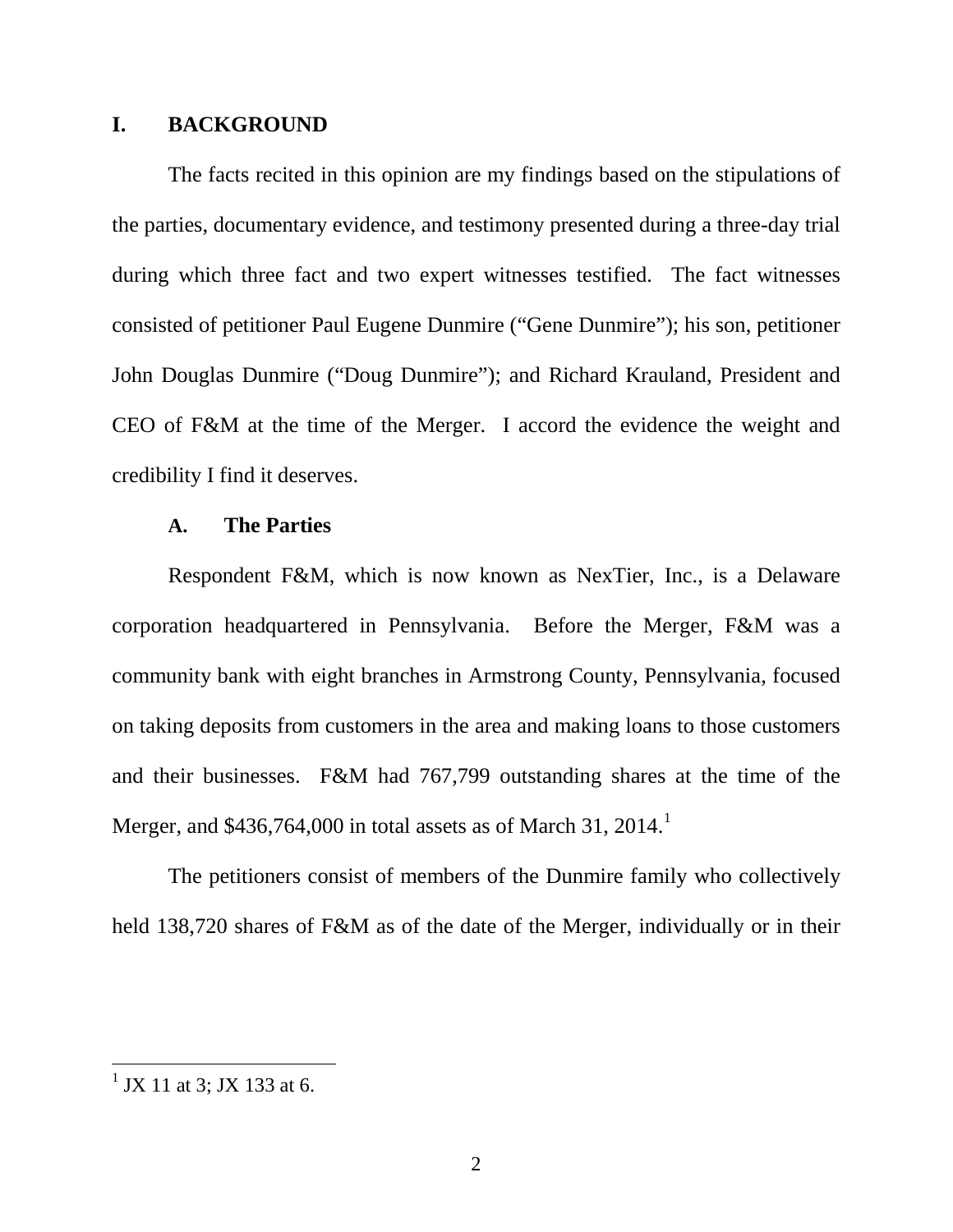### **I. BACKGROUND**

The facts recited in this opinion are my findings based on the stipulations of the parties, documentary evidence, and testimony presented during a three-day trial during which three fact and two expert witnesses testified. The fact witnesses consisted of petitioner Paul Eugene Dunmire ("Gene Dunmire"); his son, petitioner John Douglas Dunmire ("Doug Dunmire"); and Richard Krauland, President and CEO of F&M at the time of the Merger. I accord the evidence the weight and credibility I find it deserves.

### **A. The Parties**

Respondent F&M, which is now known as NexTier, Inc., is a Delaware corporation headquartered in Pennsylvania. Before the Merger, F&M was a community bank with eight branches in Armstrong County, Pennsylvania, focused on taking deposits from customers in the area and making loans to those customers and their businesses. F&M had 767,799 outstanding shares at the time of the Merger, and \$436,764,000 in total assets as of March 3[1](#page-2-0), 2014.<sup>1</sup>

The petitioners consist of members of the Dunmire family who collectively held 138,720 shares of F&M as of the date of the Merger, individually or in their

<span id="page-2-0"></span> $1$  JX 11 at 3; JX 133 at 6.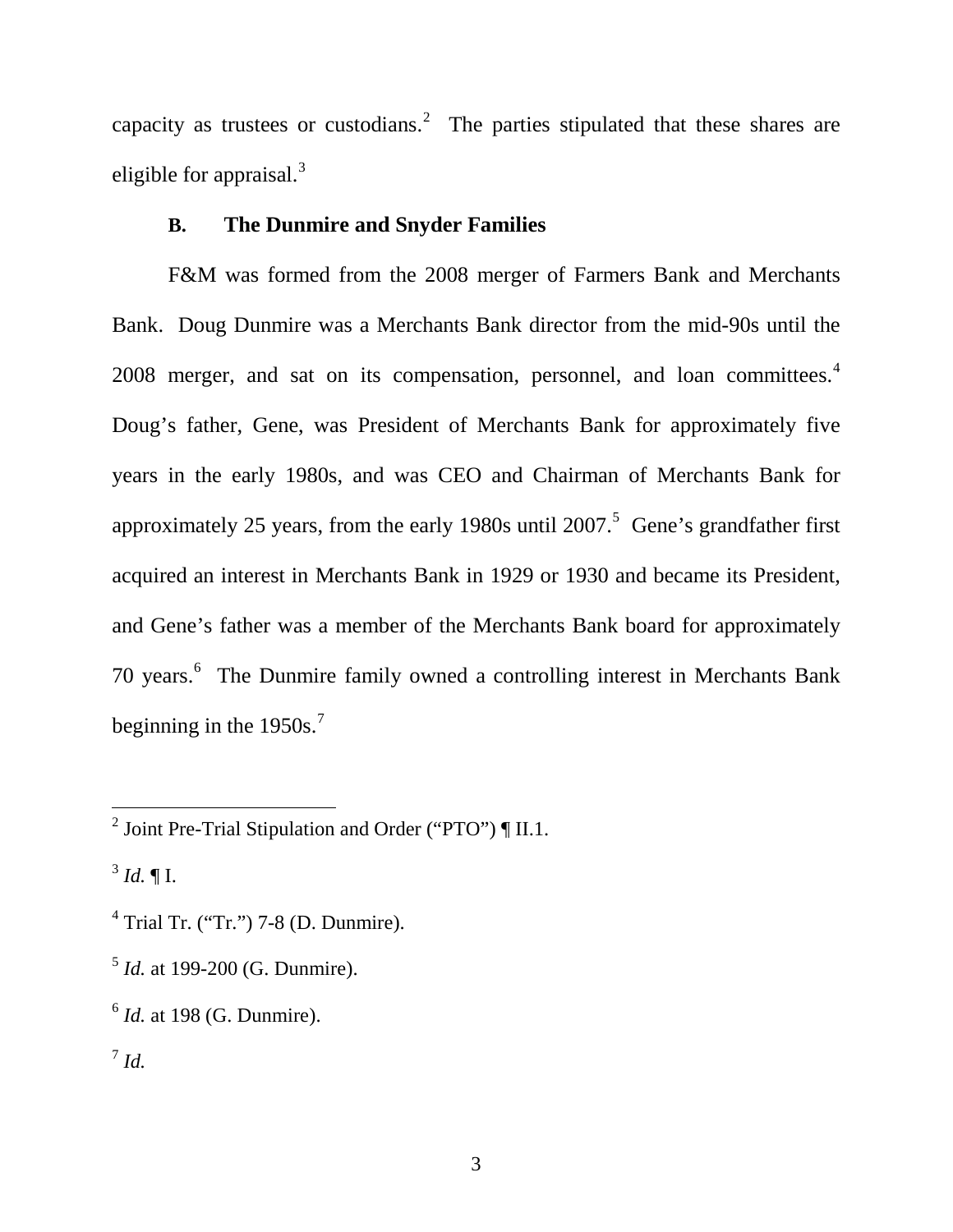capacity as trustees or custodians.<sup>[2](#page-3-0)</sup> The parties stipulated that these shares are eligible for appraisal.<sup>[3](#page-3-1)</sup>

# **B. The Dunmire and Snyder Families**

F&M was formed from the 2008 merger of Farmers Bank and Merchants Bank. Doug Dunmire was a Merchants Bank director from the mid-90s until the 2008 merger, and sat on its compensation, personnel, and loan committees.<sup>[4](#page-3-2)</sup> Doug's father, Gene, was President of Merchants Bank for approximately five years in the early 1980s, and was CEO and Chairman of Merchants Bank for approximately 2[5](#page-3-3) years, from the early 1980s until  $2007$ .<sup>5</sup> Gene's grandfather first acquired an interest in Merchants Bank in 1929 or 1930 and became its President, and Gene's father was a member of the Merchants Bank board for approximately 70 years.<sup>[6](#page-3-4)</sup> The Dunmire family owned a controlling interest in Merchants Bank beginning in the  $1950s$ .<sup>[7](#page-3-5)</sup>

<span id="page-3-1"></span> $^{3}$  *Id.* ¶ I.

- <span id="page-3-2"></span> $<sup>4</sup>$  Trial Tr. ("Tr.") 7-8 (D. Dunmire).</sup>
- <span id="page-3-3"></span><sup>5</sup> *Id.* at 199-200 (G. Dunmire).

<span id="page-3-0"></span><sup>&</sup>lt;sup>2</sup> Joint Pre-Trial Stipulation and Order ("PTO")  $\P$  II.1.

<span id="page-3-4"></span><sup>6</sup> *Id.* at 198 (G. Dunmire).

<span id="page-3-5"></span> $^7$  *Id.*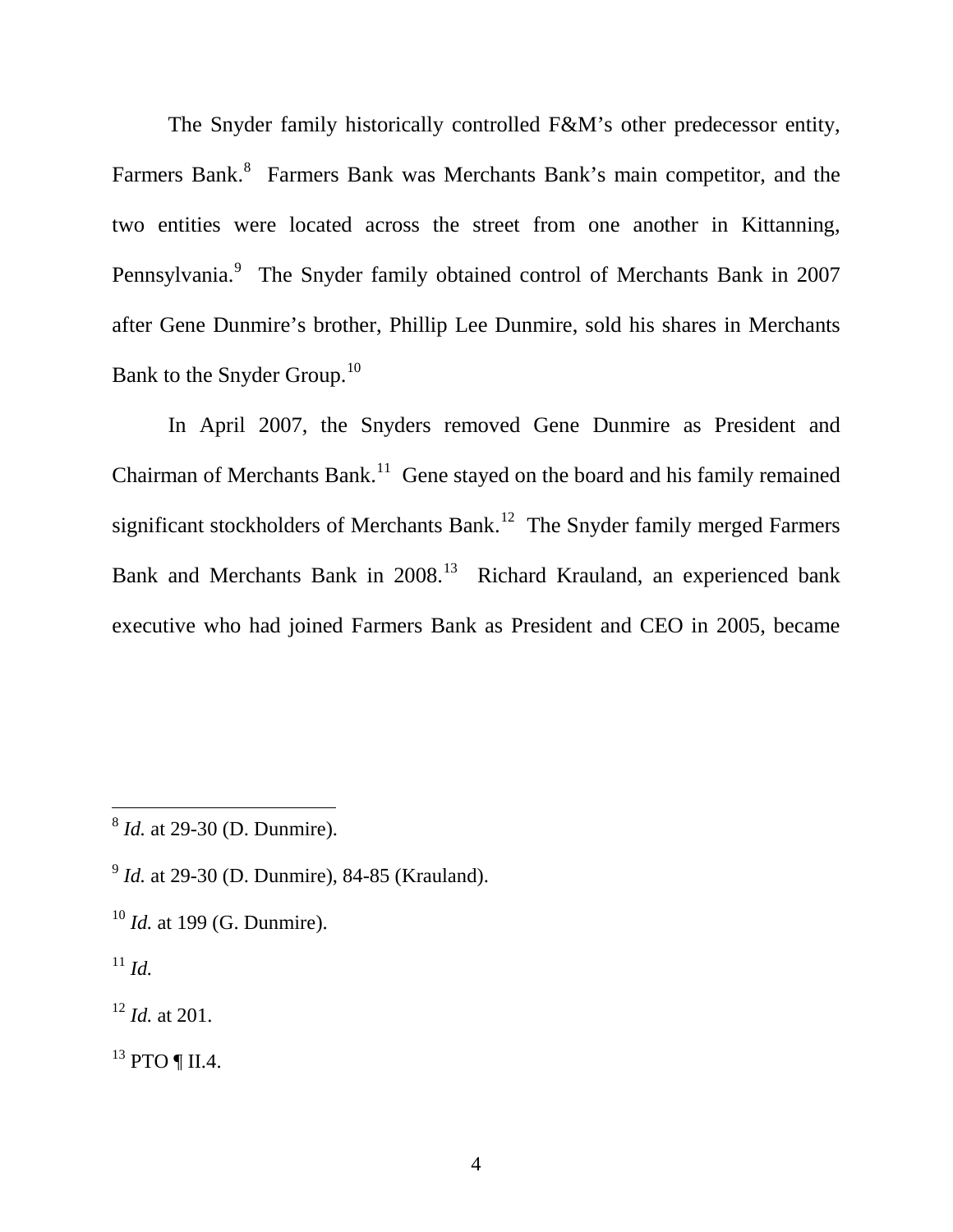The Snyder family historically controlled F&M's other predecessor entity, Farmers Bank.<sup>[8](#page-4-0)</sup> Farmers Bank was Merchants Bank's main competitor, and the two entities were located across the street from one another in Kittanning, Pennsylvania.<sup>[9](#page-4-1)</sup> The Snyder family obtained control of Merchants Bank in 2007 after Gene Dunmire's brother, Phillip Lee Dunmire, sold his shares in Merchants Bank to the Snyder Group.<sup>[10](#page-4-2)</sup>

In April 2007, the Snyders removed Gene Dunmire as President and Chairman of Merchants Bank.<sup>[11](#page-4-3)</sup> Gene stayed on the board and his family remained significant stockholders of Merchants Bank.<sup>12</sup> The Snyder family merged Farmers Bank and Merchants Bank in 2008.<sup>[13](#page-4-5)</sup> Richard Krauland, an experienced bank executive who had joined Farmers Bank as President and CEO in 2005, became

<span id="page-4-3"></span> $^{11}$  *Id.* 

 $\overline{a}$ 

<span id="page-4-4"></span><sup>12</sup> *Id.* at 201.

<span id="page-4-5"></span> $^{13}$  PTO ¶ II.4.

<span id="page-4-0"></span><sup>8</sup> *Id.* at 29-30 (D. Dunmire).

<span id="page-4-1"></span><sup>9</sup> *Id.* at 29-30 (D. Dunmire), 84-85 (Krauland).

<span id="page-4-2"></span><sup>10</sup> *Id.* at 199 (G. Dunmire).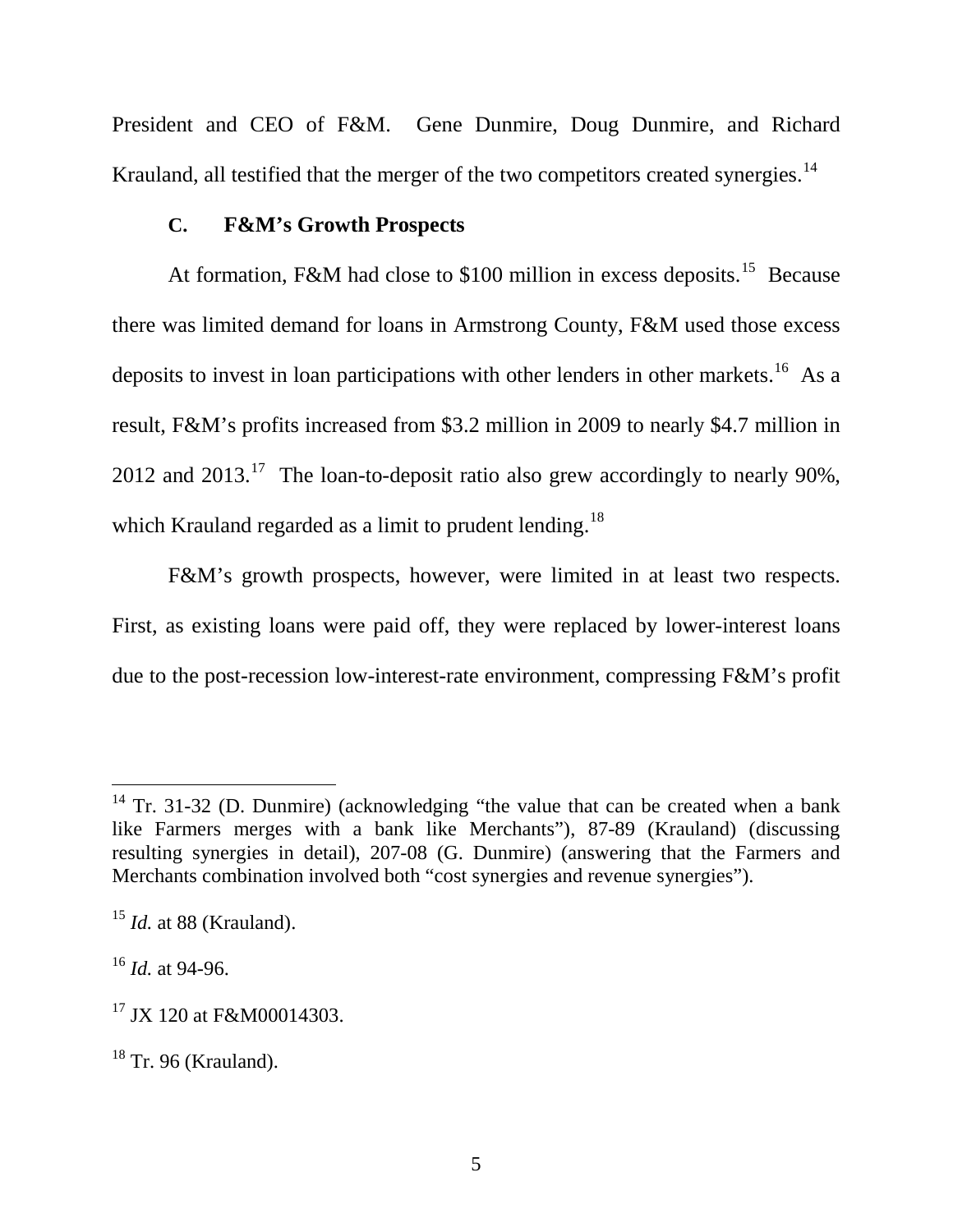President and CEO of F&M. Gene Dunmire, Doug Dunmire, and Richard Krauland, all testified that the merger of the two competitors created synergies.<sup>[14](#page-5-0)</sup>

### **C. F&M's Growth Prospects**

At formation, F&M had close to \$100 million in excess deposits.<sup>15</sup> Because there was limited demand for loans in Armstrong County, F&M used those excess deposits to invest in loan participations with other lenders in other markets.<sup>16</sup> As a result, F&M's profits increased from \$3.2 million in 2009 to nearly \$4.7 million in 2012 and  $2013$ .<sup>17</sup> The loan-to-deposit ratio also grew accordingly to nearly 90%, which Krauland regarded as a limit to prudent lending.<sup>[18](#page-5-4)</sup>

F&M's growth prospects, however, were limited in at least two respects. First, as existing loans were paid off, they were replaced by lower-interest loans due to the post-recession low-interest-rate environment, compressing F&M's profit

<span id="page-5-0"></span> $14$  Tr. 31-32 (D. Dunmire) (acknowledging "the value that can be created when a bank like Farmers merges with a bank like Merchants"), 87-89 (Krauland) (discussing resulting synergies in detail), 207-08 (G. Dunmire) (answering that the Farmers and Merchants combination involved both "cost synergies and revenue synergies").

<span id="page-5-1"></span><sup>15</sup> *Id.* at 88 (Krauland).

<span id="page-5-2"></span><sup>16</sup> *Id.* at 94-96.

<span id="page-5-3"></span><sup>&</sup>lt;sup>17</sup> JX 120 at F&M00014303.

<span id="page-5-4"></span> $18$  Tr. 96 (Krauland).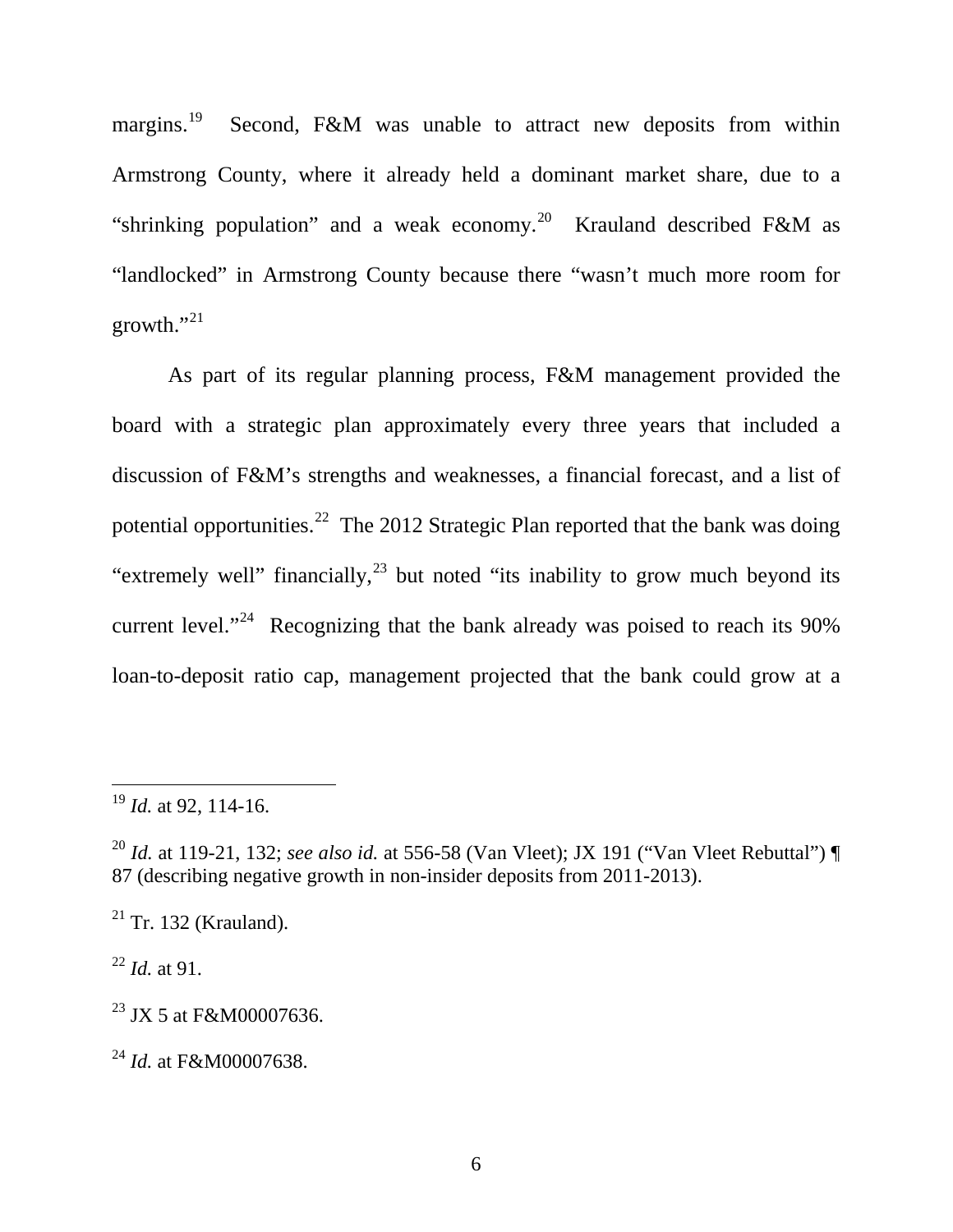margins.<sup>[19](#page-6-0)</sup> Second, F&M was unable to attract new deposits from within Armstrong County, where it already held a dominant market share, due to a "shrinking population" and a weak economy.<sup>20</sup> Krauland described F&M as "landlocked" in Armstrong County because there "wasn't much more room for growth." $^{21}$  $^{21}$  $^{21}$ 

As part of its regular planning process, F&M management provided the board with a strategic plan approximately every three years that included a discussion of F&M's strengths and weaknesses, a financial forecast, and a list of potential opportunities.<sup>22</sup> The 2012 Strategic Plan reported that the bank was doing "extremely well" financially, $^{23}$  $^{23}$  $^{23}$  but noted "its inability to grow much beyond its current level."<sup>[24](#page-6-5)</sup> Recognizing that the bank already was poised to reach its  $90\%$ loan-to-deposit ratio cap, management projected that the bank could grow at a

<span id="page-6-2"></span> $21$  Tr. 132 (Krauland).

<span id="page-6-3"></span><sup>22</sup> *Id.* at 91.

<span id="page-6-0"></span><sup>19</sup> *Id.* at 92, 114-16.

<span id="page-6-1"></span><sup>20</sup> *Id.* at 119-21, 132; *see also id.* at 556-58 (Van Vleet); JX 191 ("Van Vleet Rebuttal") ¶ 87 (describing negative growth in non-insider deposits from 2011-2013).

<span id="page-6-4"></span><sup>&</sup>lt;sup>23</sup> JX 5 at F&M00007636.

<span id="page-6-5"></span><sup>24</sup> *Id.* at F&M00007638.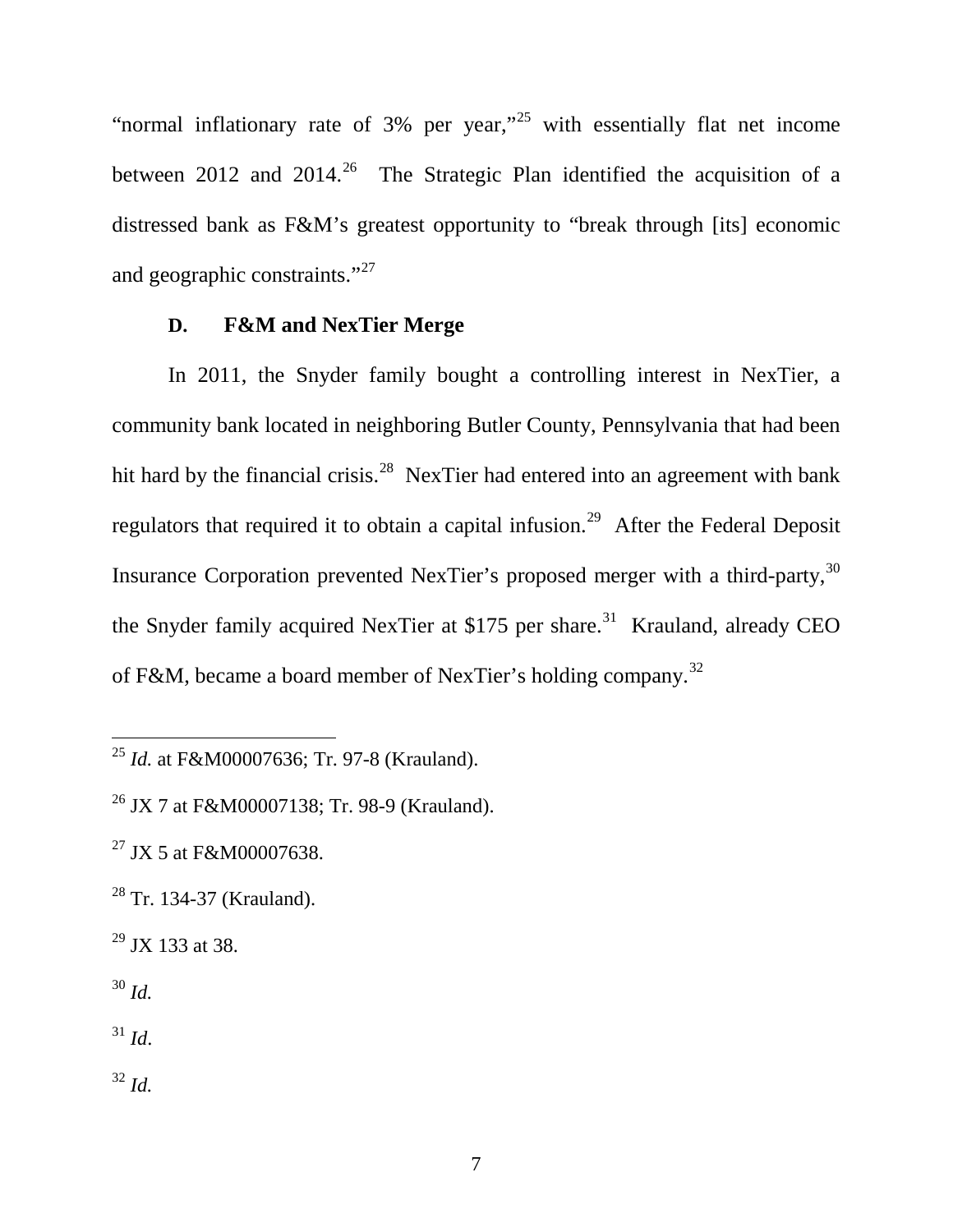"normal inflationary rate of  $3\%$  per year,"<sup>[25](#page-7-0)</sup> with essentially flat net income between 2012 and 2014.<sup>[26](#page-7-1)</sup> The Strategic Plan identified the acquisition of a distressed bank as F&M's greatest opportunity to "break through [its] economic and geographic constraints."<sup>[27](#page-7-2)</sup>

### **D. F&M and NexTier Merge**

In 2011, the Snyder family bought a controlling interest in NexTier, a community bank located in neighboring Butler County, Pennsylvania that had been hit hard by the financial crisis.<sup>[28](#page-7-3)</sup> NexTier had entered into an agreement with bank regulators that required it to obtain a capital infusion.<sup>[29](#page-7-4)</sup> After the Federal Deposit Insurance Corporation prevented NexTier's proposed merger with a third-party,<sup>[30](#page-7-5)</sup> the Snyder family acquired NexTier at \$175 per share.<sup>[31](#page-7-6)</sup> Krauland, already CEO of F&M, became a board member of NexTier's holding company.[32](#page-7-7)

<span id="page-7-5"></span> $30$  *Id.* 

<span id="page-7-0"></span><sup>25</sup> *Id.* at F&M00007636; Tr. 97-8 (Krauland).

<span id="page-7-1"></span><sup>26</sup> JX 7 at F&M00007138; Tr. 98-9 (Krauland).

<span id="page-7-2"></span><sup>27</sup> JX 5 at F&M00007638.

<span id="page-7-3"></span> $28$  Tr. 134-37 (Krauland).

<span id="page-7-4"></span> $29$  JX 133 at 38.

<span id="page-7-6"></span> $31$  *Id.* 

<span id="page-7-7"></span> $32$  *Id.*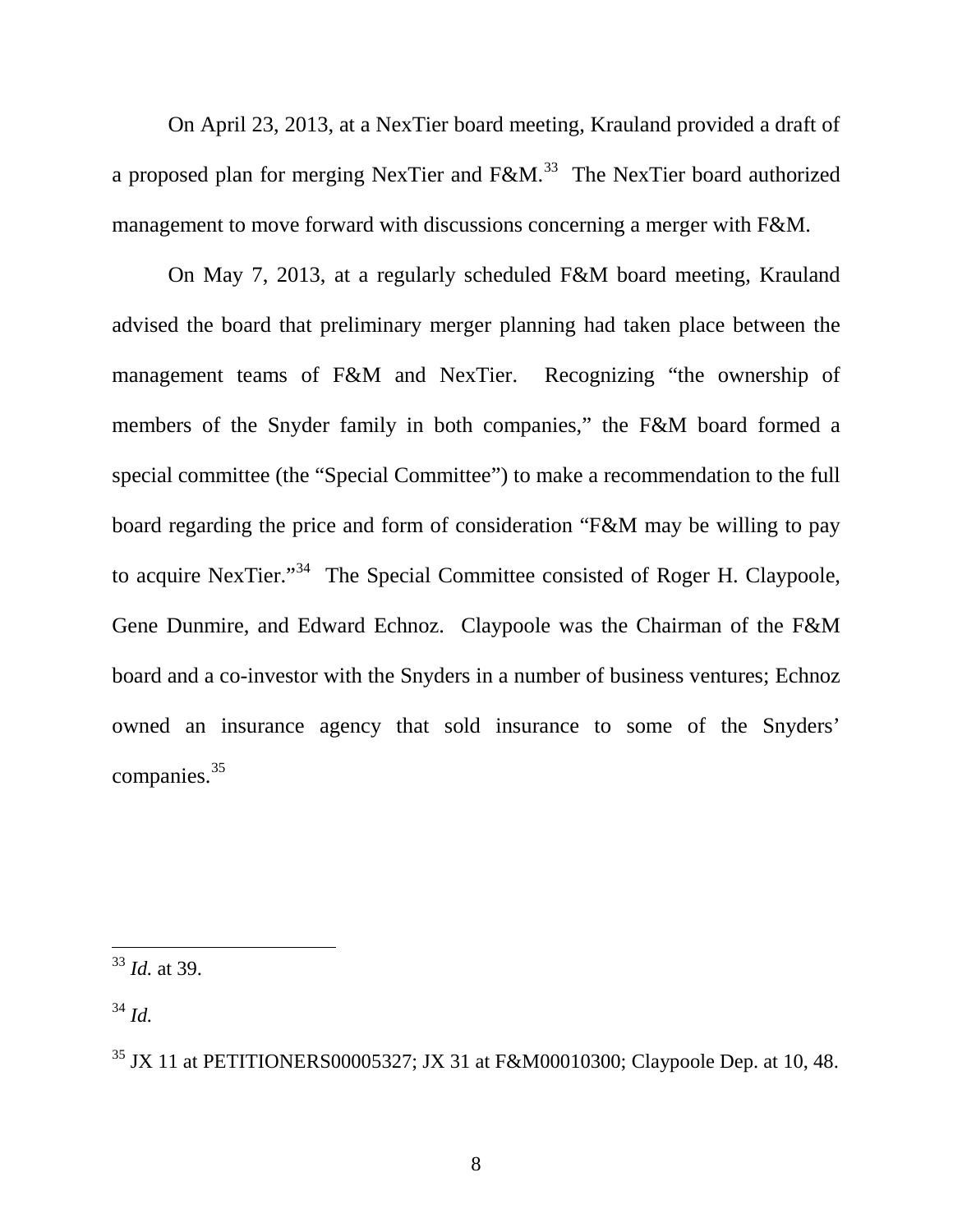On April 23, 2013, at a NexTier board meeting, Krauland provided a draft of a proposed plan for merging NexTier and  $F\&M$ <sup>33</sup>. The NexTier board authorized management to move forward with discussions concerning a merger with F&M.

On May 7, 2013, at a regularly scheduled F&M board meeting, Krauland advised the board that preliminary merger planning had taken place between the management teams of F&M and NexTier. Recognizing "the ownership of members of the Snyder family in both companies," the F&M board formed a special committee (the "Special Committee") to make a recommendation to the full board regarding the price and form of consideration "F&M may be willing to pay to acquire NexTier."[34](#page-8-1) The Special Committee consisted of Roger H. Claypoole, Gene Dunmire, and Edward Echnoz. Claypoole was the Chairman of the F&M board and a co-investor with the Snyders in a number of business ventures; Echnoz owned an insurance agency that sold insurance to some of the Snyders' companies.<sup>[35](#page-8-2)</sup>

<span id="page-8-0"></span><sup>33</sup> *Id.* at 39.

<span id="page-8-1"></span> $34$  *Id.* 

 $\overline{a}$ 

<span id="page-8-2"></span><sup>35</sup> JX 11 at PETITIONERS00005327; JX 31 at F&M00010300; Claypoole Dep. at 10, 48.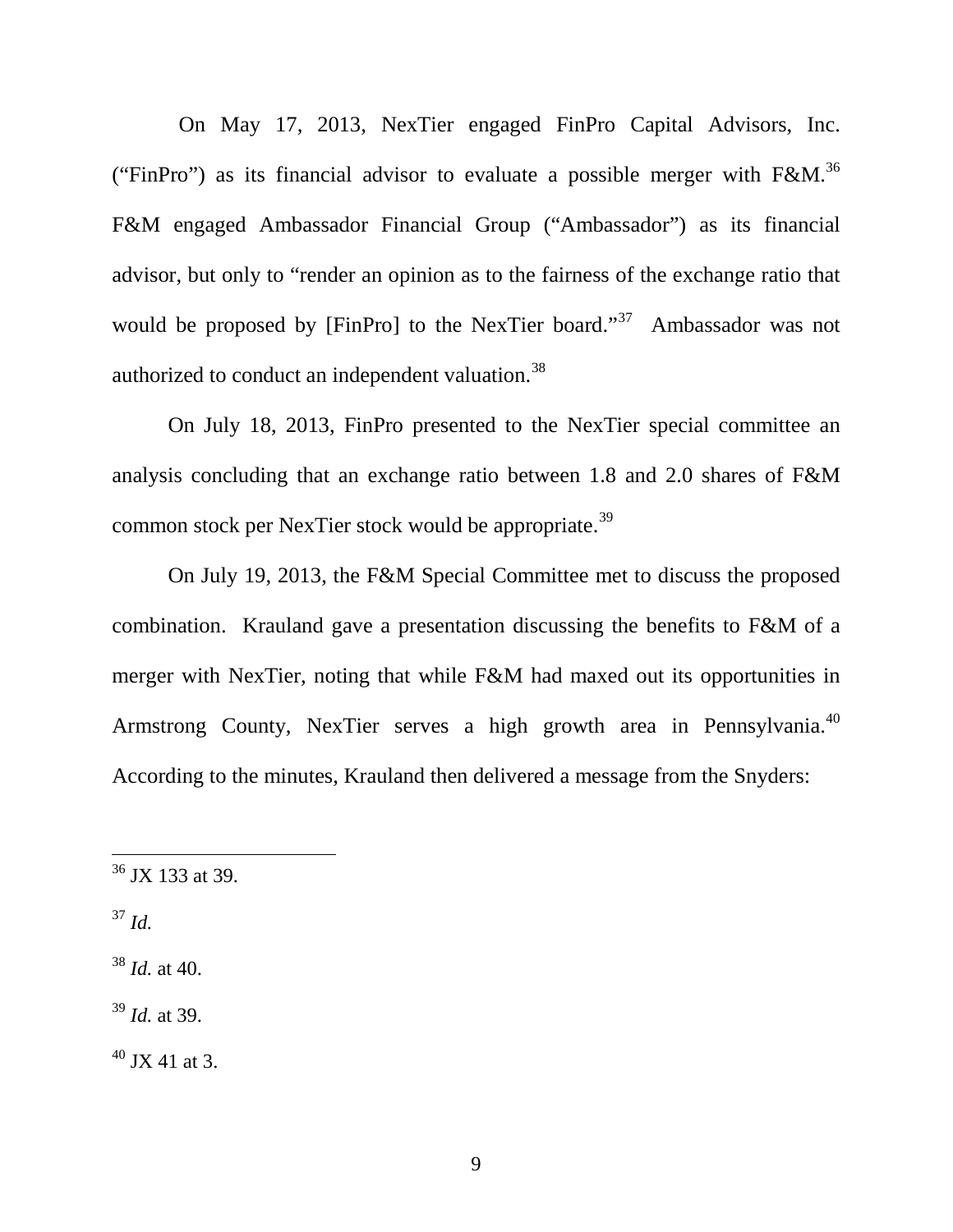On May 17, 2013, NexTier engaged FinPro Capital Advisors, Inc. ("FinPro") as its financial advisor to evaluate a possible merger with F&M.<sup>[36](#page-9-0)</sup> F&M engaged Ambassador Financial Group ("Ambassador") as its financial advisor, but only to "render an opinion as to the fairness of the exchange ratio that would be proposed by [FinPro] to the NexTier board."<sup>37</sup> Ambassador was not authorized to conduct an independent valuation.<sup>38</sup>

On July 18, 2013, FinPro presented to the NexTier special committee an analysis concluding that an exchange ratio between 1.8 and 2.0 shares of F&M common stock per NexTier stock would be appropriate.<sup>[39](#page-9-3)</sup>

On July 19, 2013, the F&M Special Committee met to discuss the proposed combination. Krauland gave a presentation discussing the benefits to F&M of a merger with NexTier, noting that while F&M had maxed out its opportunities in Armstrong County, NexTier serves a high growth area in Pennsylvania.<sup>[40](#page-9-4)</sup> According to the minutes, Krauland then delivered a message from the Snyders:

<span id="page-9-1"></span> $37$  *Id.* 

 $\overline{a}$ 

<span id="page-9-2"></span><sup>38</sup> *Id.* at 40.

<span id="page-9-3"></span><sup>39</sup> *Id.* at 39.

<span id="page-9-4"></span> $40$  JX 41 at 3.

<span id="page-9-0"></span> $36$  JX 133 at 39.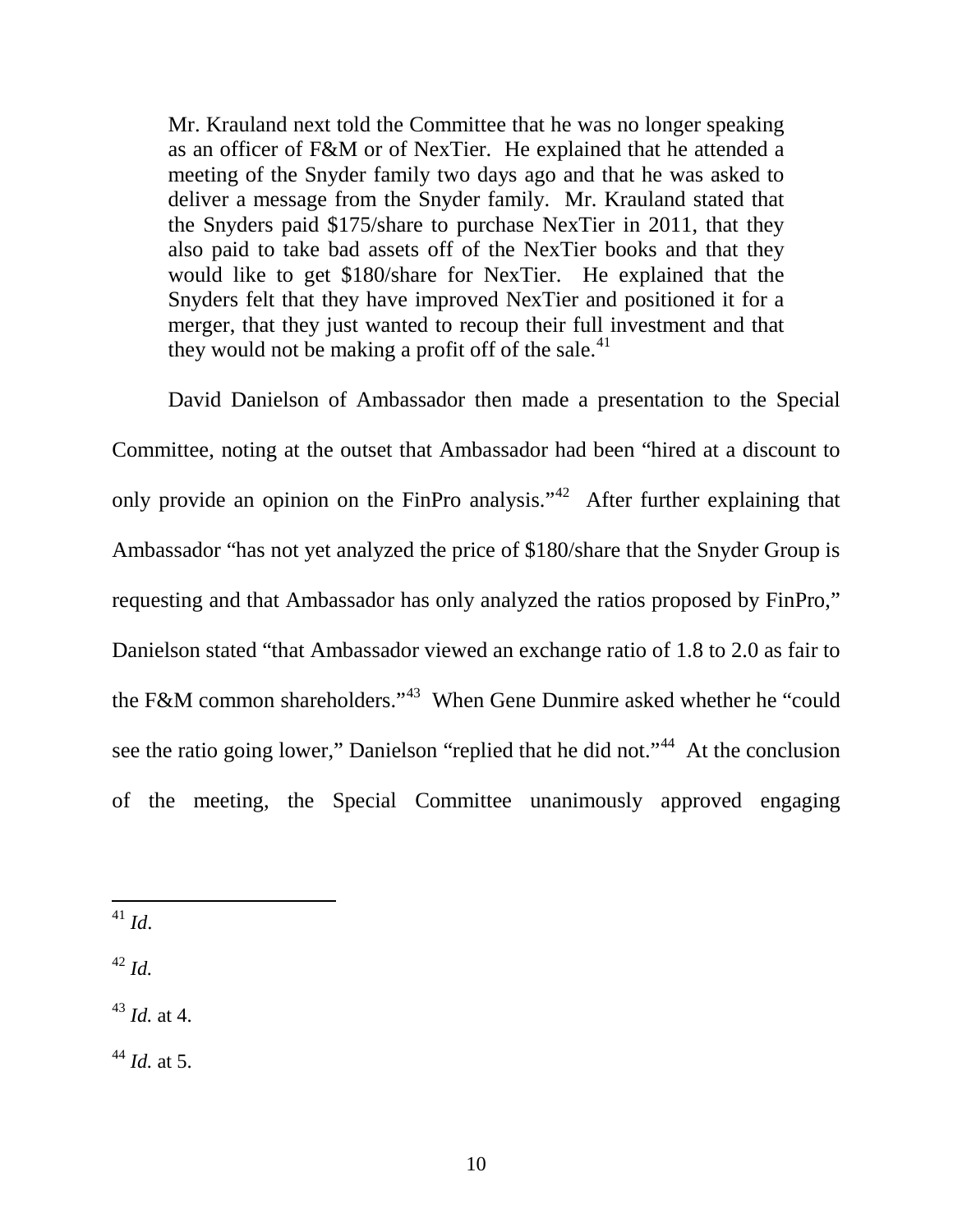Mr. Krauland next told the Committee that he was no longer speaking as an officer of F&M or of NexTier. He explained that he attended a meeting of the Snyder family two days ago and that he was asked to deliver a message from the Snyder family. Mr. Krauland stated that the Snyders paid \$175/share to purchase NexTier in 2011, that they also paid to take bad assets off of the NexTier books and that they would like to get \$180/share for NexTier. He explained that the Snyders felt that they have improved NexTier and positioned it for a merger, that they just wanted to recoup their full investment and that they would not be making a profit off of the sale. $41$ 

David Danielson of Ambassador then made a presentation to the Special Committee, noting at the outset that Ambassador had been "hired at a discount to only provide an opinion on the FinPro analysis."<sup>[42](#page-10-1)</sup> After further explaining that Ambassador "has not yet analyzed the price of \$180/share that the Snyder Group is requesting and that Ambassador has only analyzed the ratios proposed by FinPro," Danielson stated "that Ambassador viewed an exchange ratio of 1.8 to 2.0 as fair to the F&M common shareholders."<sup>[43](#page-10-2)</sup> When Gene Dunmire asked whether he "could see the ratio going lower," Danielson "replied that he did not."<sup>44</sup> At the conclusion of the meeting, the Special Committee unanimously approved engaging

<span id="page-10-0"></span><sup>41</sup> *Id*.  $\overline{a}$ 

<span id="page-10-1"></span> $42$  *Id.* 

<span id="page-10-2"></span><sup>43</sup> *Id.* at 4.

<span id="page-10-3"></span><sup>44</sup> *Id.* at 5.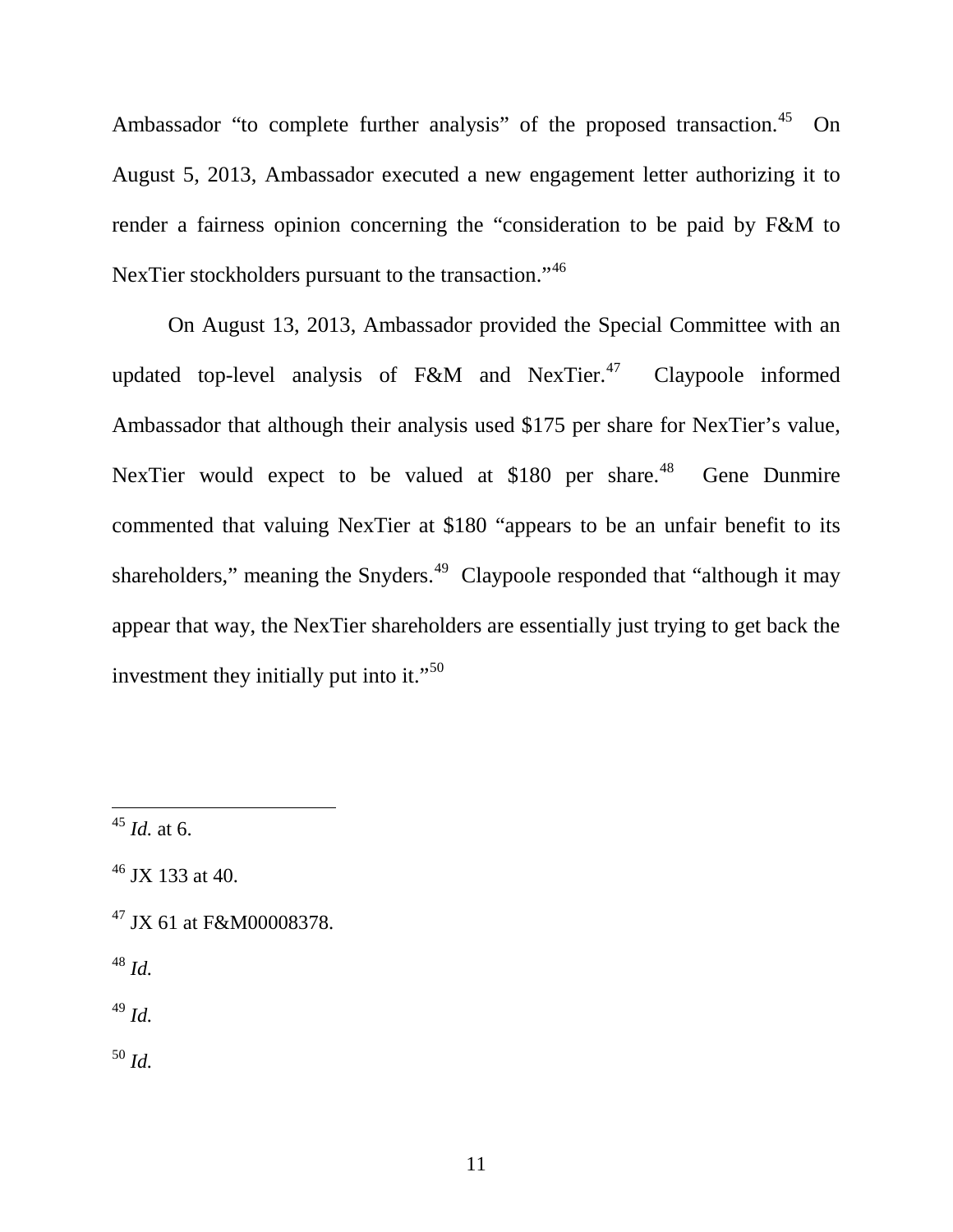Ambassador "to complete further analysis" of the proposed transaction.<sup>[45](#page-11-0)</sup> On August 5, 2013, Ambassador executed a new engagement letter authorizing it to render a fairness opinion concerning the "consideration to be paid by F&M to NexTier stockholders pursuant to the transaction."<sup>[46](#page-11-1)</sup>

On August 13, 2013, Ambassador provided the Special Committee with an updated top-level analysis of F&M and NexTier.<sup>47</sup> Claypoole informed Ambassador that although their analysis used \$175 per share for NexTier's value, NexTier would expect to be valued at  $$180$  per share.<sup>[48](#page-11-3)</sup> Gene Dunmire commented that valuing NexTier at \$180 "appears to be an unfair benefit to its shareholders," meaning the Snyders.<sup>[49](#page-11-4)</sup> Claypoole responded that "although it may appear that way, the NexTier shareholders are essentially just trying to get back the investment they initially put into it."<sup>[50](#page-11-5)</sup>

 $\overline{a}$ 

<span id="page-11-2"></span><sup>47</sup> JX 61 at F&M00008378.

<span id="page-11-3"></span><sup>48</sup> *Id.* 

<span id="page-11-4"></span><sup>49</sup> *Id.* 

<span id="page-11-5"></span><sup>50</sup> *Id.* 

<span id="page-11-0"></span><sup>45</sup> *Id.* at 6.

<span id="page-11-1"></span> $46$  JX 133 at 40.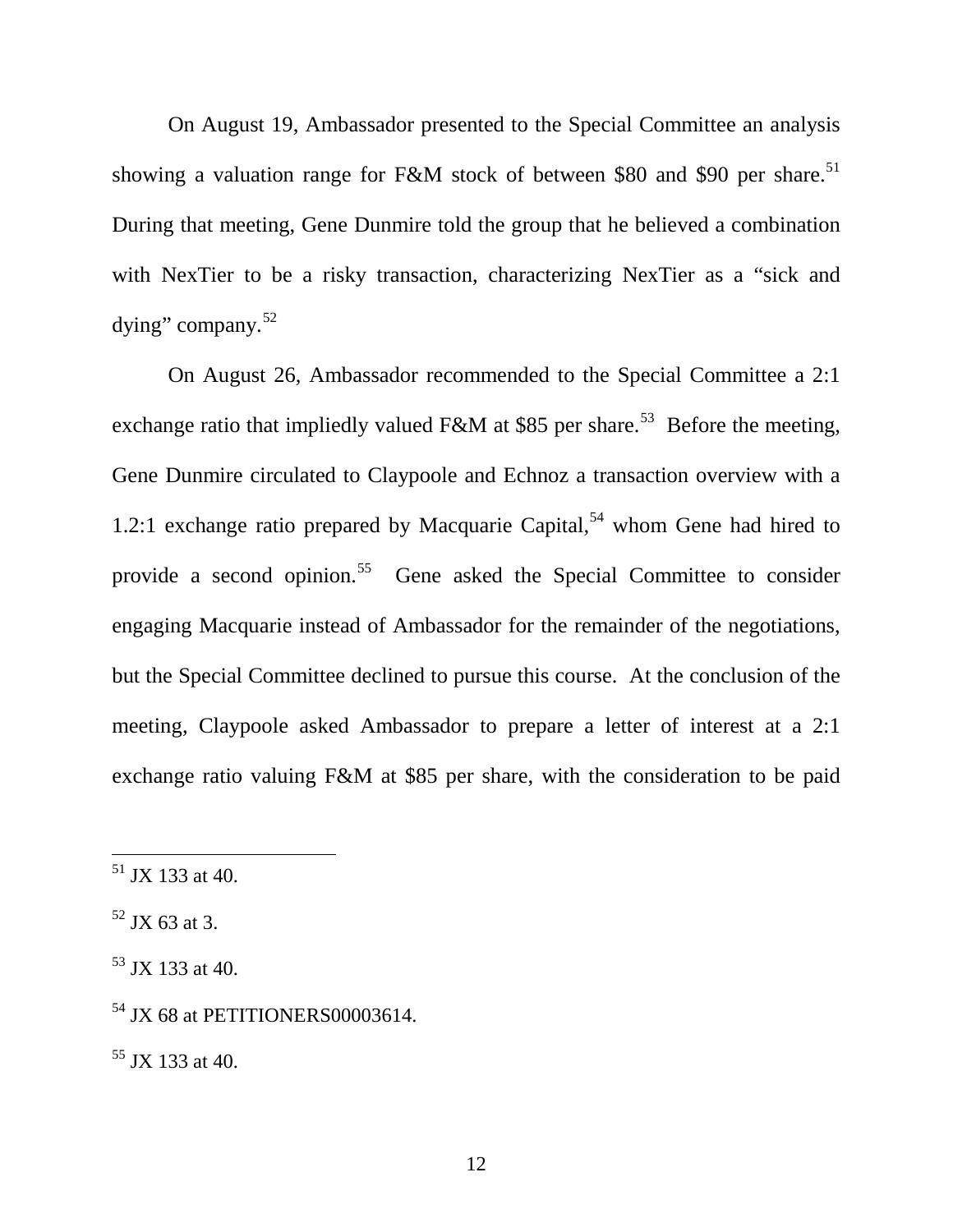On August 19, Ambassador presented to the Special Committee an analysis showing a valuation range for F&M stock of between \$80 and \$90 per share.<sup>[51](#page-12-0)</sup> During that meeting, Gene Dunmire told the group that he believed a combination with NexTier to be a risky transaction, characterizing NexTier as a "sick and dying" company.[52](#page-12-1)

On August 26, Ambassador recommended to the Special Committee a 2:1 exchange ratio that impliedly valued F&M at \$85 per share.<sup>53</sup> Before the meeting, Gene Dunmire circulated to Claypoole and Echnoz a transaction overview with a 1.2:1 exchange ratio prepared by Macquarie Capital,<sup>[54](#page-12-3)</sup> whom Gene had hired to provide a second opinion.<sup>55</sup> Gene asked the Special Committee to consider engaging Macquarie instead of Ambassador for the remainder of the negotiations, but the Special Committee declined to pursue this course. At the conclusion of the meeting, Claypoole asked Ambassador to prepare a letter of interest at a 2:1 exchange ratio valuing F&M at \$85 per share, with the consideration to be paid

<span id="page-12-0"></span> $51$  JX 133 at 40.

<span id="page-12-1"></span> $52$  JX 63 at 3.

<span id="page-12-2"></span> $53$  JX 133 at 40.

<span id="page-12-3"></span><sup>&</sup>lt;sup>54</sup> JX 68 at PETITIONERS00003614.

<span id="page-12-4"></span> $55$  JX 133 at 40.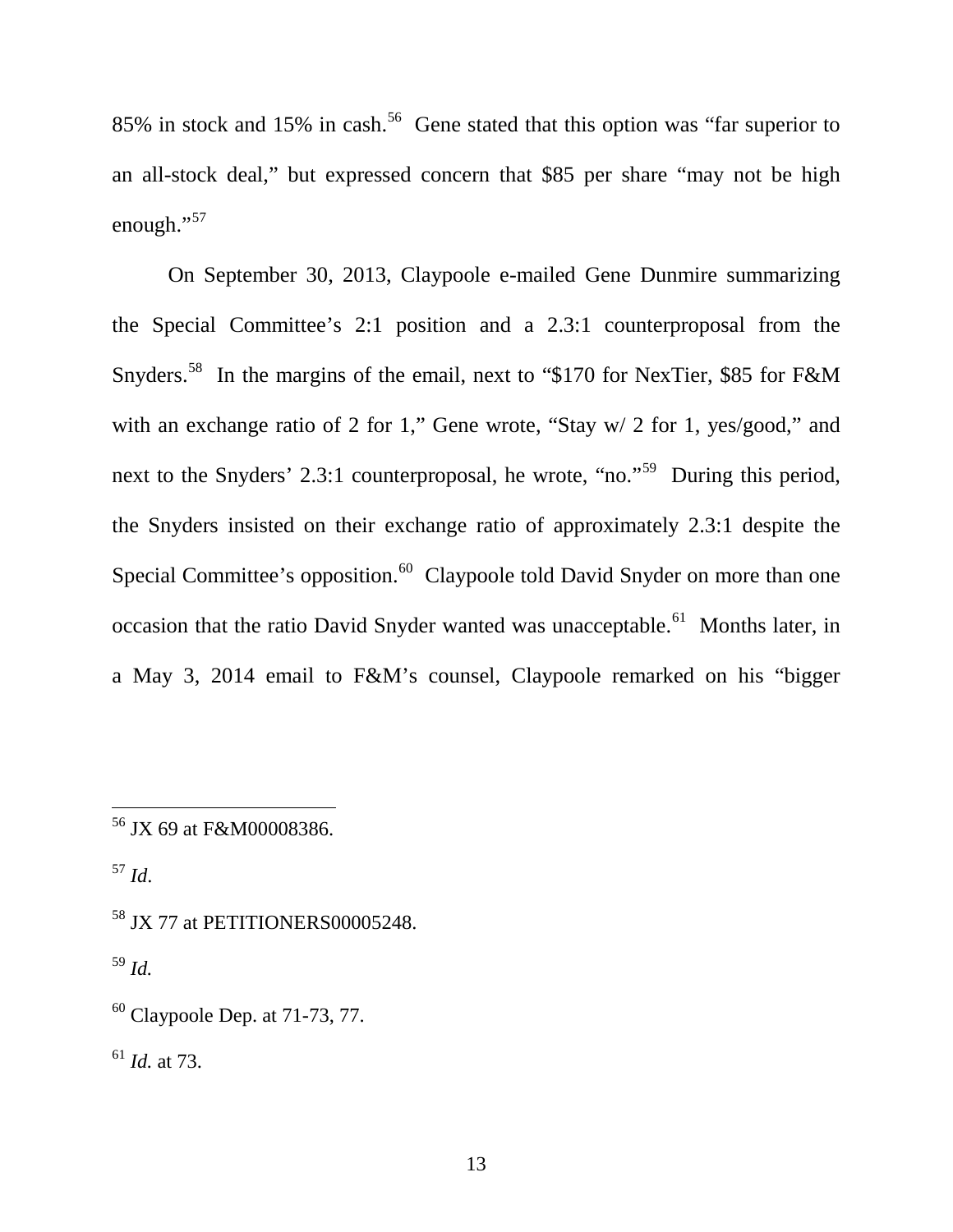85% in stock and 15% in cash.<sup>[56](#page-13-0)</sup> Gene stated that this option was "far superior to an all-stock deal," but expressed concern that \$85 per share "may not be high enough."<sup>57</sup>

On September 30, 2013, Claypoole e-mailed Gene Dunmire summarizing the Special Committee's 2:1 position and a 2.3:1 counterproposal from the Snyders.<sup>[58](#page-13-2)</sup> In the margins of the email, next to "\$170 for NexTier, \$85 for F&M with an exchange ratio of 2 for 1," Gene wrote, "Stay w/ 2 for 1, yes/good," and next to the Snyders' 2.3:1 counterproposal, he wrote, "no."<sup>[59](#page-13-3)</sup> During this period, the Snyders insisted on their exchange ratio of approximately 2.3:1 despite the Special Committee's opposition.<sup>[60](#page-13-4)</sup> Claypoole told David Snyder on more than one occasion that the ratio David Snyder wanted was unacceptable.<sup>[61](#page-13-5)</sup> Months later, in a May 3, 2014 email to F&M's counsel, Claypoole remarked on his "bigger

<span id="page-13-1"></span><sup>57</sup> *Id*.

 $\overline{a}$ 

<span id="page-13-2"></span><sup>58</sup> JX 77 at PETITIONERS00005248.

<span id="page-13-3"></span><sup>59</sup> *Id.*

<span id="page-13-5"></span><sup>61</sup> *Id.* at 73.

<span id="page-13-0"></span><sup>56</sup> JX 69 at F&M00008386.

<span id="page-13-4"></span> $60$  Claypoole Dep. at 71-73, 77.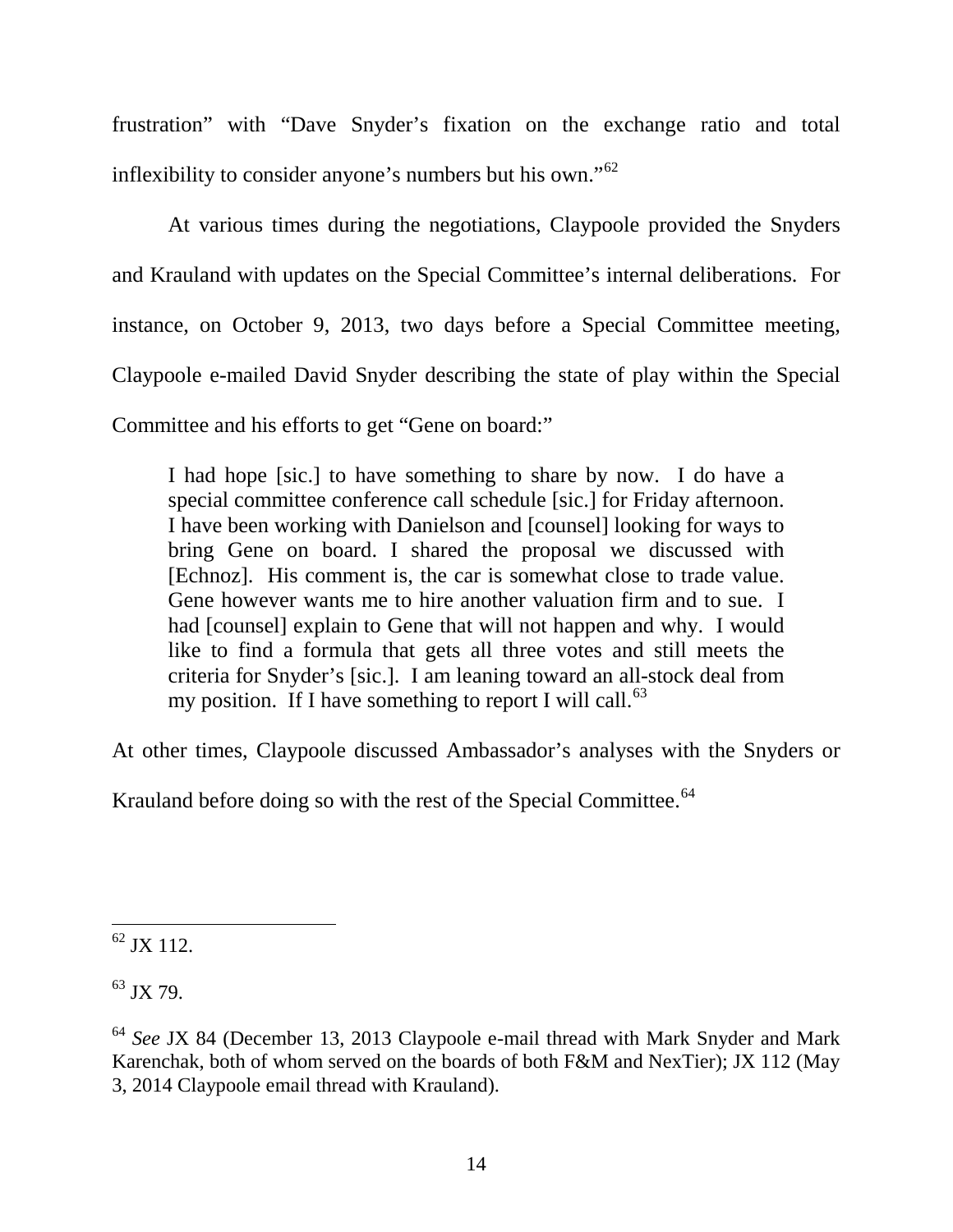frustration" with "Dave Snyder's fixation on the exchange ratio and total inflexibility to consider anyone's numbers but his own."[62](#page-14-0)

At various times during the negotiations, Claypoole provided the Snyders and Krauland with updates on the Special Committee's internal deliberations. For instance, on October 9, 2013, two days before a Special Committee meeting, Claypoole e-mailed David Snyder describing the state of play within the Special Committee and his efforts to get "Gene on board:"

I had hope [sic.] to have something to share by now. I do have a special committee conference call schedule [sic.] for Friday afternoon. I have been working with Danielson and [counsel] looking for ways to bring Gene on board. I shared the proposal we discussed with [Echnoz]. His comment is, the car is somewhat close to trade value. Gene however wants me to hire another valuation firm and to sue. I had [counsel] explain to Gene that will not happen and why. I would like to find a formula that gets all three votes and still meets the criteria for Snyder's [sic.]. I am leaning toward an all-stock deal from my position. If I have something to report I will call.<sup>[63](#page-14-1)</sup>

At other times, Claypoole discussed Ambassador's analyses with the Snyders or

Krauland before doing so with the rest of the Special Committee. [64](#page-14-2) 

<span id="page-14-0"></span> $62$  JX 112.  $\overline{a}$ 

<span id="page-14-1"></span><sup>63</sup> JX 79.

<span id="page-14-2"></span><sup>64</sup> *See* JX 84 (December 13, 2013 Claypoole e-mail thread with Mark Snyder and Mark Karenchak, both of whom served on the boards of both F&M and NexTier); JX 112 (May 3, 2014 Claypoole email thread with Krauland).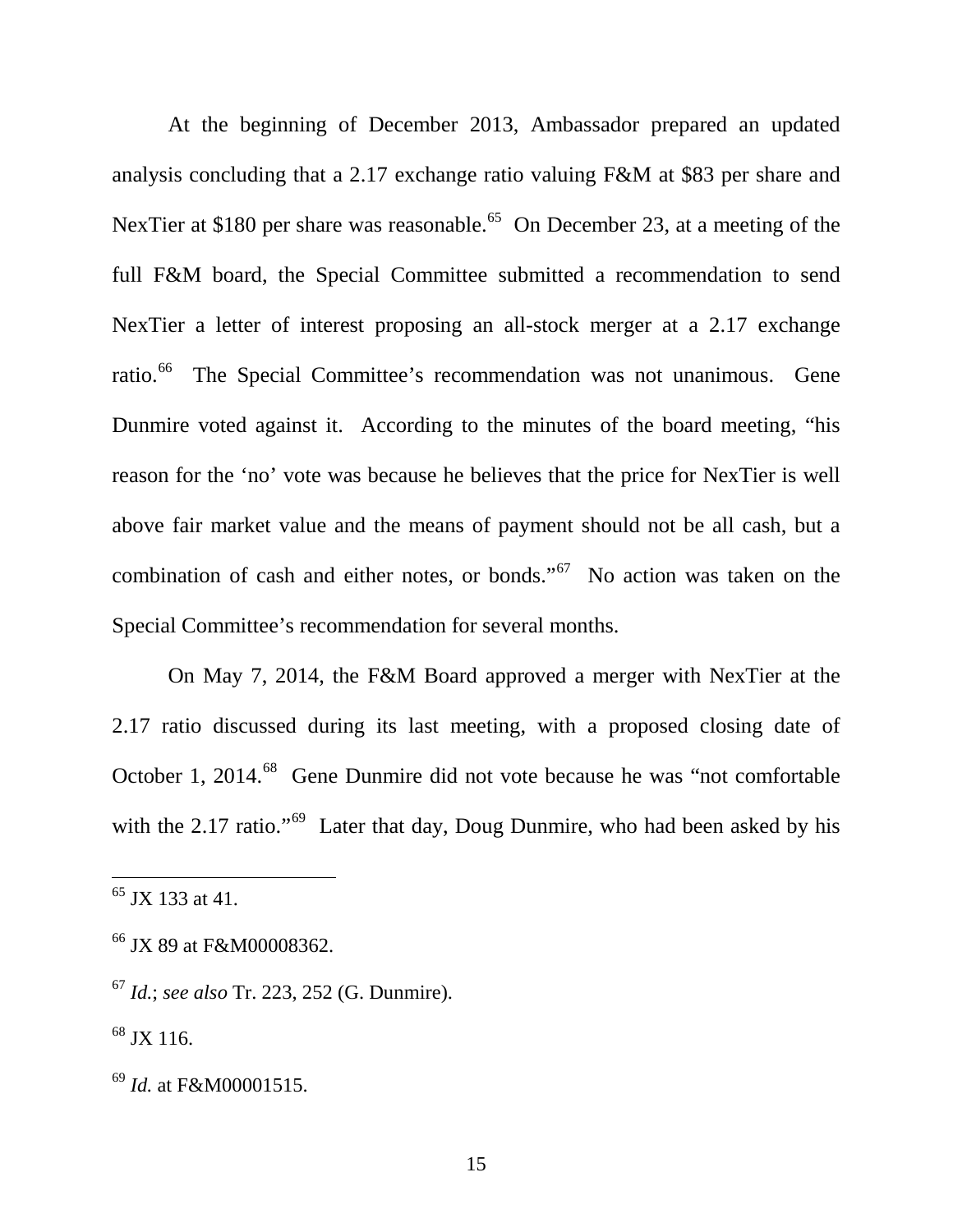At the beginning of December 2013, Ambassador prepared an updated analysis concluding that a 2.17 exchange ratio valuing F&M at \$83 per share and NexTier at \$180 per share was reasonable.<sup>[65](#page-15-0)</sup> On December 23, at a meeting of the full F&M board, the Special Committee submitted a recommendation to send NexTier a letter of interest proposing an all-stock merger at a 2.17 exchange ratio.<sup>66</sup> The Special Committee's recommendation was not unanimous. Gene Dunmire voted against it. According to the minutes of the board meeting, "his reason for the 'no' vote was because he believes that the price for NexTier is well above fair market value and the means of payment should not be all cash, but a combination of cash and either notes, or bonds."[67](#page-15-2) No action was taken on the Special Committee's recommendation for several months.

On May 7, 2014, the F&M Board approved a merger with NexTier at the 2.17 ratio discussed during its last meeting, with a proposed closing date of October 1, 2014.<sup>[68](#page-15-3)</sup> Gene Dunmire did not vote because he was "not comfortable with the 2.17 ratio."<sup>69</sup> Later that day, Doug Dunmire, who had been asked by his

<span id="page-15-0"></span> $65$  JX 133 at 41.

<span id="page-15-1"></span><sup>66</sup> JX 89 at F&M00008362.

<span id="page-15-2"></span><sup>67</sup> *Id.*; *see also* Tr. 223, 252 (G. Dunmire).

<span id="page-15-3"></span> $^{68}$  JX 116.

<span id="page-15-4"></span><sup>69</sup> *Id.* at F&M00001515.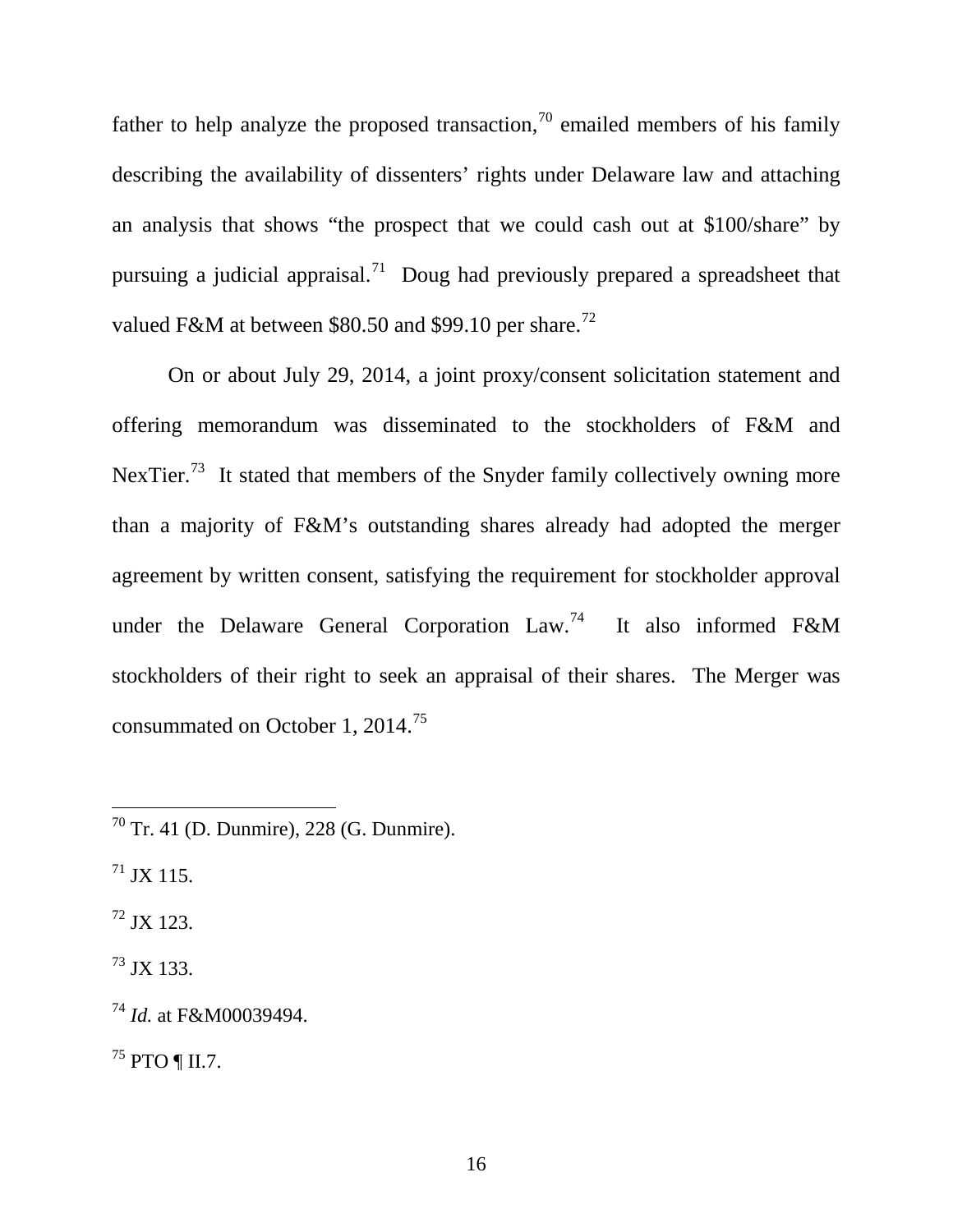father to help analyze the proposed transaction,<sup>[70](#page-16-0)</sup> emailed members of his family describing the availability of dissenters' rights under Delaware law and attaching an analysis that shows "the prospect that we could cash out at \$100/share" by pursuing a judicial appraisal.<sup>[71](#page-16-1)</sup> Doug had previously prepared a spreadsheet that valued F&M at between \$80.50 and \$99.10 per share.<sup>[72](#page-16-2)</sup>

On or about July 29, 2014, a joint proxy/consent solicitation statement and offering memorandum was disseminated to the stockholders of F&M and NexTier.<sup>73</sup> It stated that members of the Snyder family collectively owning more than a majority of F&M's outstanding shares already had adopted the merger agreement by written consent, satisfying the requirement for stockholder approval under the Delaware General Corporation Law.<sup>74</sup> It also informed F&M stockholders of their right to seek an appraisal of their shares. The Merger was consummated on October 1, 2014.[75](#page-16-5) 

<span id="page-16-1"></span> $^{71}$  JX 115.

 $\overline{a}$ 

<span id="page-16-2"></span> $^{72}$  JX 123.

<span id="page-16-3"></span> $^{73}$  JX 133.

<span id="page-16-5"></span> $^{75}$  PTO ¶ II.7.

<span id="page-16-0"></span> $70$  Tr. 41 (D. Dunmire), 228 (G. Dunmire).

<span id="page-16-4"></span><sup>74</sup> *Id.* at F&M00039494.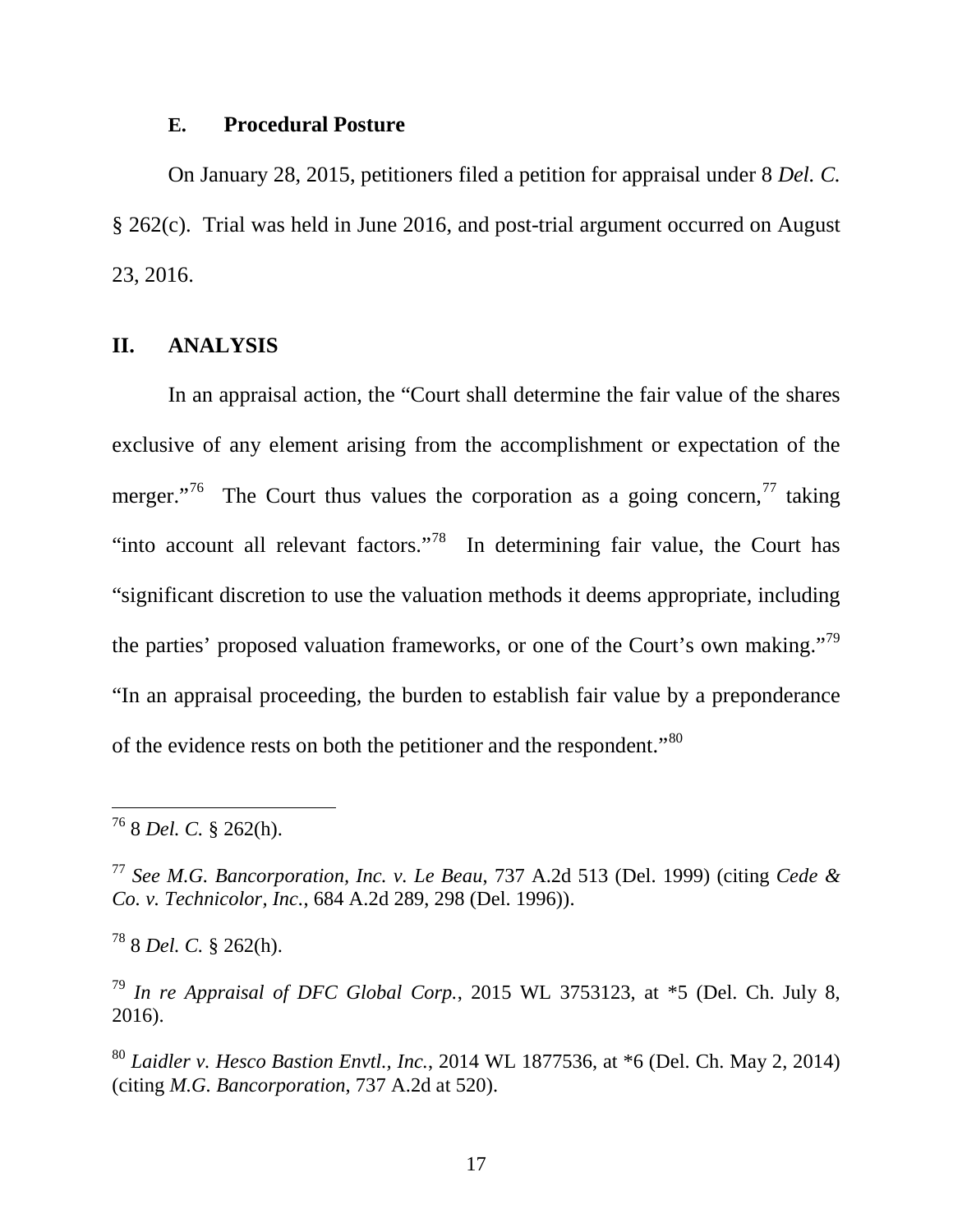#### **E. Procedural Posture**

On January 28, 2015, petitioners filed a petition for appraisal under 8 *Del. C.* § 262(c). Trial was held in June 2016, and post-trial argument occurred on August 23, 2016.

# **II. ANALYSIS**

In an appraisal action, the "Court shall determine the fair value of the shares exclusive of any element arising from the accomplishment or expectation of the merger."<sup>[76](#page-17-0)</sup> The Court thus values the corporation as a going concern,  $77$  taking "into account all relevant factors."[78](#page-17-2) In determining fair value, the Court has "significant discretion to use the valuation methods it deems appropriate, including the parties' proposed valuation frameworks, or one of the Court's own making."[79](#page-17-3) "In an appraisal proceeding, the burden to establish fair value by a preponderance of the evidence rests on both the petitioner and the respondent."[80](#page-17-4)

 $\overline{a}$ 

<span id="page-17-2"></span><sup>78</sup> 8 *Del. C.* § 262(h).

<span id="page-17-3"></span><sup>79</sup> *In re Appraisal of DFC Global Corp.*, 2015 WL 3753123, at \*5 (Del. Ch. July 8, 2016).

<span id="page-17-4"></span><sup>80</sup> *Laidler v. Hesco Bastion Envtl., Inc.*, 2014 WL 1877536, at \*6 (Del. Ch. May 2, 2014) (citing *M.G. Bancorporation*, 737 A.2d at 520).

17

<span id="page-17-0"></span><sup>76</sup> 8 *Del. C.* § 262(h).

<span id="page-17-1"></span><sup>77</sup> *See M.G. Bancorporation, Inc. v. Le Beau*, 737 A.2d 513 (Del. 1999) (citing *Cede & Co. v. Technicolor, Inc.*, 684 A.2d 289, 298 (Del. 1996)).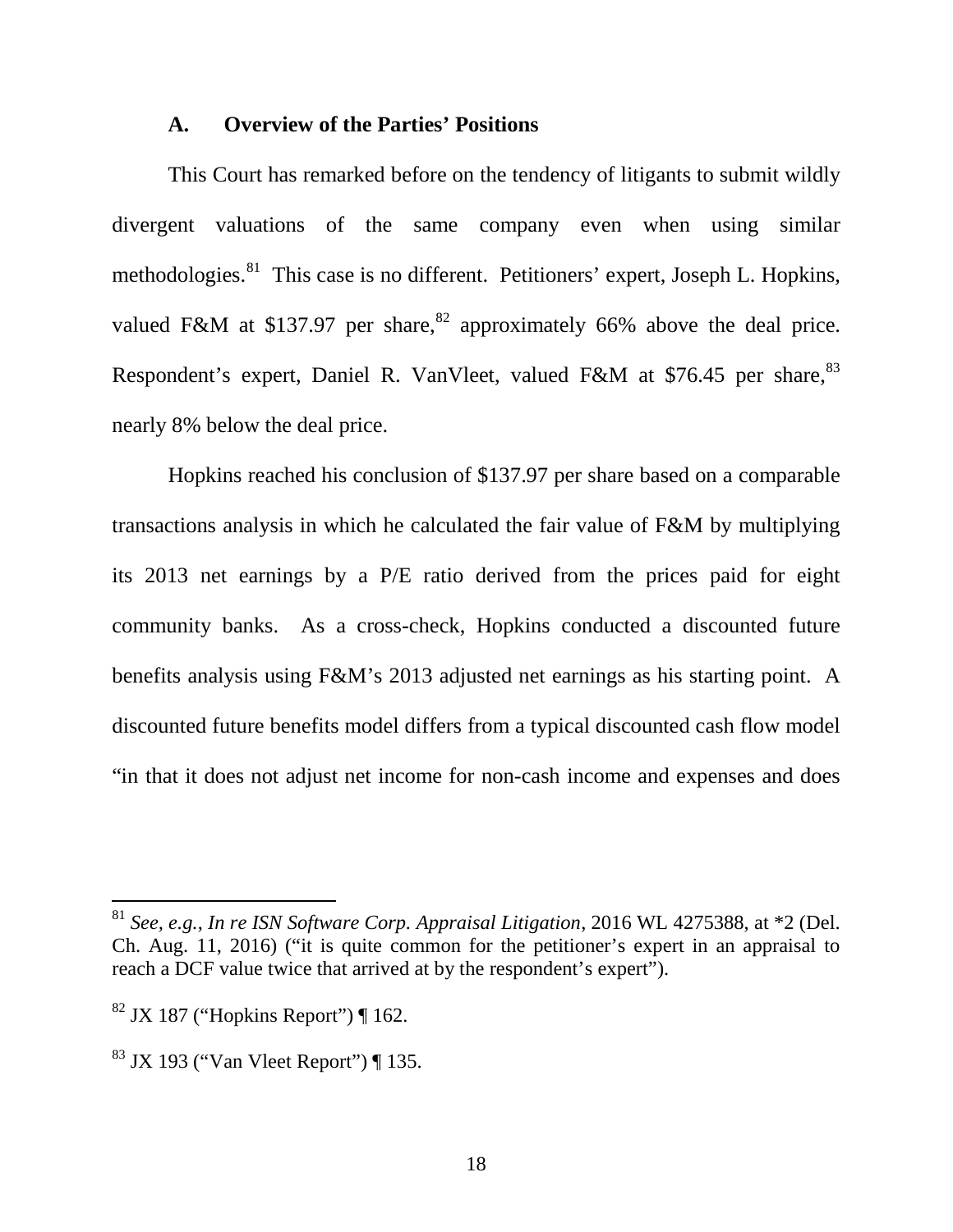#### **A. Overview of the Parties' Positions**

This Court has remarked before on the tendency of litigants to submit wildly divergent valuations of the same company even when using similar methodologies.<sup>81</sup> This case is no different. Petitioners' expert, Joseph L. Hopkins, valued F&M at \$137.97 per share,<sup>[82](#page-18-1)</sup> approximately 66% above the deal price. Respondent's expert, Daniel R. VanVleet, valued F&M at \$76.45 per share, <sup>[83](#page-18-2)</sup> nearly 8% below the deal price.

Hopkins reached his conclusion of \$137.97 per share based on a comparable transactions analysis in which he calculated the fair value of F&M by multiplying its 2013 net earnings by a P/E ratio derived from the prices paid for eight community banks. As a cross-check, Hopkins conducted a discounted future benefits analysis using F&M's 2013 adjusted net earnings as his starting point. A discounted future benefits model differs from a typical discounted cash flow model "in that it does not adjust net income for non-cash income and expenses and does

<span id="page-18-0"></span><sup>81</sup> *See, e.g.*, *In re ISN Software Corp. Appraisal Litigation*, 2016 WL 4275388, at \*2 (Del. Ch. Aug. 11, 2016) ("it is quite common for the petitioner's expert in an appraisal to reach a DCF value twice that arrived at by the respondent's expert").

<span id="page-18-1"></span> $82$  JX 187 ("Hopkins Report") ¶ 162.

<span id="page-18-2"></span><sup>83</sup> JX 193 ("Van Vleet Report") ¶ 135.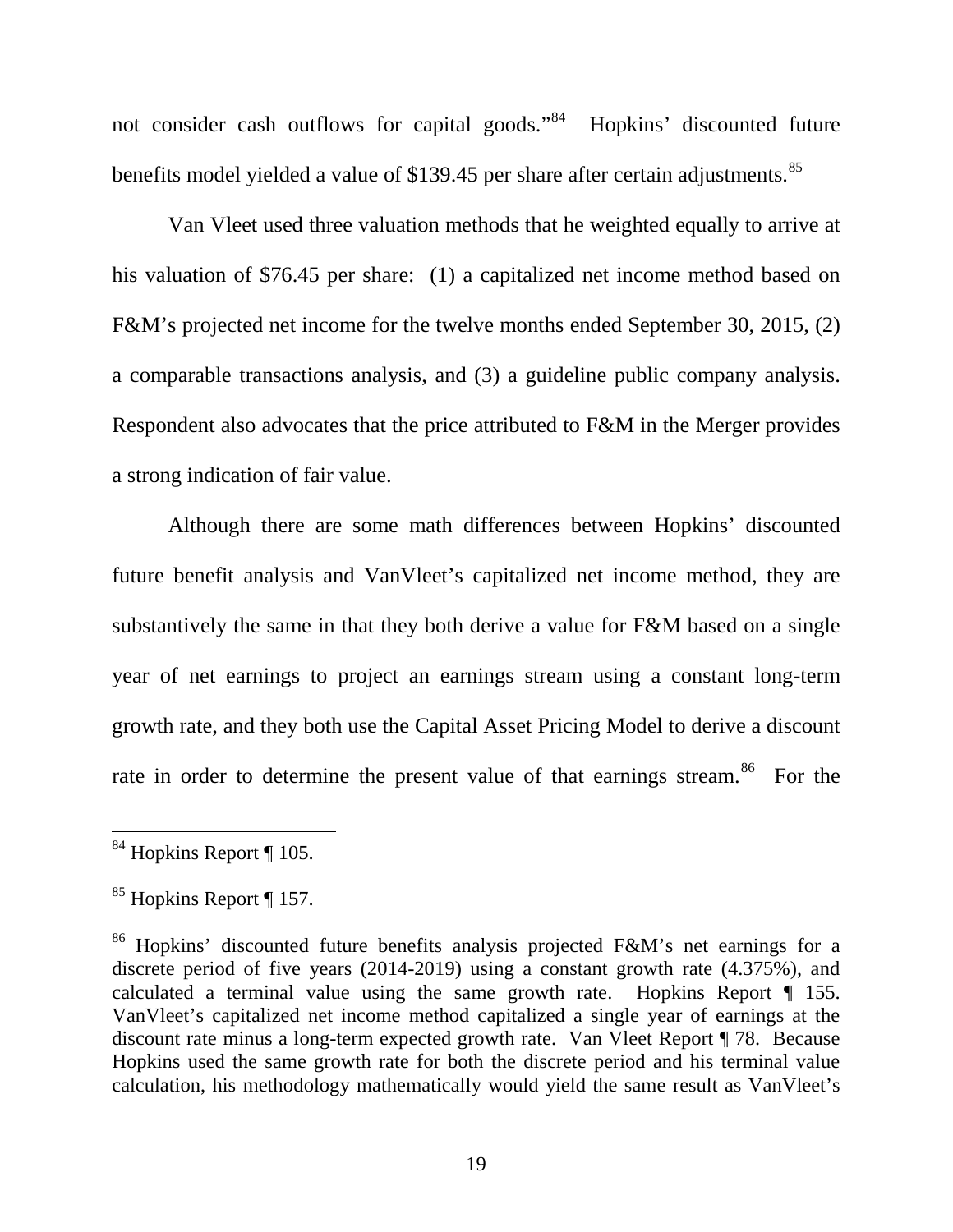not consider cash outflows for capital goods."<sup>[84](#page-19-0)</sup> Hopkins' discounted future benefits model yielded a value of \$139.45 per share after certain adjustments.<sup>[85](#page-19-1)</sup>

Van Vleet used three valuation methods that he weighted equally to arrive at his valuation of \$76.45 per share: (1) a capitalized net income method based on F&M's projected net income for the twelve months ended September 30, 2015, (2) a comparable transactions analysis, and (3) a guideline public company analysis. Respondent also advocates that the price attributed to F&M in the Merger provides a strong indication of fair value.

Although there are some math differences between Hopkins' discounted future benefit analysis and VanVleet's capitalized net income method, they are substantively the same in that they both derive a value for F&M based on a single year of net earnings to project an earnings stream using a constant long-term growth rate, and they both use the Capital Asset Pricing Model to derive a discount rate in order to determine the present value of that earnings stream.<sup>[86](#page-19-2)</sup> For the

<span id="page-19-0"></span><sup>&</sup>lt;sup>84</sup> Hopkins Report ¶ 105.  $\overline{a}$ 

<span id="page-19-1"></span><sup>85</sup> Hopkins Report ¶ 157.

<span id="page-19-2"></span><sup>86</sup> Hopkins' discounted future benefits analysis projected F&M's net earnings for a discrete period of five years (2014-2019) using a constant growth rate (4.375%), and calculated a terminal value using the same growth rate. Hopkins Report ¶ 155. VanVleet's capitalized net income method capitalized a single year of earnings at the discount rate minus a long-term expected growth rate. Van Vleet Report ¶ 78. Because Hopkins used the same growth rate for both the discrete period and his terminal value calculation, his methodology mathematically would yield the same result as VanVleet's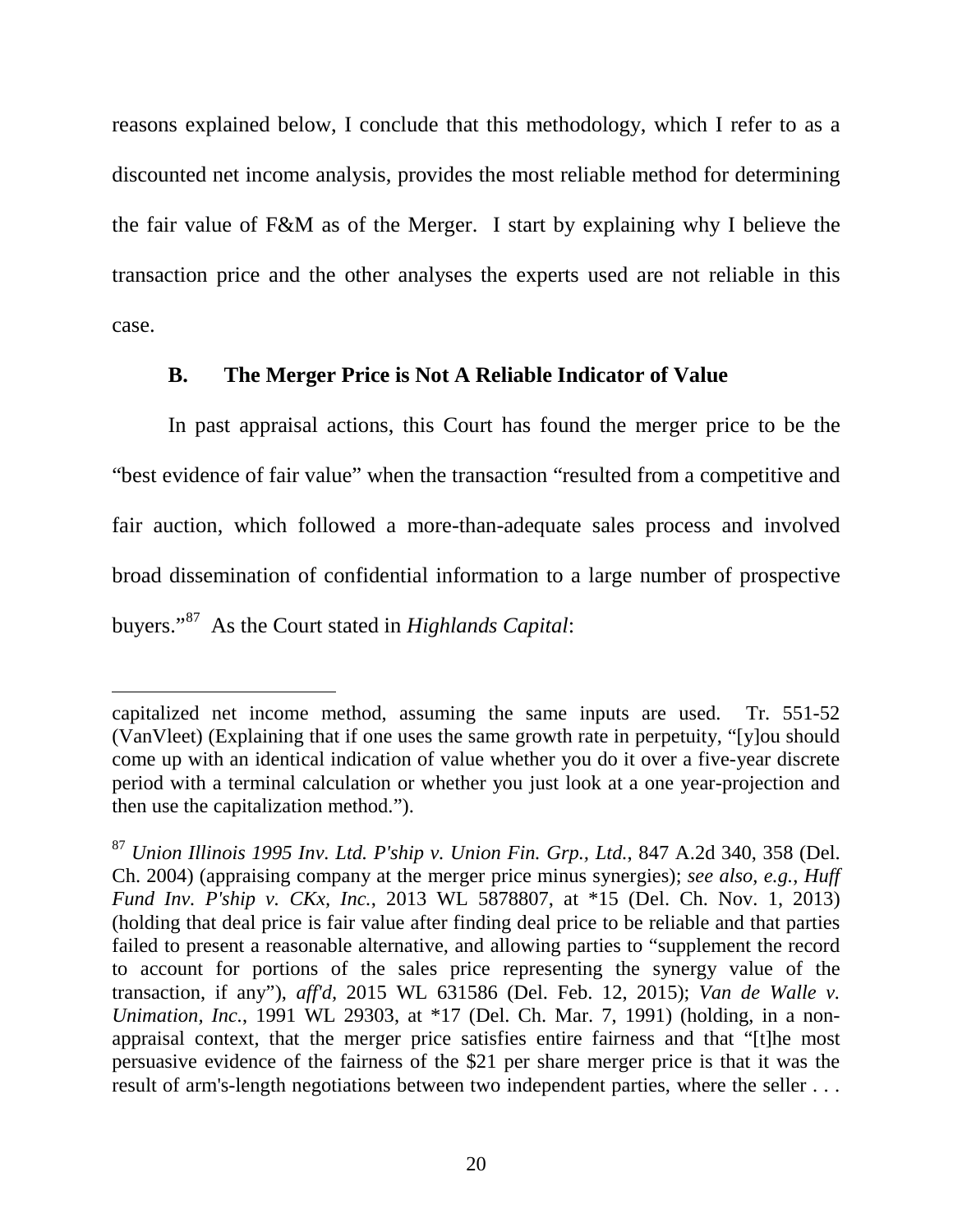reasons explained below, I conclude that this methodology, which I refer to as a discounted net income analysis, provides the most reliable method for determining the fair value of F&M as of the Merger. I start by explaining why I believe the transaction price and the other analyses the experts used are not reliable in this case.

## **B. The Merger Price is Not A Reliable Indicator of Value**

In past appraisal actions, this Court has found the merger price to be the "best evidence of fair value" when the transaction "resulted from a competitive and fair auction, which followed a more-than-adequate sales process and involved broad dissemination of confidential information to a large number of prospective buyers."[87](#page-20-0) As the Court stated in *Highlands Capital*:

capitalized net income method, assuming the same inputs are used. Tr. 551-52 (VanVleet) (Explaining that if one uses the same growth rate in perpetuity, "[y]ou should come up with an identical indication of value whether you do it over a five-year discrete period with a terminal calculation or whether you just look at a one year-projection and then use the capitalization method.").

<span id="page-20-0"></span><sup>87</sup> *Union Illinois 1995 Inv. Ltd. P'ship v. Union Fin. Grp., Ltd.*, 847 A.2d 340, 358 (Del. Ch. 2004) (appraising company at the merger price minus synergies); *see also, e.g.*, *Huff Fund Inv. P'ship v. CKx, Inc.*, 2013 WL 5878807, at \*15 (Del. Ch. Nov. 1, 2013) (holding that deal price is fair value after finding deal price to be reliable and that parties failed to present a reasonable alternative, and allowing parties to "supplement the record to account for portions of the sales price representing the synergy value of the transaction, if any"), *aff'd,* 2015 WL 631586 (Del. Feb. 12, 2015); *Van de Walle v. Unimation, Inc.*, 1991 WL 29303, at \*17 (Del. Ch. Mar. 7, 1991) (holding, in a nonappraisal context, that the merger price satisfies entire fairness and that "[t]he most persuasive evidence of the fairness of the \$21 per share merger price is that it was the result of arm's-length negotiations between two independent parties, where the seller . . .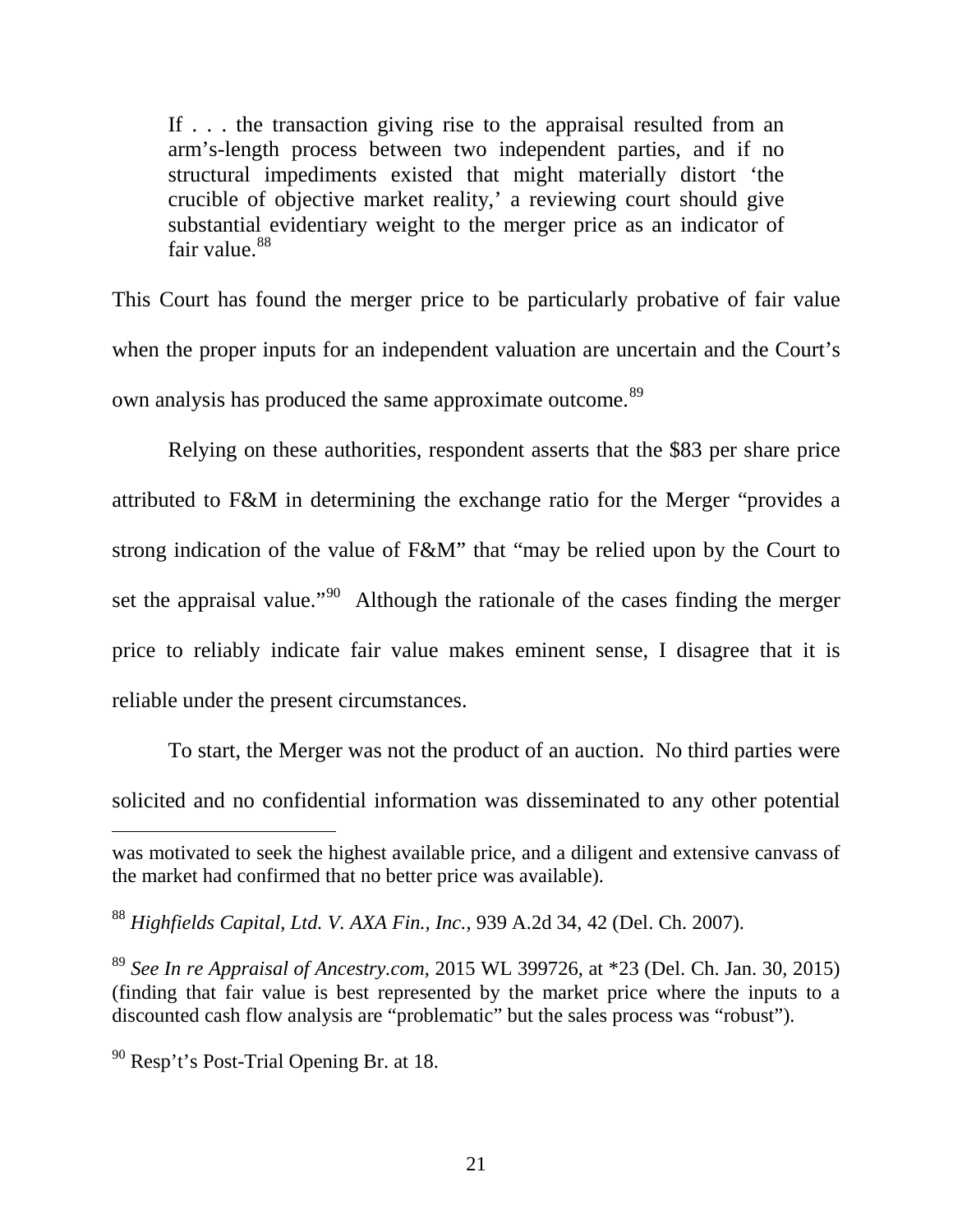If . . . the transaction giving rise to the appraisal resulted from an arm's-length process between two independent parties, and if no structural impediments existed that might materially distort 'the crucible of objective market reality,' a reviewing court should give substantial evidentiary weight to the merger price as an indicator of fair value. $88$ 

This Court has found the merger price to be particularly probative of fair value when the proper inputs for an independent valuation are uncertain and the Court's own analysis has produced the same approximate outcome.<sup>[89](#page-21-1)</sup>

Relying on these authorities, respondent asserts that the \$83 per share price attributed to F&M in determining the exchange ratio for the Merger "provides a strong indication of the value of F&M" that "may be relied upon by the Court to set the appraisal value."<sup>[90](#page-21-2)</sup> Although the rationale of the cases finding the merger price to reliably indicate fair value makes eminent sense, I disagree that it is reliable under the present circumstances.

To start, the Merger was not the product of an auction. No third parties were solicited and no confidential information was disseminated to any other potential

was motivated to seek the highest available price, and a diligent and extensive canvass of the market had confirmed that no better price was available).

<span id="page-21-0"></span><sup>88</sup> *Highfields Capital, Ltd. V. AXA Fin., Inc.*, 939 A.2d 34, 42 (Del. Ch. 2007).

<span id="page-21-1"></span><sup>89</sup> *See In re Appraisal of Ancestry.com*, 2015 WL 399726, at \*23 (Del. Ch. Jan. 30, 2015) (finding that fair value is best represented by the market price where the inputs to a discounted cash flow analysis are "problematic" but the sales process was "robust").

<span id="page-21-2"></span><sup>90</sup> Resp't's Post-Trial Opening Br. at 18.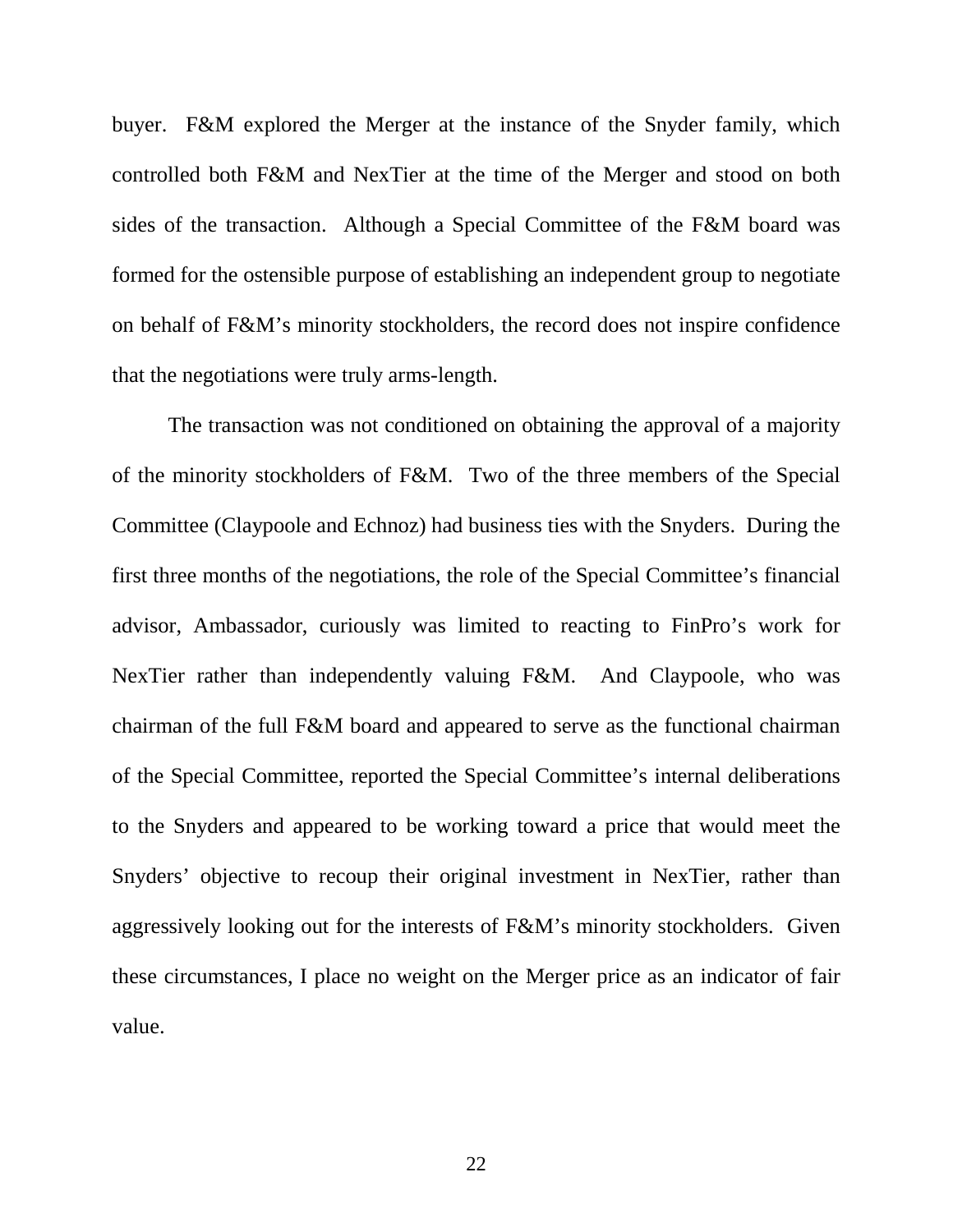buyer. F&M explored the Merger at the instance of the Snyder family, which controlled both F&M and NexTier at the time of the Merger and stood on both sides of the transaction. Although a Special Committee of the F&M board was formed for the ostensible purpose of establishing an independent group to negotiate on behalf of F&M's minority stockholders, the record does not inspire confidence that the negotiations were truly arms-length.

The transaction was not conditioned on obtaining the approval of a majority of the minority stockholders of F&M. Two of the three members of the Special Committee (Claypoole and Echnoz) had business ties with the Snyders. During the first three months of the negotiations, the role of the Special Committee's financial advisor, Ambassador, curiously was limited to reacting to FinPro's work for NexTier rather than independently valuing F&M. And Claypoole, who was chairman of the full F&M board and appeared to serve as the functional chairman of the Special Committee, reported the Special Committee's internal deliberations to the Snyders and appeared to be working toward a price that would meet the Snyders' objective to recoup their original investment in NexTier, rather than aggressively looking out for the interests of F&M's minority stockholders. Given these circumstances, I place no weight on the Merger price as an indicator of fair value.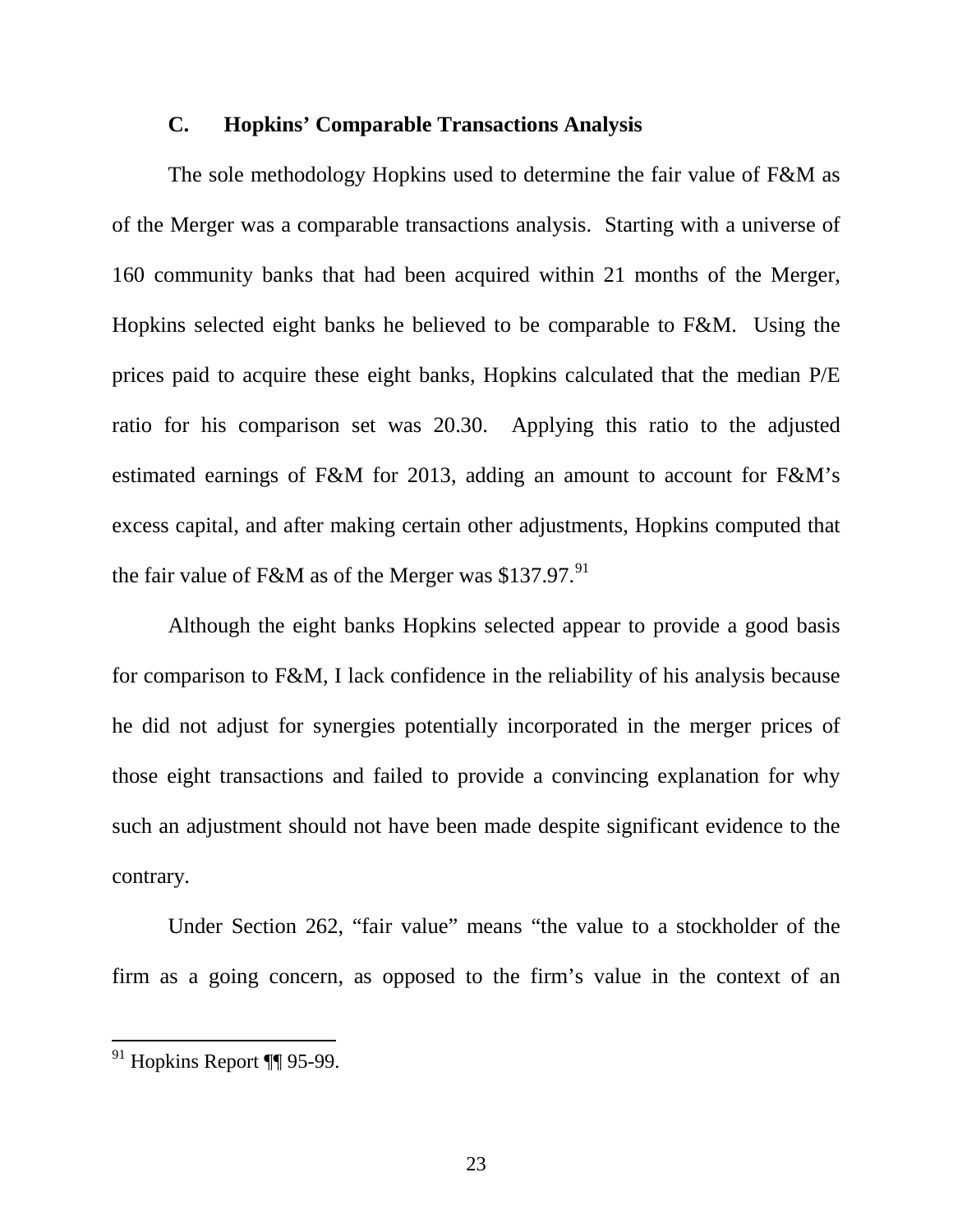### **C. Hopkins' Comparable Transactions Analysis**

The sole methodology Hopkins used to determine the fair value of F&M as of the Merger was a comparable transactions analysis. Starting with a universe of 160 community banks that had been acquired within 21 months of the Merger, Hopkins selected eight banks he believed to be comparable to F&M. Using the prices paid to acquire these eight banks, Hopkins calculated that the median P/E ratio for his comparison set was 20.30. Applying this ratio to the adjusted estimated earnings of F&M for 2013, adding an amount to account for F&M's excess capital, and after making certain other adjustments, Hopkins computed that the fair value of F&M as of the Merger was \$137.97. $91$ 

Although the eight banks Hopkins selected appear to provide a good basis for comparison to F&M, I lack confidence in the reliability of his analysis because he did not adjust for synergies potentially incorporated in the merger prices of those eight transactions and failed to provide a convincing explanation for why such an adjustment should not have been made despite significant evidence to the contrary.

Under Section 262, "fair value" means "the value to a stockholder of the firm as a going concern, as opposed to the firm's value in the context of an

<span id="page-23-0"></span> $91$  Hopkins Report ¶ 95-99.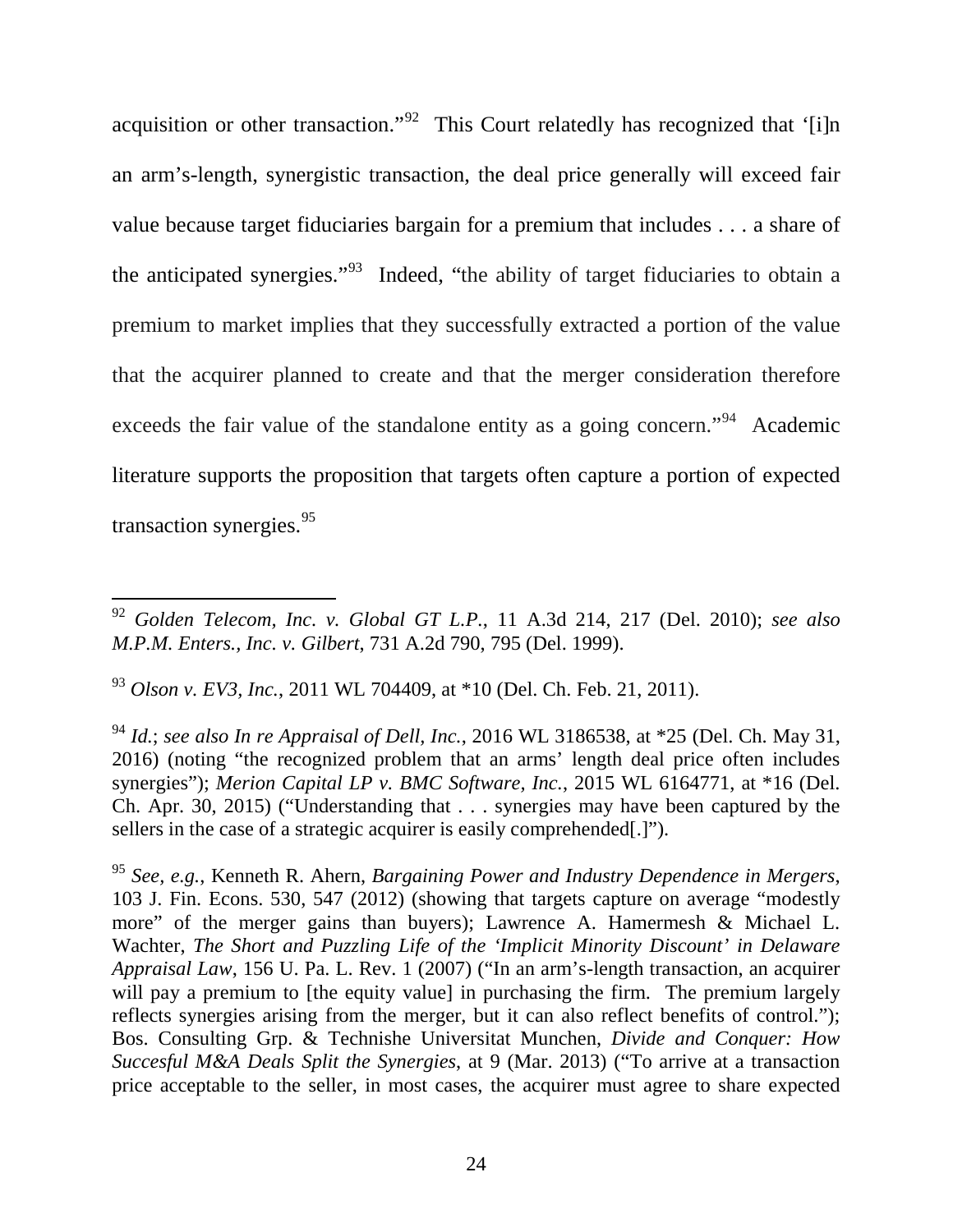acquisition or other transaction."<sup>[92](#page-24-0)</sup> This Court relatedly has recognized that '[i]n an arm's-length, synergistic transaction, the deal price generally will exceed fair value because target fiduciaries bargain for a premium that includes . . . a share of the anticipated synergies."<sup>[93](#page-24-1)</sup> Indeed, "the ability of target fiduciaries to obtain a premium to market implies that they successfully extracted a portion of the value that the acquirer planned to create and that the merger consideration therefore exceeds the fair value of the standalone entity as a going concern."<sup>[94](#page-24-2)</sup> Academic literature supports the proposition that targets often capture a portion of expected transaction synergies. [95](#page-24-3) 

<span id="page-24-1"></span><sup>93</sup> *Olson v. EV3, Inc.*, 2011 WL 704409, at \*10 (Del. Ch. Feb. 21, 2011).

<span id="page-24-2"></span><sup>94</sup> *Id.*; *see also In re Appraisal of Dell, Inc.*, 2016 WL 3186538, at \*25 (Del. Ch. May 31, 2016) (noting "the recognized problem that an arms' length deal price often includes synergies"); *Merion Capital LP v. BMC Software, Inc.*, 2015 WL 6164771, at \*16 (Del. Ch. Apr. 30, 2015) ("Understanding that . . . synergies may have been captured by the sellers in the case of a strategic acquirer is easily comprehended[.]").

<span id="page-24-0"></span><sup>92</sup> *Golden Telecom, Inc. v. Global GT L.P.*, 11 A.3d 214, 217 (Del. 2010); *see also M.P.M. Enters., Inc. v. Gilbert*, 731 A.2d 790, 795 (Del. 1999).  $\overline{a}$ 

<span id="page-24-3"></span><sup>95</sup> *See, e.g.*, Kenneth R. Ahern, *Bargaining Power and Industry Dependence in Mergers*, 103 J. Fin. Econs. 530, 547 (2012) (showing that targets capture on average "modestly more" of the merger gains than buyers); Lawrence A. Hamermesh & Michael L. Wachter, *The Short and Puzzling Life of the 'Implicit Minority Discount' in Delaware Appraisal Law*, 156 U. Pa. L. Rev. 1 (2007) ("In an arm's-length transaction, an acquirer will pay a premium to [the equity value] in purchasing the firm. The premium largely reflects synergies arising from the merger, but it can also reflect benefits of control."); Bos. Consulting Grp. & Technishe Universitat Munchen, *Divide and Conquer: How Succesful M&A Deals Split the Synergies*, at 9 (Mar. 2013) ("To arrive at a transaction price acceptable to the seller, in most cases, the acquirer must agree to share expected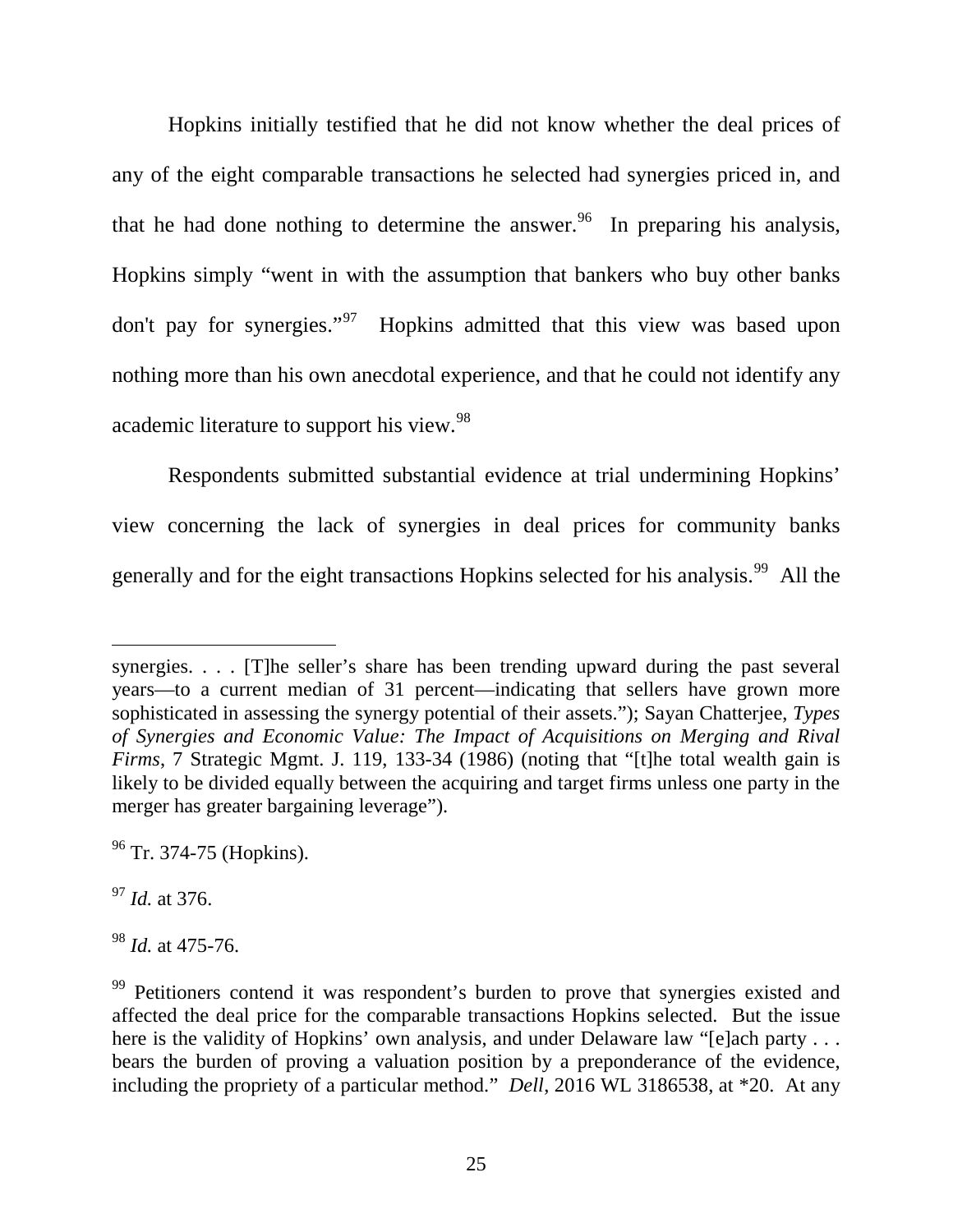Hopkins initially testified that he did not know whether the deal prices of any of the eight comparable transactions he selected had synergies priced in, and that he had done nothing to determine the answer. <sup>[96](#page-25-0)</sup> In preparing his analysis, Hopkins simply "went in with the assumption that bankers who buy other banks don't pay for synergies."<sup>97</sup> Hopkins admitted that this view was based upon nothing more than his own anecdotal experience, and that he could not identify any academic literature to support his view.<sup>98</sup>

Respondents submitted substantial evidence at trial undermining Hopkins' view concerning the lack of synergies in deal prices for community banks generally and for the eight transactions Hopkins selected for his analysis.<sup>[99](#page-25-3)</sup> All the

<span id="page-25-1"></span><sup>97</sup> *Id.* at 376.

 $\overline{a}$ 

<span id="page-25-2"></span><sup>98</sup> *Id.* at 475-76.

synergies. . . . [T]he seller's share has been trending upward during the past several years—to a current median of 31 percent—indicating that sellers have grown more sophisticated in assessing the synergy potential of their assets."); Sayan Chatterjee, *Types of Synergies and Economic Value: The Impact of Acquisitions on Merging and Rival Firms*, 7 Strategic Mgmt. J. 119, 133-34 (1986) (noting that "[t]he total wealth gain is likely to be divided equally between the acquiring and target firms unless one party in the merger has greater bargaining leverage").

<span id="page-25-0"></span><sup>96</sup> Tr. 374-75 (Hopkins).

<span id="page-25-3"></span><sup>&</sup>lt;sup>99</sup> Petitioners contend it was respondent's burden to prove that synergies existed and affected the deal price for the comparable transactions Hopkins selected. But the issue here is the validity of Hopkins' own analysis, and under Delaware law "[e]ach party ... bears the burden of proving a valuation position by a preponderance of the evidence, including the propriety of a particular method." *Dell*, 2016 WL 3186538, at \*20. At any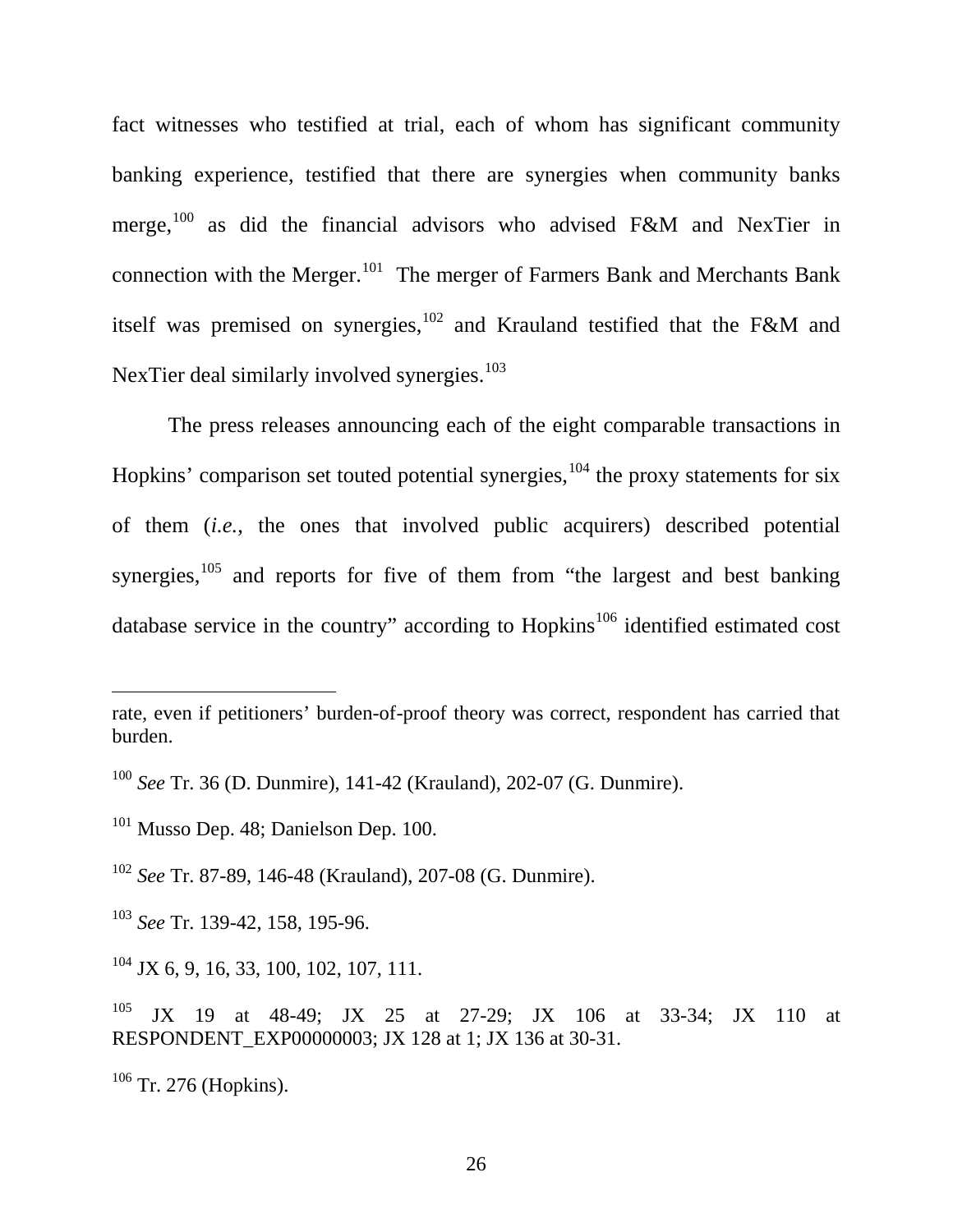fact witnesses who testified at trial, each of whom has significant community banking experience, testified that there are synergies when community banks merge, <sup>[100](#page-26-0)</sup> as did the financial advisors who advised F&M and NexTier in connection with the Merger.<sup>[101](#page-26-1)</sup> The merger of Farmers Bank and Merchants Bank itself was premised on synergies,  $102$  and Krauland testified that the F&M and NexTier deal similarly involved synergies.<sup>[103](#page-26-3)</sup>

The press releases announcing each of the eight comparable transactions in Hopkins' comparison set touted potential synergies,  $104$  the proxy statements for six of them (*i.e.*, the ones that involved public acquirers) described potential synergies, $105$  and reports for five of them from "the largest and best banking database service in the country" according to  $H$ opkins<sup>[106](#page-26-6)</sup> identified estimated cost

<span id="page-26-3"></span><sup>103</sup> *See* Tr. 139-42, 158, 195-96.

<span id="page-26-4"></span> $104$  JX 6, 9, 16, 33, 100, 102, 107, 111.

rate, even if petitioners' burden-of-proof theory was correct, respondent has carried that burden.

<span id="page-26-0"></span><sup>100</sup> *See* Tr. 36 (D. Dunmire), 141-42 (Krauland), 202-07 (G. Dunmire).

<span id="page-26-1"></span><sup>&</sup>lt;sup>101</sup> Musso Dep. 48; Danielson Dep. 100.

<span id="page-26-2"></span><sup>102</sup> *See* Tr. 87-89, 146-48 (Krauland), 207-08 (G. Dunmire).

<span id="page-26-5"></span>JX 19 at 48-49; JX 25 at 27-29; JX 106 at 33-34; JX 110 at RESPONDENT\_EXP00000003; JX 128 at 1; JX 136 at 30-31.

<span id="page-26-6"></span> $106$  Tr. 276 (Hopkins).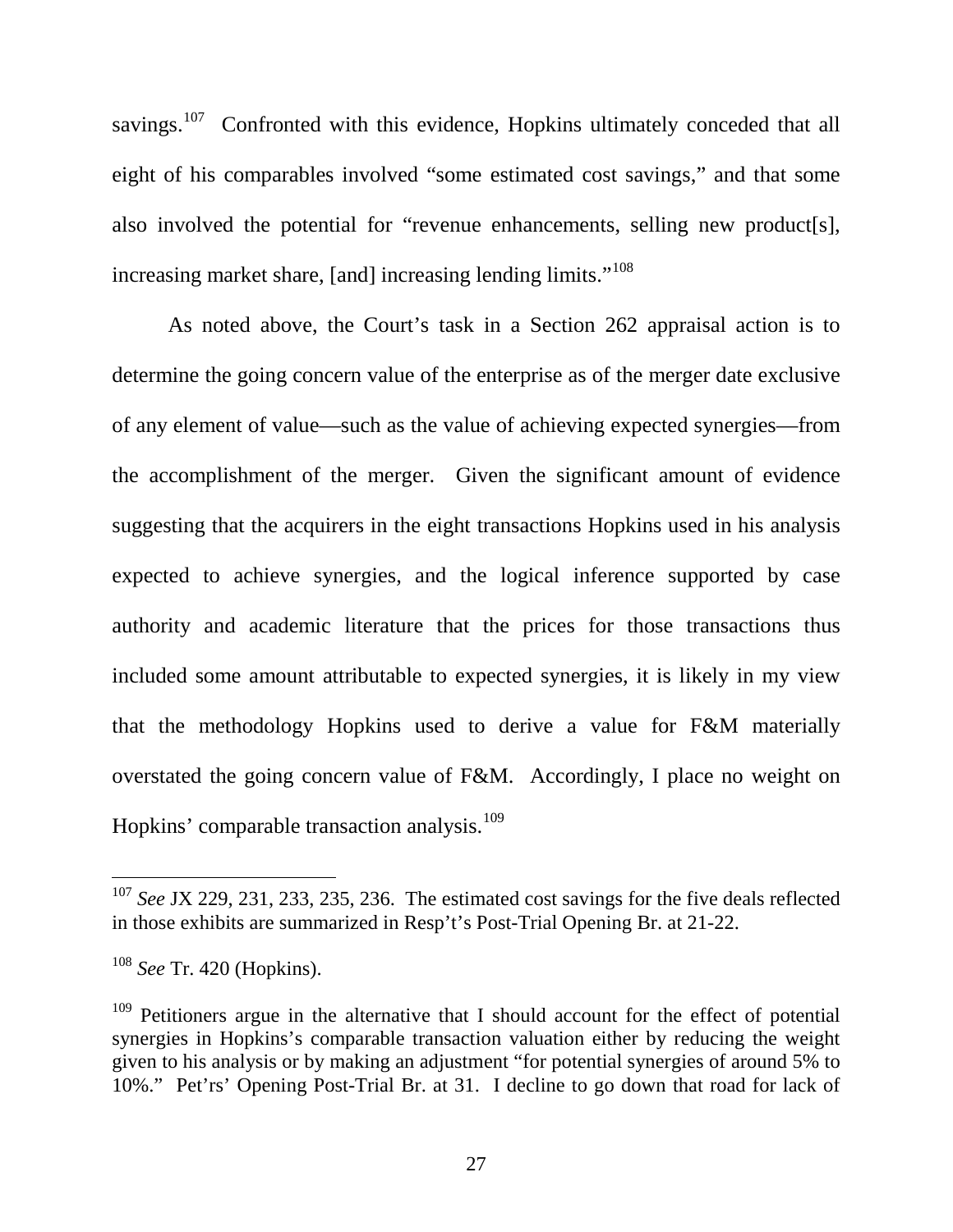savings.<sup>107</sup> Confronted with this evidence, Hopkins ultimately conceded that all eight of his comparables involved "some estimated cost savings," and that some also involved the potential for "revenue enhancements, selling new product[s], increasing market share, [and] increasing lending limits."<sup>[108](#page-27-1)</sup>

As noted above, the Court's task in a Section 262 appraisal action is to determine the going concern value of the enterprise as of the merger date exclusive of any element of value—such as the value of achieving expected synergies—from the accomplishment of the merger. Given the significant amount of evidence suggesting that the acquirers in the eight transactions Hopkins used in his analysis expected to achieve synergies, and the logical inference supported by case authority and academic literature that the prices for those transactions thus included some amount attributable to expected synergies, it is likely in my view that the methodology Hopkins used to derive a value for F&M materially overstated the going concern value of F&M. Accordingly, I place no weight on Hopkins' comparable transaction analysis.<sup>[109](#page-27-2)</sup>

<span id="page-27-0"></span><sup>107</sup> *See* JX 229, 231, 233, 235, 236. The estimated cost savings for the five deals reflected in those exhibits are summarized in Resp't's Post-Trial Opening Br. at 21-22.

<span id="page-27-1"></span><sup>108</sup> *See* Tr. 420 (Hopkins).

<span id="page-27-2"></span> $109$  Petitioners argue in the alternative that I should account for the effect of potential synergies in Hopkins's comparable transaction valuation either by reducing the weight given to his analysis or by making an adjustment "for potential synergies of around 5% to 10%." Pet'rs' Opening Post-Trial Br. at 31. I decline to go down that road for lack of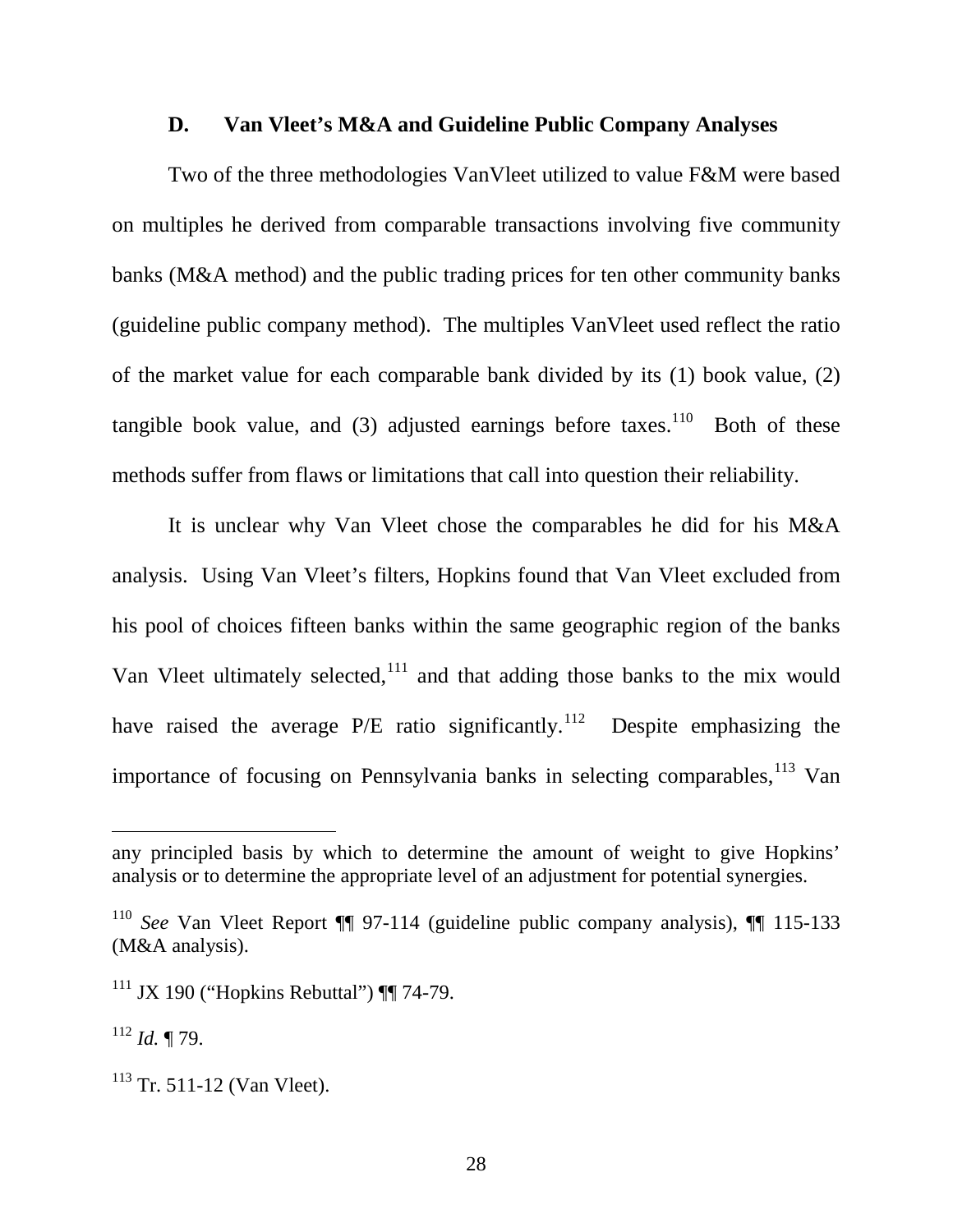### **D. Van Vleet's M&A and Guideline Public Company Analyses**

Two of the three methodologies VanVleet utilized to value F&M were based on multiples he derived from comparable transactions involving five community banks (M&A method) and the public trading prices for ten other community banks (guideline public company method). The multiples VanVleet used reflect the ratio of the market value for each comparable bank divided by its (1) book value, (2) tangible book value, and (3) adjusted earnings before taxes.<sup>110</sup> Both of these methods suffer from flaws or limitations that call into question their reliability.

It is unclear why Van Vleet chose the comparables he did for his M&A analysis. Using Van Vleet's filters, Hopkins found that Van Vleet excluded from his pool of choices fifteen banks within the same geographic region of the banks Van Vleet ultimately selected,<sup>[111](#page-28-1)</sup> and that adding those banks to the mix would have raised the average  $P/E$  ratio significantly.<sup>[112](#page-28-2)</sup> Despite emphasizing the importance of focusing on Pennsylvania banks in selecting comparables, <sup>[113](#page-28-3)</sup> Van

<span id="page-28-2"></span><sup>112</sup> *Id.* ¶ 79.

any principled basis by which to determine the amount of weight to give Hopkins' analysis or to determine the appropriate level of an adjustment for potential synergies.

<span id="page-28-0"></span><sup>110</sup> *See* Van Vleet Report ¶¶ 97-114 (guideline public company analysis), ¶¶ 115-133 (M&A analysis).

<span id="page-28-1"></span> $111$  JX 190 ("Hopkins Rebuttal") ¶ 74-79.

<span id="page-28-3"></span> $113$  Tr. 511-12 (Van Vleet).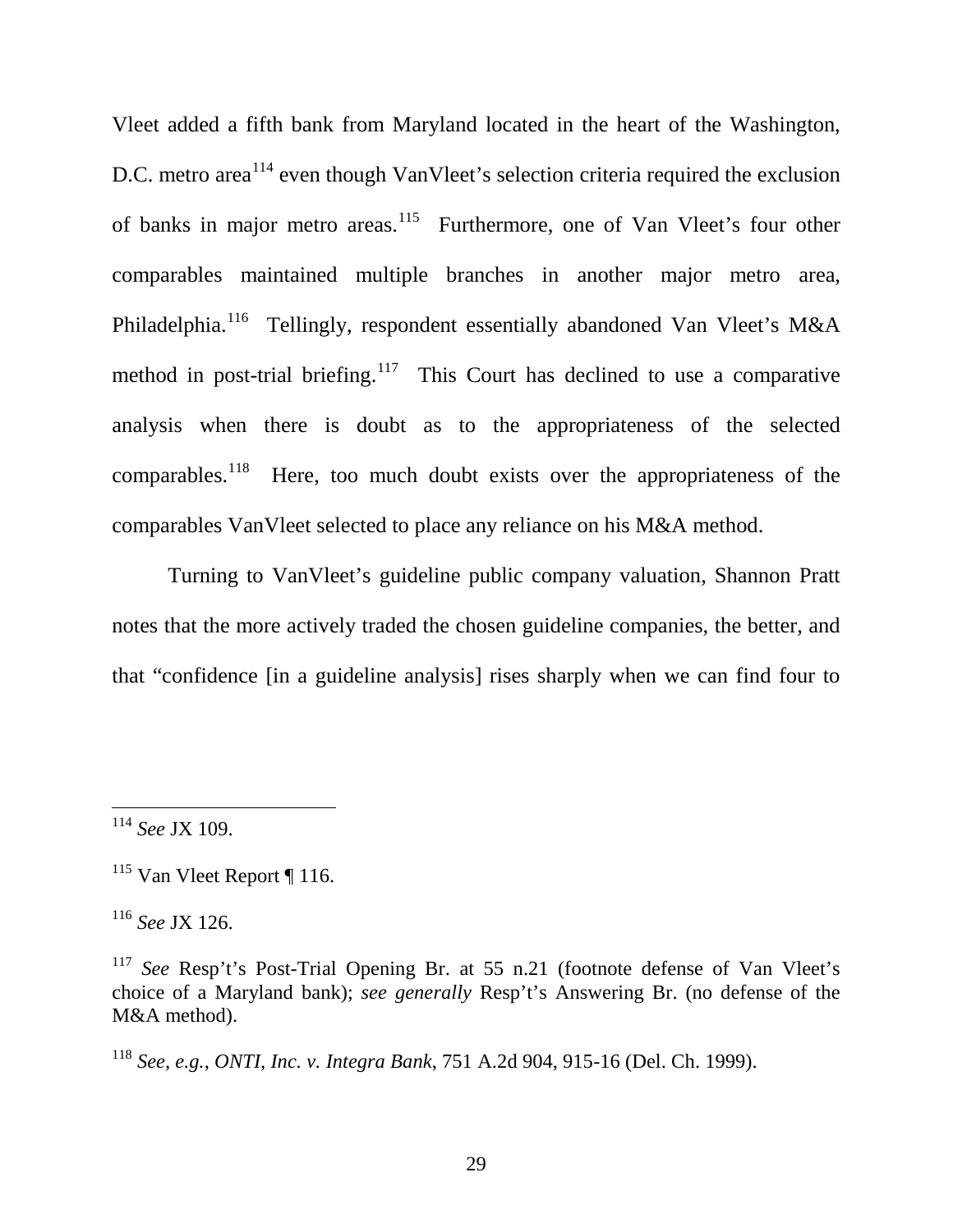Vleet added a fifth bank from Maryland located in the heart of the Washington, D.C. metro area<sup>[114](#page-29-0)</sup> even though VanVleet's selection criteria required the exclusion of banks in major metro areas.<sup>[115](#page-29-1)</sup> Furthermore, one of Van Vleet's four other comparables maintained multiple branches in another major metro area, Philadelphia.<sup>116</sup> Tellingly, respondent essentially abandoned Van Vleet's M&A method in post-trial briefing.<sup>[117](#page-29-3)</sup> This Court has declined to use a comparative analysis when there is doubt as to the appropriateness of the selected comparables.<sup>[118](#page-29-4)</sup> Here, too much doubt exists over the appropriateness of the comparables VanVleet selected to place any reliance on his M&A method.

Turning to VanVleet's guideline public company valuation, Shannon Pratt notes that the more actively traded the chosen guideline companies, the better, and that "confidence [in a guideline analysis] rises sharply when we can find four to

 $\overline{a}$ 

<span id="page-29-2"></span><sup>116</sup> *See* JX 126.

<span id="page-29-0"></span><sup>114</sup> *See* JX 109.

<span id="page-29-1"></span><sup>115</sup> Van Vleet Report ¶ 116.

<span id="page-29-3"></span><sup>117</sup> *See* Resp't's Post-Trial Opening Br. at 55 n.21 (footnote defense of Van Vleet's choice of a Maryland bank); *see generally* Resp't's Answering Br. (no defense of the M&A method).

<span id="page-29-4"></span><sup>118</sup> *See, e.g.*, *ONTI, Inc. v. Integra Bank*, 751 A.2d 904, 915-16 (Del. Ch. 1999).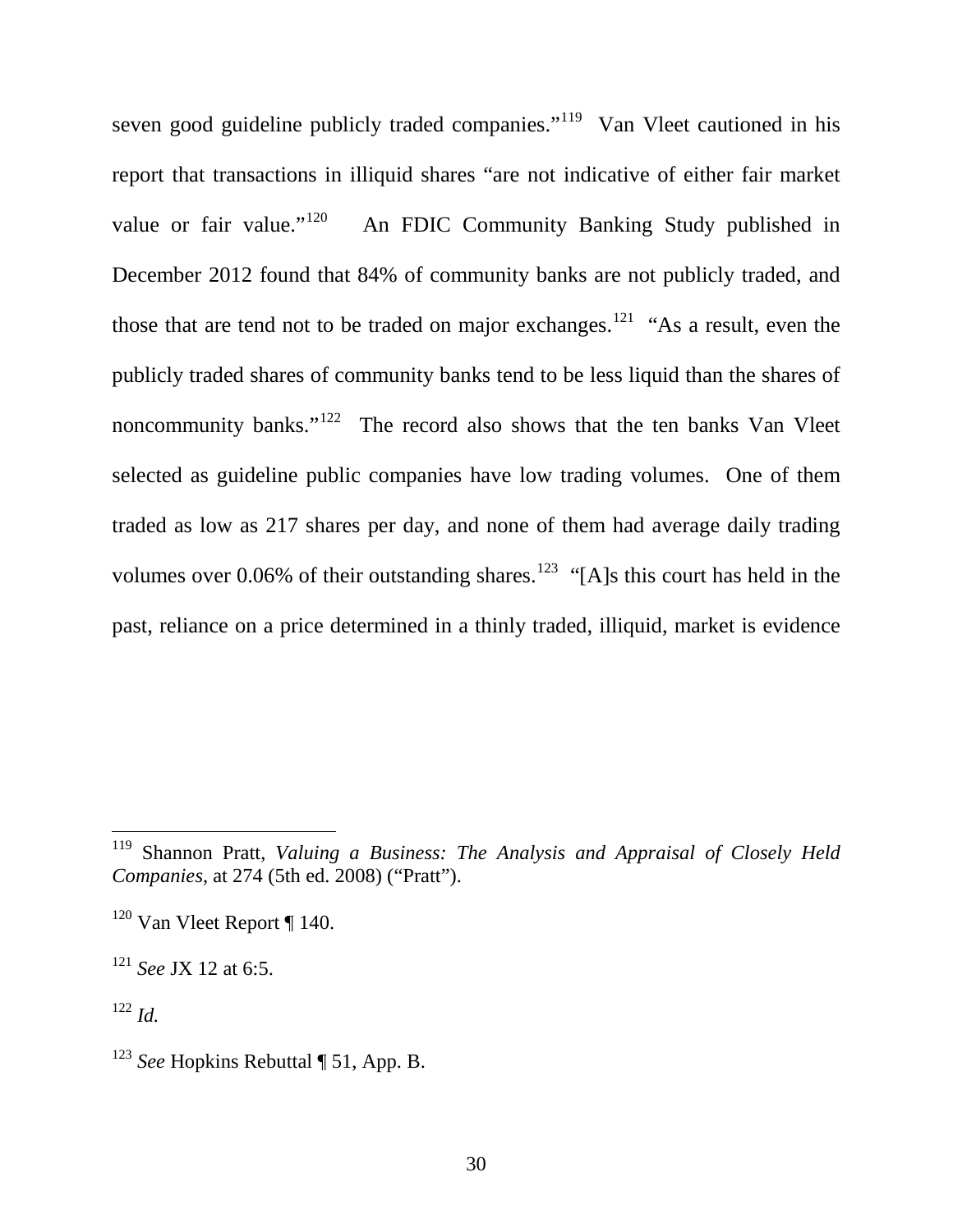seven good guideline publicly traded companies."<sup>[119](#page-30-0)</sup> Van Vleet cautioned in his report that transactions in illiquid shares "are not indicative of either fair market value or fair value."<sup>[120](#page-30-1)</sup> An FDIC Community Banking Study published in December 2012 found that 84% of community banks are not publicly traded, and those that are tend not to be traded on major exchanges.<sup>121</sup> "As a result, even the publicly traded shares of community banks tend to be less liquid than the shares of noncommunity banks."<sup>[122](#page-30-3)</sup> The record also shows that the ten banks Van Vleet selected as guideline public companies have low trading volumes. One of them traded as low as 217 shares per day, and none of them had average daily trading volumes over 0.06% of their outstanding shares.<sup>123</sup> "[A]s this court has held in the past, reliance on a price determined in a thinly traded, illiquid, market is evidence

<span id="page-30-3"></span> $^{122}$  *Id.* 

<span id="page-30-0"></span><sup>119</sup> Shannon Pratt, *Valuing a Business: The Analysis and Appraisal of Closely Held Companies*, at 274 (5th ed. 2008) ("Pratt").

<span id="page-30-1"></span> $120$  Van Vleet Report ¶ 140.

<span id="page-30-2"></span><sup>121</sup> *See* JX 12 at 6:5.

<span id="page-30-4"></span><sup>123</sup> *See* Hopkins Rebuttal ¶ 51, App. B.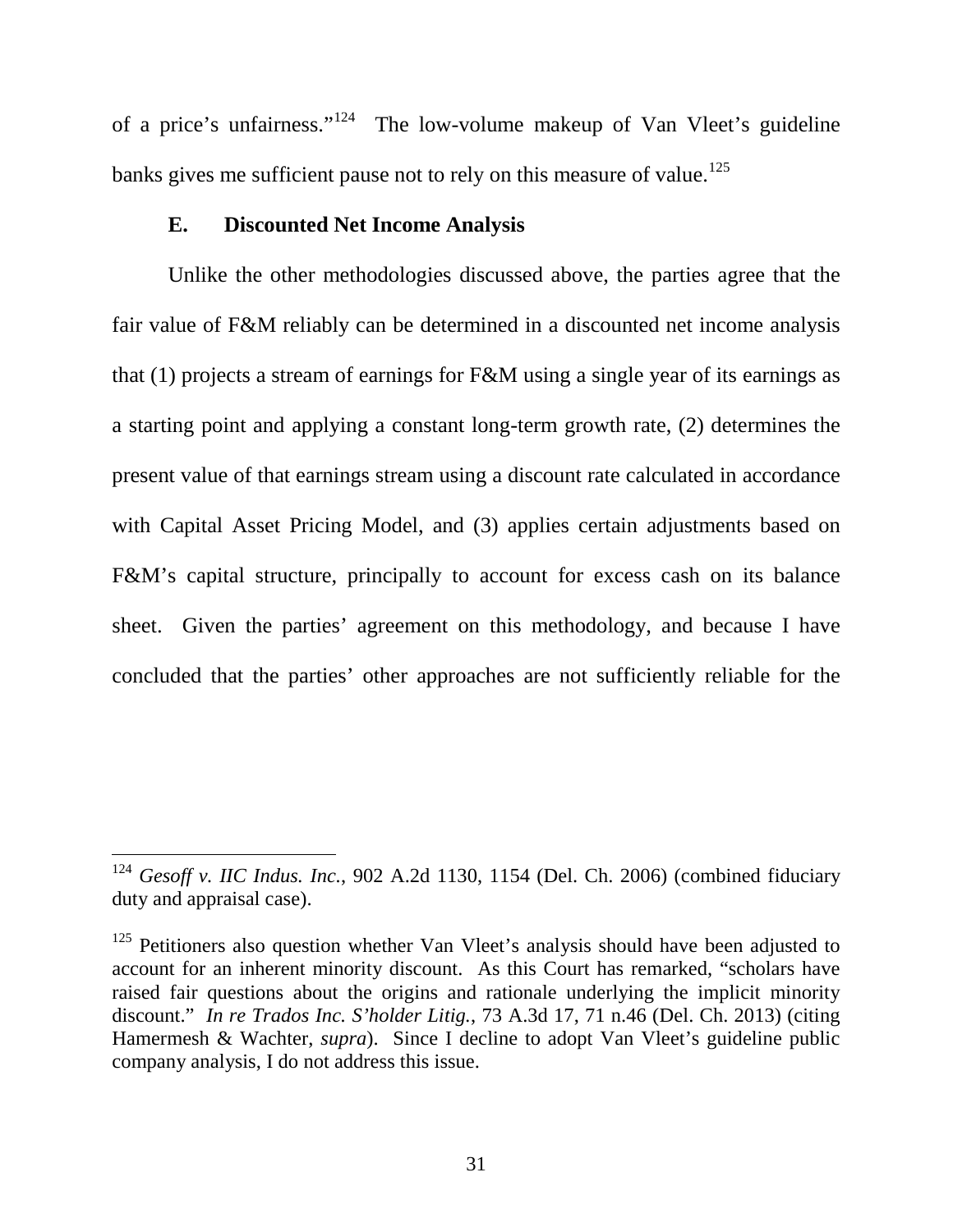of a price's unfairness."[124](#page-31-0) The low-volume makeup of Van Vleet's guideline banks gives me sufficient pause not to rely on this measure of value.<sup>[125](#page-31-1)</sup>

### **E. Discounted Net Income Analysis**

 $\overline{a}$ 

Unlike the other methodologies discussed above, the parties agree that the fair value of F&M reliably can be determined in a discounted net income analysis that (1) projects a stream of earnings for F&M using a single year of its earnings as a starting point and applying a constant long-term growth rate, (2) determines the present value of that earnings stream using a discount rate calculated in accordance with Capital Asset Pricing Model, and (3) applies certain adjustments based on F&M's capital structure, principally to account for excess cash on its balance sheet. Given the parties' agreement on this methodology, and because I have concluded that the parties' other approaches are not sufficiently reliable for the

<span id="page-31-0"></span><sup>124</sup> *Gesoff v. IIC Indus. Inc.*, 902 A.2d 1130, 1154 (Del. Ch. 2006) (combined fiduciary duty and appraisal case).

<span id="page-31-1"></span><sup>&</sup>lt;sup>125</sup> Petitioners also question whether Van Vleet's analysis should have been adjusted to account for an inherent minority discount. As this Court has remarked, "scholars have raised fair questions about the origins and rationale underlying the implicit minority discount." *In re Trados Inc. S'holder Litig.*, 73 A.3d 17, 71 n.46 (Del. Ch. 2013) (citing Hamermesh & Wachter, *supra*). Since I decline to adopt Van Vleet's guideline public company analysis, I do not address this issue.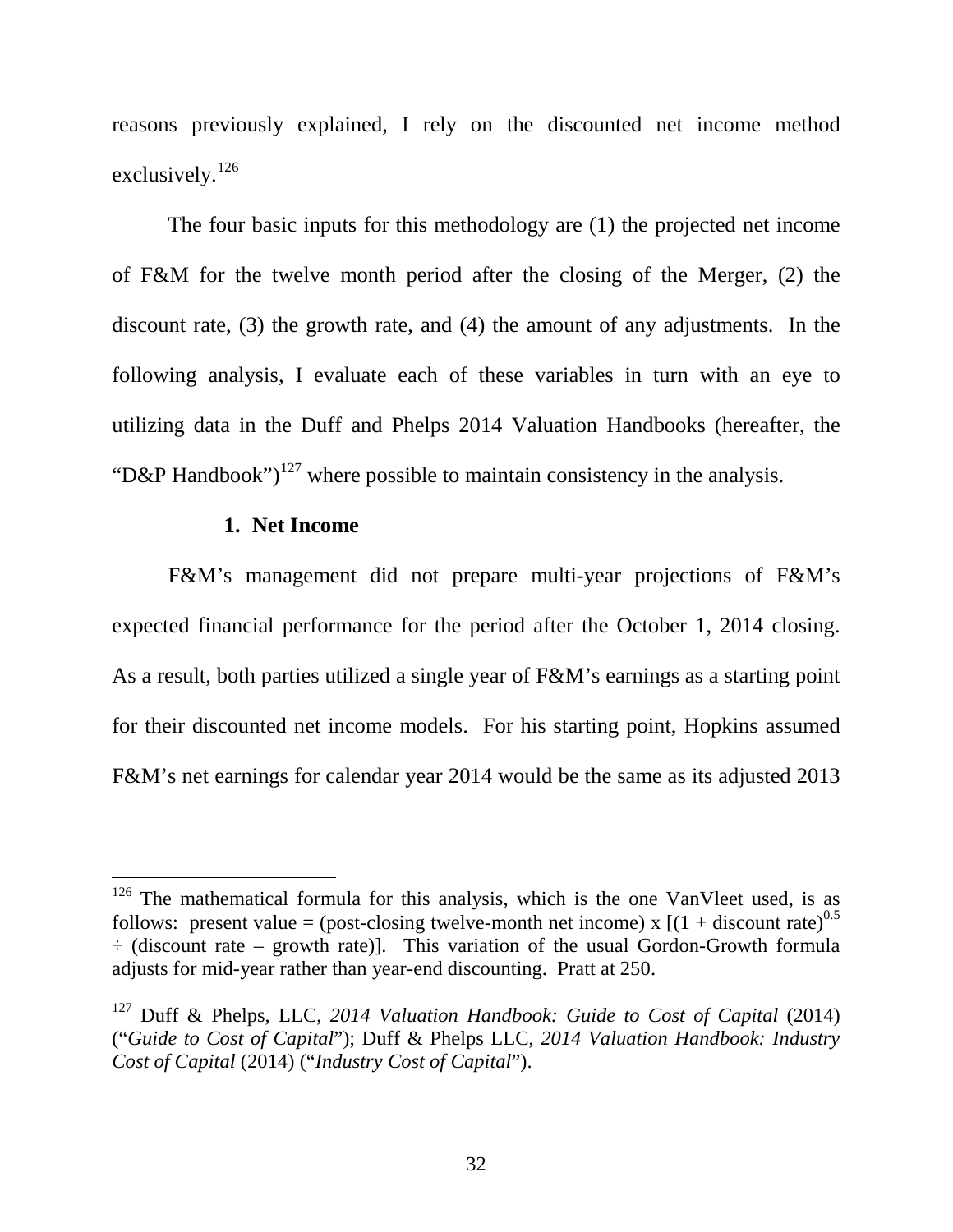reasons previously explained, I rely on the discounted net income method exclusively.<sup>[126](#page-32-0)</sup>

The four basic inputs for this methodology are (1) the projected net income of F&M for the twelve month period after the closing of the Merger, (2) the discount rate, (3) the growth rate, and (4) the amount of any adjustments. In the following analysis, I evaluate each of these variables in turn with an eye to utilizing data in the Duff and Phelps 2014 Valuation Handbooks (hereafter, the "D&P Handbook")<sup>[127](#page-32-1)</sup> where possible to maintain consistency in the analysis.

#### **1. Net Income**

 $\overline{a}$ 

F&M's management did not prepare multi-year projections of F&M's expected financial performance for the period after the October 1, 2014 closing. As a result, both parties utilized a single year of F&M's earnings as a starting point for their discounted net income models. For his starting point, Hopkins assumed F&M's net earnings for calendar year 2014 would be the same as its adjusted 2013

<span id="page-32-0"></span> $126$  The mathematical formula for this analysis, which is the one VanVleet used, is as follows: present value = (post-closing twelve-month net income) x  $[(1 + discount rate)^{0.5}]$  $\div$  (discount rate – growth rate)]. This variation of the usual Gordon-Growth formula adjusts for mid-year rather than year-end discounting. Pratt at 250.

<span id="page-32-1"></span><sup>127</sup> Duff & Phelps, LLC, *2014 Valuation Handbook: Guide to Cost of Capital* (2014) ("*Guide to Cost of Capital*"); Duff & Phelps LLC, *2014 Valuation Handbook: Industry Cost of Capital* (2014) ("*Industry Cost of Capital*").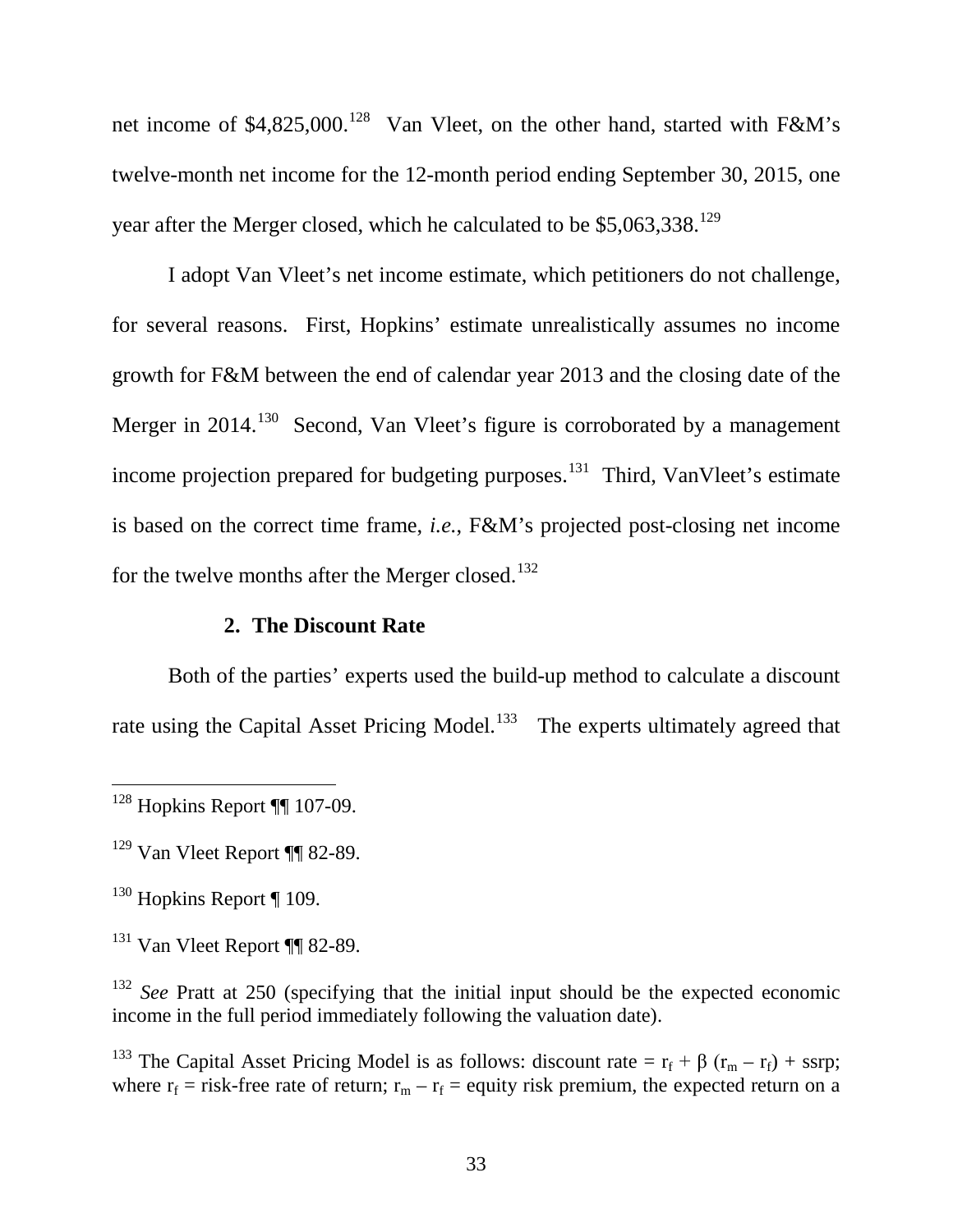net income of \$4,825,000.<sup>[128](#page-33-0)</sup> Van Vleet, on the other hand, started with  $F\&M$ 's twelve-month net income for the 12-month period ending September 30, 2015, one year after the Merger closed, which he calculated to be \$5,063,338.<sup>[129](#page-33-1)</sup>

I adopt Van Vleet's net income estimate, which petitioners do not challenge, for several reasons. First, Hopkins' estimate unrealistically assumes no income growth for F&M between the end of calendar year 2013 and the closing date of the Merger in 2014.<sup>[130](#page-33-2)</sup> Second, Van Vleet's figure is corroborated by a management income projection prepared for budgeting purposes.<sup>[131](#page-33-3)</sup> Third, VanVleet's estimate is based on the correct time frame, *i.e.*, F&M's projected post-closing net income for the twelve months after the Merger closed.<sup>[132](#page-33-4)</sup>

### **2. The Discount Rate**

Both of the parties' experts used the build-up method to calculate a discount rate using the Capital Asset Pricing Model.<sup>[133](#page-33-5)</sup> The experts ultimately agreed that

<span id="page-33-0"></span> $128$  Hopkins Report ¶ 107-09.  $\overline{a}$ 

<span id="page-33-1"></span><sup>129</sup> Van Vleet Report ¶¶ 82-89.

<span id="page-33-2"></span><sup>&</sup>lt;sup>130</sup> Hopkins Report ¶ 109.

<span id="page-33-3"></span><sup>131</sup> Van Vleet Report ¶¶ 82-89.

<span id="page-33-4"></span><sup>&</sup>lt;sup>132</sup> *See* Pratt at 250 (specifying that the initial input should be the expected economic income in the full period immediately following the valuation date).

<span id="page-33-5"></span><sup>&</sup>lt;sup>133</sup> The Capital Asset Pricing Model is as follows: discount rate =  $r_f + \beta (r_m - r_f) + ssrp$ ; where  $r_f$  = risk-free rate of return;  $r_m - r_f$  = equity risk premium, the expected return on a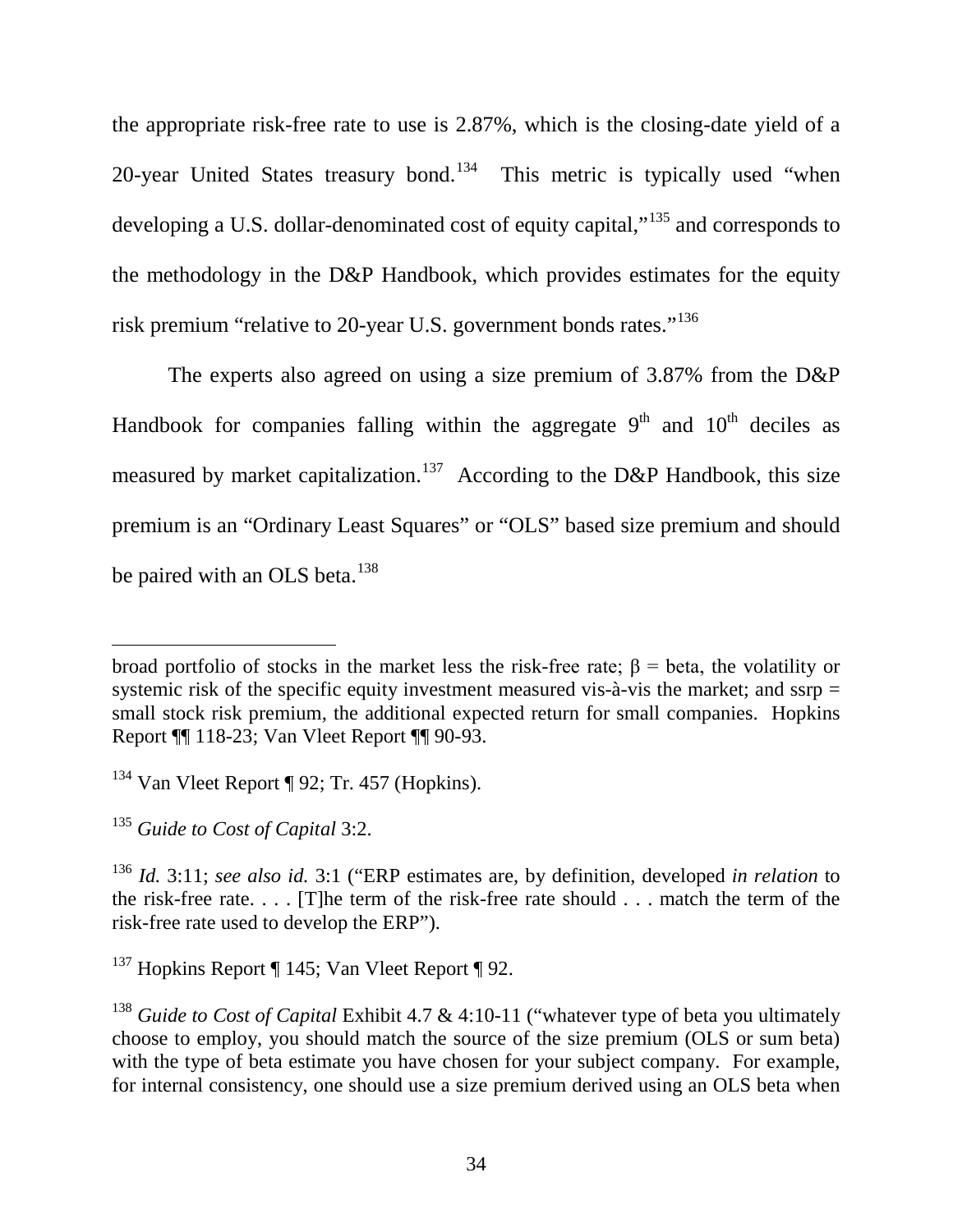the appropriate risk-free rate to use is 2.87%, which is the closing-date yield of a 20-year United States treasury bond.<sup>134</sup> This metric is typically used "when developing a U.S. dollar-denominated cost of equity capital,"<sup>[135](#page-34-1)</sup> and corresponds to the methodology in the D&P Handbook, which provides estimates for the equity risk premium "relative to 20-year U.S. government bonds rates."[136](#page-34-2) 

The experts also agreed on using a size premium of 3.87% from the D&P Handbook for companies falling within the aggregate  $9<sup>th</sup>$  and  $10<sup>th</sup>$  deciles as measured by market capitalization.<sup>[137](#page-34-3)</sup> According to the D&P Handbook, this size premium is an "Ordinary Least Squares" or "OLS" based size premium and should be paired with an OLS beta.<sup>[138](#page-34-4)</sup>

broad portfolio of stocks in the market less the risk-free rate;  $β = beta$ , the volatility or systemic risk of the specific equity investment measured vis- $\hat{a}$ -vis the market; and ssrp = small stock risk premium, the additional expected return for small companies. Hopkins Report ¶¶ 118-23; Van Vleet Report ¶¶ 90-93.

<span id="page-34-0"></span><sup>134</sup> Van Vleet Report ¶ 92; Tr. 457 (Hopkins).

<span id="page-34-1"></span><sup>135</sup> *Guide to Cost of Capital* 3:2.

<span id="page-34-2"></span><sup>136</sup> *Id.* 3:11; *see also id.* 3:1 ("ERP estimates are, by definition, developed *in relation* to the risk-free rate. . . . [T]he term of the risk-free rate should . . . match the term of the risk-free rate used to develop the ERP").

<span id="page-34-3"></span><sup>137</sup> Hopkins Report ¶ 145; Van Vleet Report ¶ 92.

<span id="page-34-4"></span><sup>&</sup>lt;sup>138</sup> *Guide to Cost of Capital* Exhibit 4.7 & 4:10-11 ("whatever type of beta you ultimately choose to employ, you should match the source of the size premium (OLS or sum beta) with the type of beta estimate you have chosen for your subject company. For example, for internal consistency, one should use a size premium derived using an OLS beta when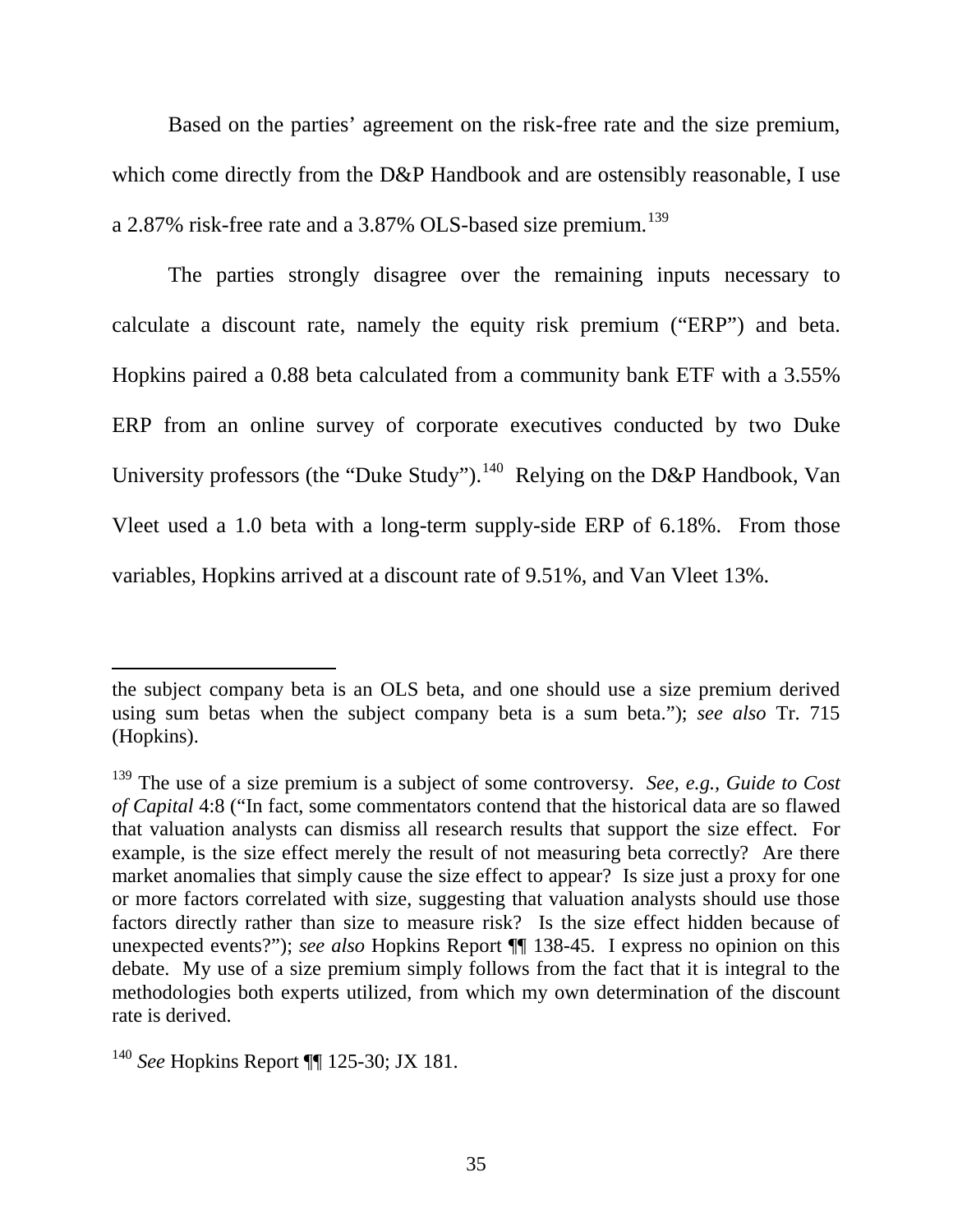Based on the parties' agreement on the risk-free rate and the size premium, which come directly from the D&P Handbook and are ostensibly reasonable, I use a 2.87% risk-free rate and a 3.87% OLS-based size premium.<sup>139</sup>

The parties strongly disagree over the remaining inputs necessary to calculate a discount rate, namely the equity risk premium ("ERP") and beta. Hopkins paired a 0.88 beta calculated from a community bank ETF with a 3.55% ERP from an online survey of corporate executives conducted by two Duke University professors (the "Duke Study").<sup>140</sup> Relying on the D&P Handbook, Van Vleet used a 1.0 beta with a long-term supply-side ERP of 6.18%. From those variables, Hopkins arrived at a discount rate of 9.51%, and Van Vleet 13%.

the subject company beta is an OLS beta, and one should use a size premium derived using sum betas when the subject company beta is a sum beta."); *see also* Tr. 715 (Hopkins).  $\overline{a}$ 

<span id="page-35-0"></span><sup>139</sup> The use of a size premium is a subject of some controversy. *See, e.g., Guide to Cost of Capital* 4:8 ("In fact, some commentators contend that the historical data are so flawed that valuation analysts can dismiss all research results that support the size effect. For example, is the size effect merely the result of not measuring beta correctly? Are there market anomalies that simply cause the size effect to appear? Is size just a proxy for one or more factors correlated with size, suggesting that valuation analysts should use those factors directly rather than size to measure risk? Is the size effect hidden because of unexpected events?"); *see also* Hopkins Report ¶¶ 138-45. I express no opinion on this debate. My use of a size premium simply follows from the fact that it is integral to the methodologies both experts utilized, from which my own determination of the discount rate is derived.

<span id="page-35-1"></span><sup>140</sup> *See* Hopkins Report ¶¶ 125-30; JX 181.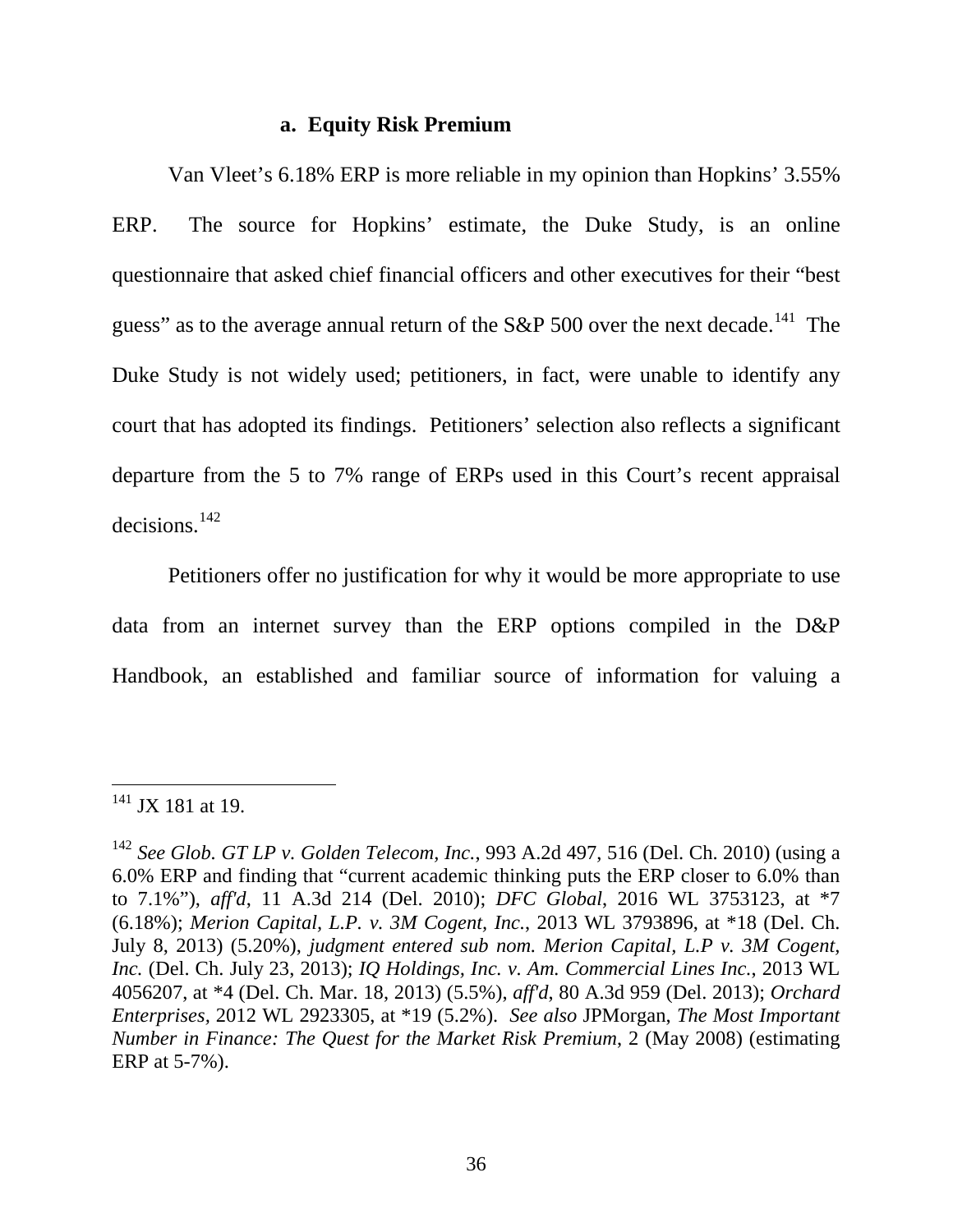#### **a. Equity Risk Premium**

Van Vleet's 6.18% ERP is more reliable in my opinion than Hopkins' 3.55% ERP. The source for Hopkins' estimate, the Duke Study, is an online questionnaire that asked chief financial officers and other executives for their "best guess" as to the average annual return of the S&P 500 over the next decade.<sup>[141](#page-36-0)</sup> The Duke Study is not widely used; petitioners, in fact, were unable to identify any court that has adopted its findings. Petitioners' selection also reflects a significant departure from the 5 to 7% range of ERPs used in this Court's recent appraisal decisions. [142](#page-36-1) 

Petitioners offer no justification for why it would be more appropriate to use data from an internet survey than the ERP options compiled in the D&P Handbook, an established and familiar source of information for valuing a

<span id="page-36-0"></span> $141$  JX 181 at 19.

<span id="page-36-1"></span><sup>142</sup> *See Glob. GT LP v. Golden Telecom, Inc.*, 993 A.2d 497, 516 (Del. Ch. 2010) (using a 6.0% ERP and finding that "current academic thinking puts the ERP closer to 6.0% than to 7.1%"), *aff'd*, 11 A.3d 214 (Del. 2010); *DFC Global*, 2016 WL 3753123, at \*7 (6.18%); *Merion Capital, L.P. v. 3M Cogent, Inc.*, 2013 WL 3793896, at \*18 (Del. Ch. July 8, 2013) (5.20%), *judgment entered sub nom. Merion Capital, L.P v. 3M Cogent, Inc.* (Del. Ch. July 23, 2013); *IQ Holdings, Inc. v. Am. Commercial Lines Inc.*, 2013 WL 4056207, at \*4 (Del. Ch. Mar. 18, 2013) (5.5%), *aff'd*, 80 A.3d 959 (Del. 2013); *Orchard Enterprises,* 2012 WL 2923305, at \*19 (5.2%). *See also* JPMorgan, *The Most Important Number in Finance: The Quest for the Market Risk Premium*, 2 (May 2008) (estimating ERP at 5-7%).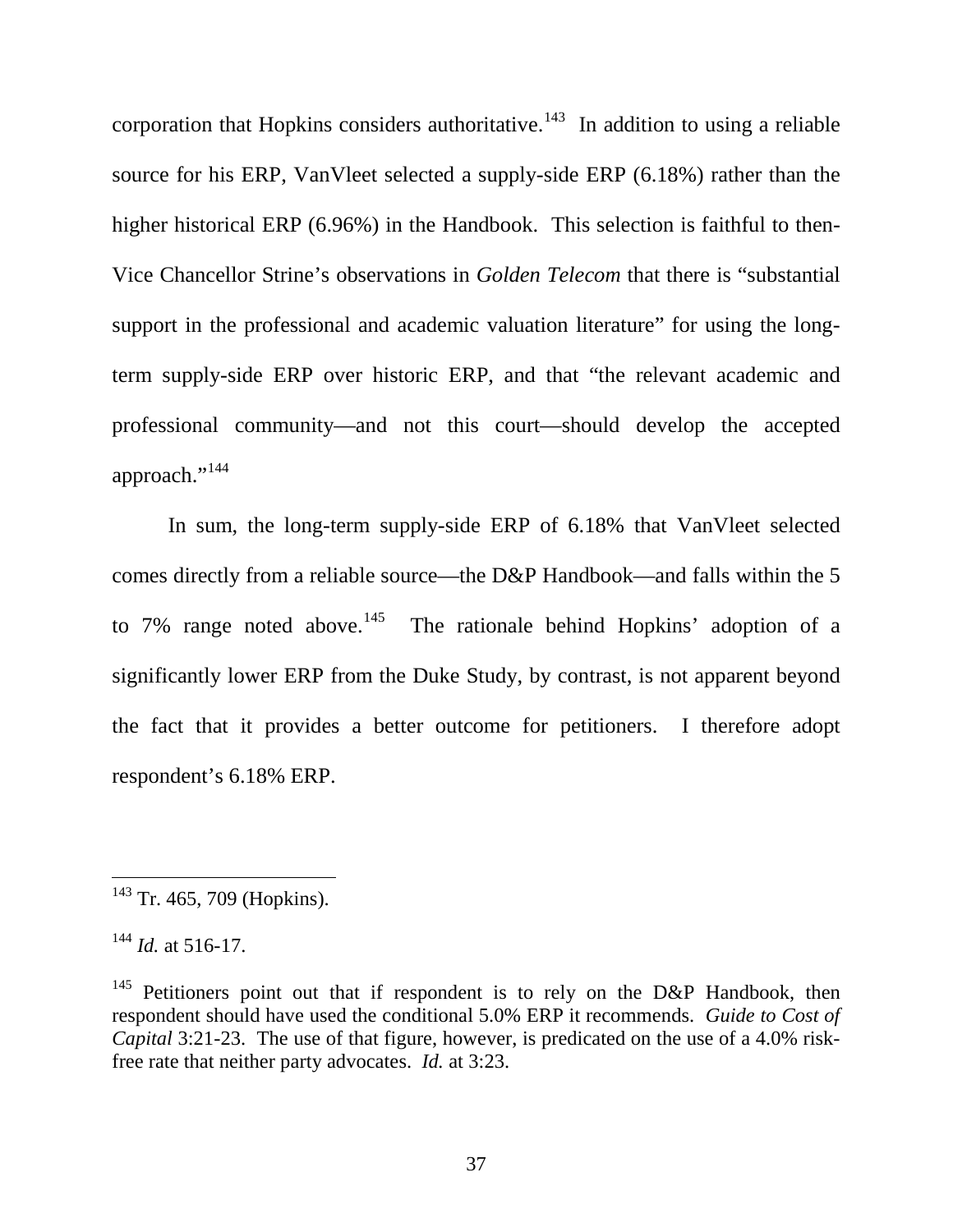corporation that Hopkins considers authoritative.<sup>[143](#page-37-0)</sup> In addition to using a reliable source for his ERP, VanVleet selected a supply-side ERP (6.18%) rather than the higher historical ERP (6.96%) in the Handbook. This selection is faithful to then-Vice Chancellor Strine's observations in *Golden Telecom* that there is "substantial support in the professional and academic valuation literature" for using the longterm supply-side ERP over historic ERP, and that "the relevant academic and professional community—and not this court—should develop the accepted approach."<sup>[144](#page-37-1)</sup>

In sum, the long-term supply-side ERP of 6.18% that VanVleet selected comes directly from a reliable source—the D&P Handbook—and falls within the 5 to 7% range noted above.<sup>[145](#page-37-2)</sup> The rationale behind Hopkins' adoption of a significantly lower ERP from the Duke Study, by contrast, is not apparent beyond the fact that it provides a better outcome for petitioners. I therefore adopt respondent's 6.18% ERP.

<span id="page-37-0"></span> $143$  Tr. 465, 709 (Hopkins).

<span id="page-37-1"></span> $^{144}$  *Id.* at 516-17.

<span id="page-37-2"></span><sup>&</sup>lt;sup>145</sup> Petitioners point out that if respondent is to rely on the D&P Handbook, then respondent should have used the conditional 5.0% ERP it recommends. *Guide to Cost of Capital* 3:21-23. The use of that figure, however, is predicated on the use of a 4.0% riskfree rate that neither party advocates. *Id.* at 3:23.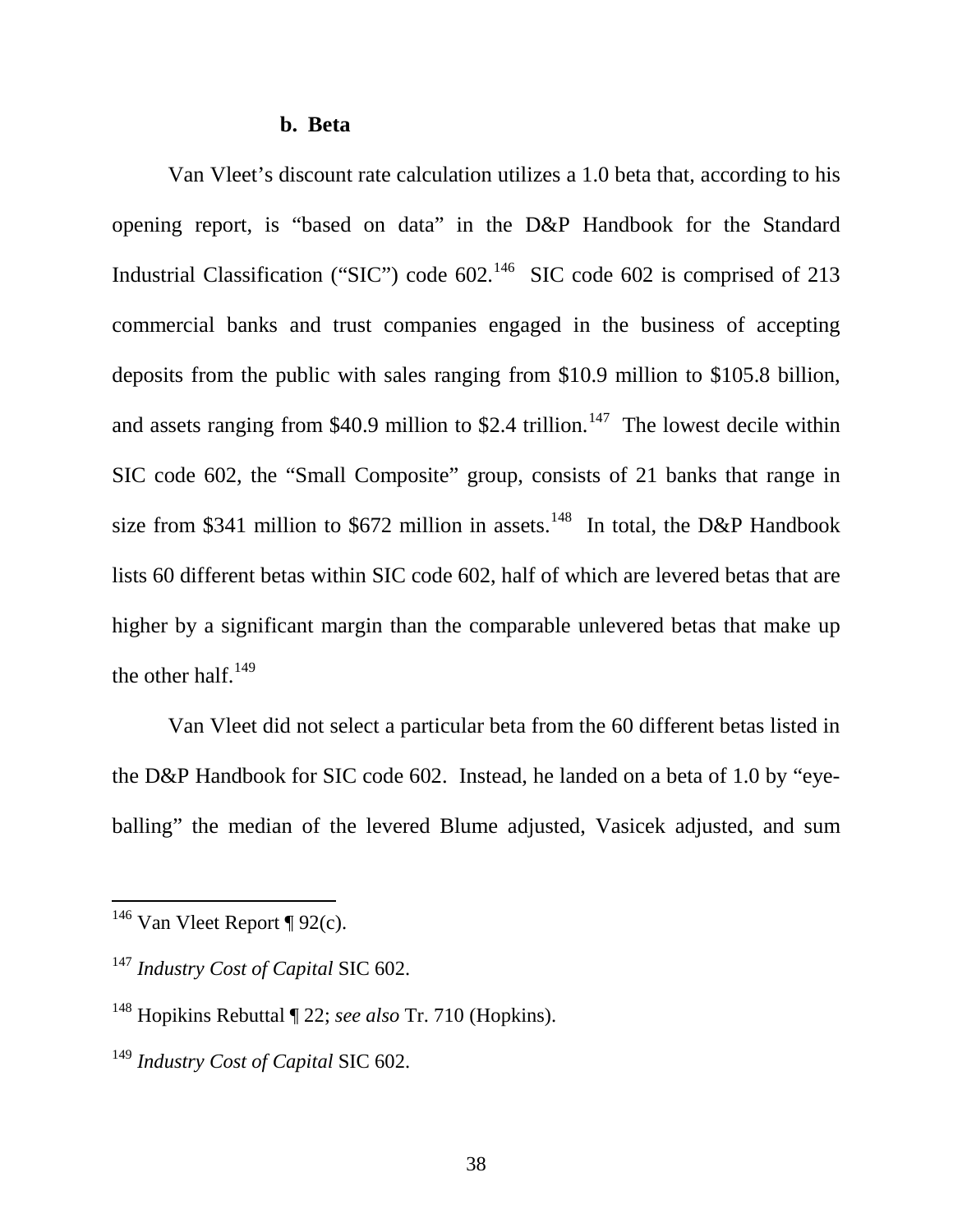#### **b. Beta**

Van Vleet's discount rate calculation utilizes a 1.0 beta that, according to his opening report, is "based on data" in the D&P Handbook for the Standard Industrial Classification ("SIC") code  $602$ .<sup>[146](#page-38-0)</sup> SIC code  $602$  is comprised of 213 commercial banks and trust companies engaged in the business of accepting deposits from the public with sales ranging from \$10.9 million to \$105.8 billion, and assets ranging from \$40.9 million to \$2.4 trillion.<sup>[147](#page-38-1)</sup> The lowest decile within SIC code 602, the "Small Composite" group, consists of 21 banks that range in size from \$341 million to \$672 million in assets.<sup>148</sup> In total, the D&P Handbook lists 60 different betas within SIC code 602, half of which are levered betas that are higher by a significant margin than the comparable unlevered betas that make up the other half. $149$ 

Van Vleet did not select a particular beta from the 60 different betas listed in the D&P Handbook for SIC code 602. Instead, he landed on a beta of 1.0 by "eyeballing" the median of the levered Blume adjusted, Vasicek adjusted, and sum

<span id="page-38-0"></span><sup>&</sup>lt;sup>146</sup> Van Vleet Report ¶ 92 $(c)$ .

<span id="page-38-1"></span><sup>147</sup> *Industry Cost of Capital* SIC 602.

<span id="page-38-2"></span><sup>148</sup> Hopikins Rebuttal ¶ 22; *see also* Tr. 710 (Hopkins).

<span id="page-38-3"></span><sup>149</sup> *Industry Cost of Capital* SIC 602.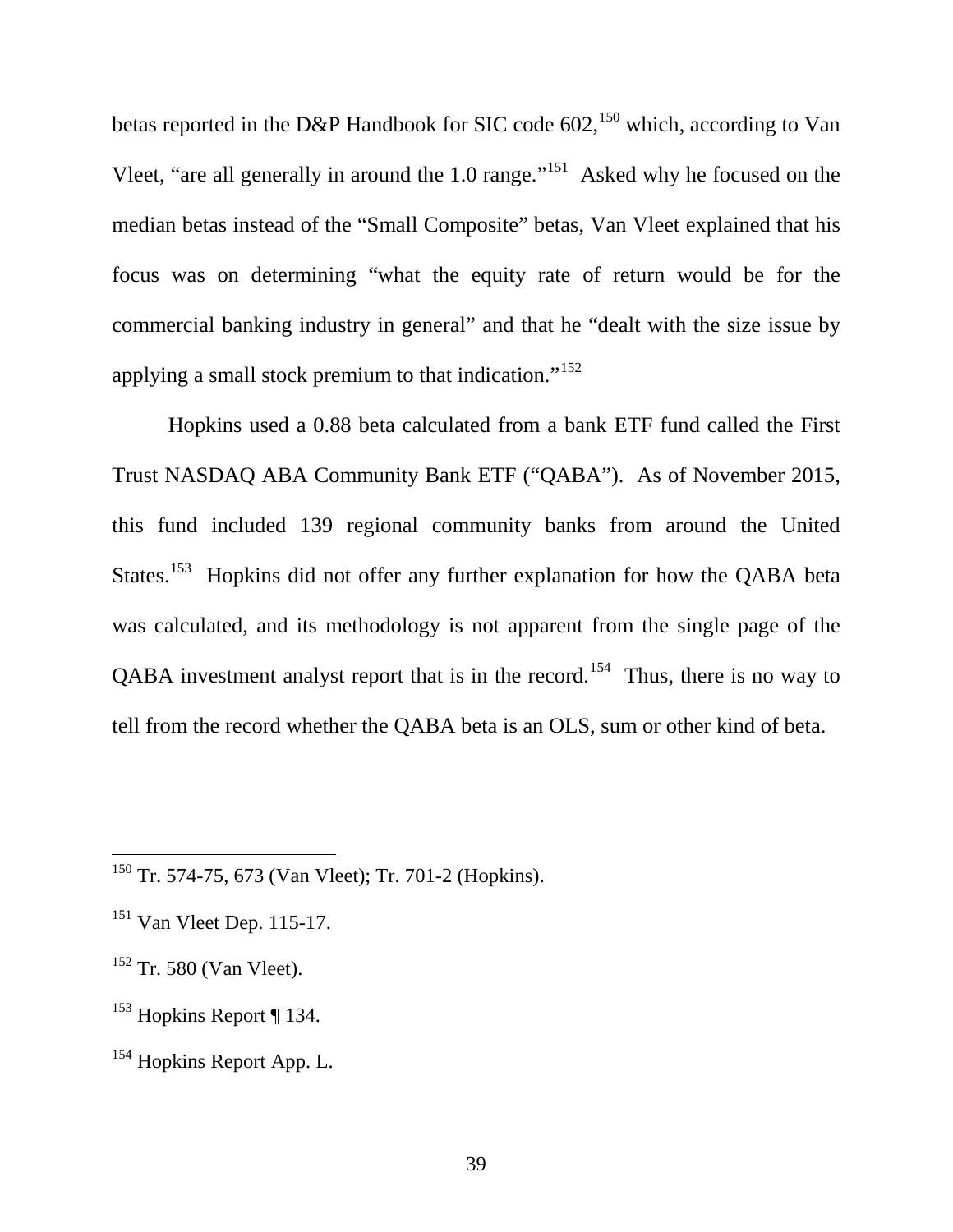betas reported in the D&P Handbook for SIC code 602,<sup>[150](#page-39-0)</sup> which, according to Van Vleet, "are all generally in around the 1.0 range."[151](#page-39-1) Asked why he focused on the median betas instead of the "Small Composite" betas, Van Vleet explained that his focus was on determining "what the equity rate of return would be for the commercial banking industry in general" and that he "dealt with the size issue by applying a small stock premium to that indication."<sup>[152](#page-39-2)</sup>

Hopkins used a 0.88 beta calculated from a bank ETF fund called the First Trust NASDAQ ABA Community Bank ETF ("QABA"). As of November 2015, this fund included 139 regional community banks from around the United States.<sup>[153](#page-39-3)</sup> Hopkins did not offer any further explanation for how the OABA beta was calculated, and its methodology is not apparent from the single page of the QABA investment analyst report that is in the record.<sup>154</sup> Thus, there is no way to tell from the record whether the QABA beta is an OLS, sum or other kind of beta.

<span id="page-39-0"></span><sup>&</sup>lt;sup>150</sup> Tr. 574-75, 673 (Van Vleet); Tr. 701-2 (Hopkins).  $\overline{a}$ 

<span id="page-39-1"></span><sup>151</sup> Van Vleet Dep. 115-17.

<span id="page-39-2"></span> $152$  Tr. 580 (Van Vleet).

<span id="page-39-3"></span><sup>&</sup>lt;sup>153</sup> Hopkins Report ¶ 134.

<span id="page-39-4"></span><sup>&</sup>lt;sup>154</sup> Hopkins Report App. L.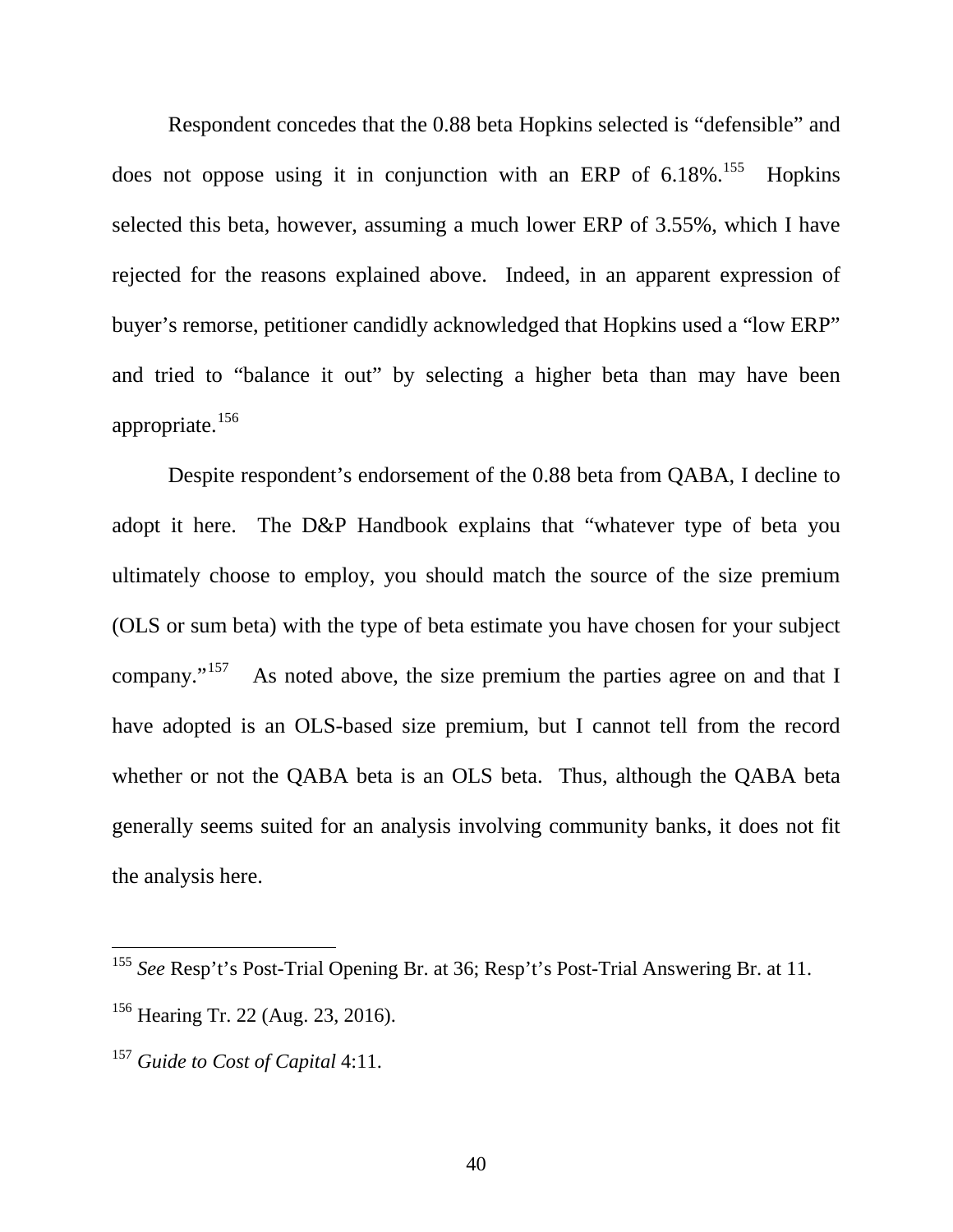Respondent concedes that the 0.88 beta Hopkins selected is "defensible" and does not oppose using it in conjunction with an ERP of  $6.18\%$ .<sup>[155](#page-40-0)</sup> Hopkins selected this beta, however, assuming a much lower ERP of 3.55%, which I have rejected for the reasons explained above. Indeed, in an apparent expression of buyer's remorse, petitioner candidly acknowledged that Hopkins used a "low ERP" and tried to "balance it out" by selecting a higher beta than may have been appropriate. [156](#page-40-1)

Despite respondent's endorsement of the 0.88 beta from QABA, I decline to adopt it here. The D&P Handbook explains that "whatever type of beta you ultimately choose to employ, you should match the source of the size premium (OLS or sum beta) with the type of beta estimate you have chosen for your subject company."[157](#page-40-2) As noted above, the size premium the parties agree on and that I have adopted is an OLS-based size premium, but I cannot tell from the record whether or not the QABA beta is an OLS beta. Thus, although the QABA beta generally seems suited for an analysis involving community banks, it does not fit the analysis here.

<span id="page-40-0"></span><sup>155</sup> *See* Resp't's Post-Trial Opening Br. at 36; Resp't's Post-Trial Answering Br. at 11.

<span id="page-40-1"></span><sup>156</sup> Hearing Tr. 22 (Aug. 23, 2016).

<span id="page-40-2"></span><sup>157</sup> *Guide to Cost of Capital* 4:11.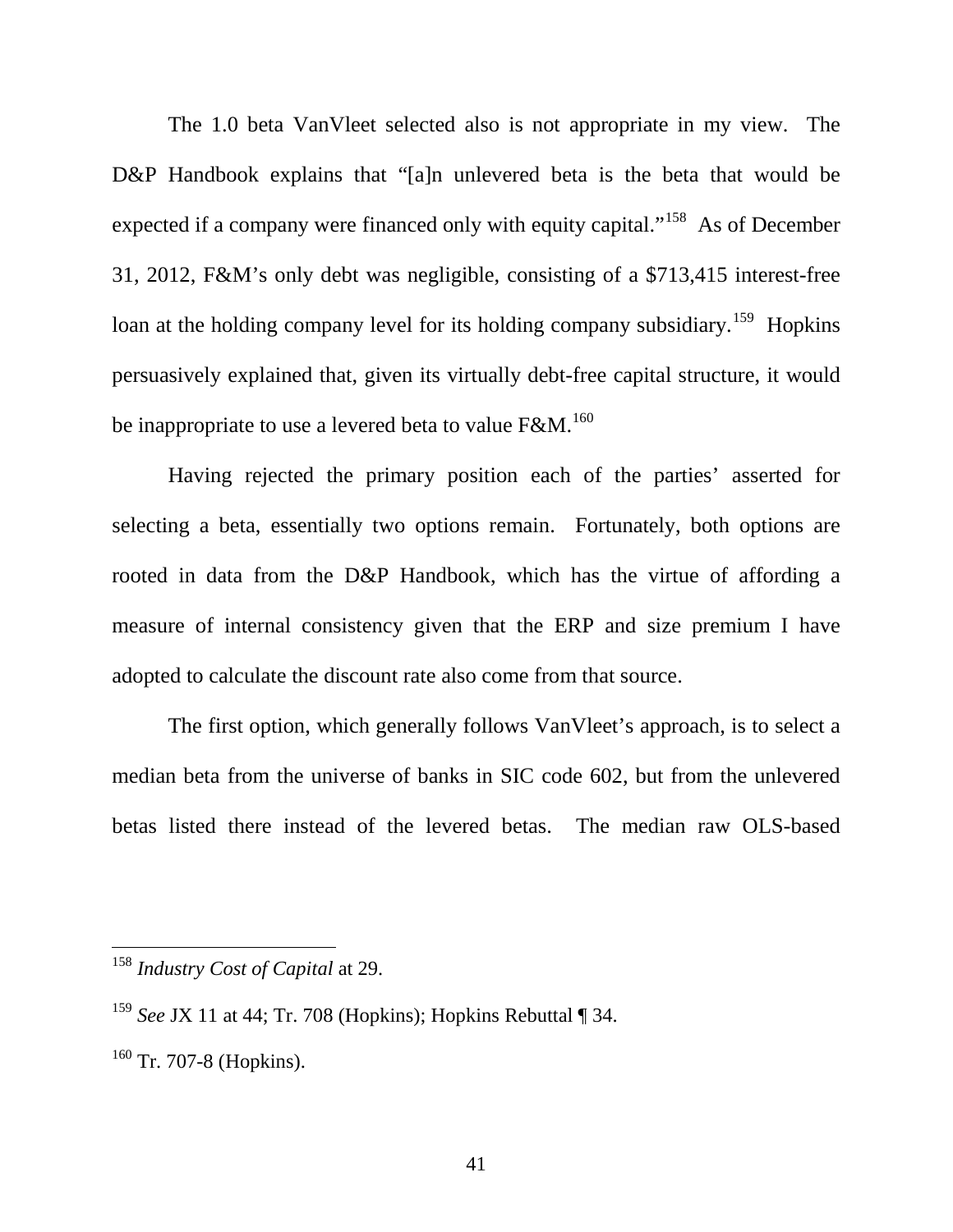The 1.0 beta VanVleet selected also is not appropriate in my view. The D&P Handbook explains that "[a]n unlevered beta is the beta that would be expected if a company were financed only with equity capital."<sup>[158](#page-41-0)</sup> As of December 31, 2012, F&M's only debt was negligible, consisting of a \$713,415 interest-free loan at the holding company level for its holding company subsidiary.<sup>[159](#page-41-1)</sup> Hopkins persuasively explained that, given its virtually debt-free capital structure, it would be inappropriate to use a levered beta to value  $F\&M$ .<sup>160</sup>

Having rejected the primary position each of the parties' asserted for selecting a beta, essentially two options remain. Fortunately, both options are rooted in data from the D&P Handbook, which has the virtue of affording a measure of internal consistency given that the ERP and size premium I have adopted to calculate the discount rate also come from that source.

The first option, which generally follows VanVleet's approach, is to select a median beta from the universe of banks in SIC code 602, but from the unlevered betas listed there instead of the levered betas. The median raw OLS-based

<span id="page-41-0"></span><sup>158</sup> *Industry Cost of Capital* at 29.

<span id="page-41-1"></span><sup>159</sup> *See* JX 11 at 44; Tr. 708 (Hopkins); Hopkins Rebuttal ¶ 34.

<span id="page-41-2"></span> $160$  Tr. 707-8 (Hopkins).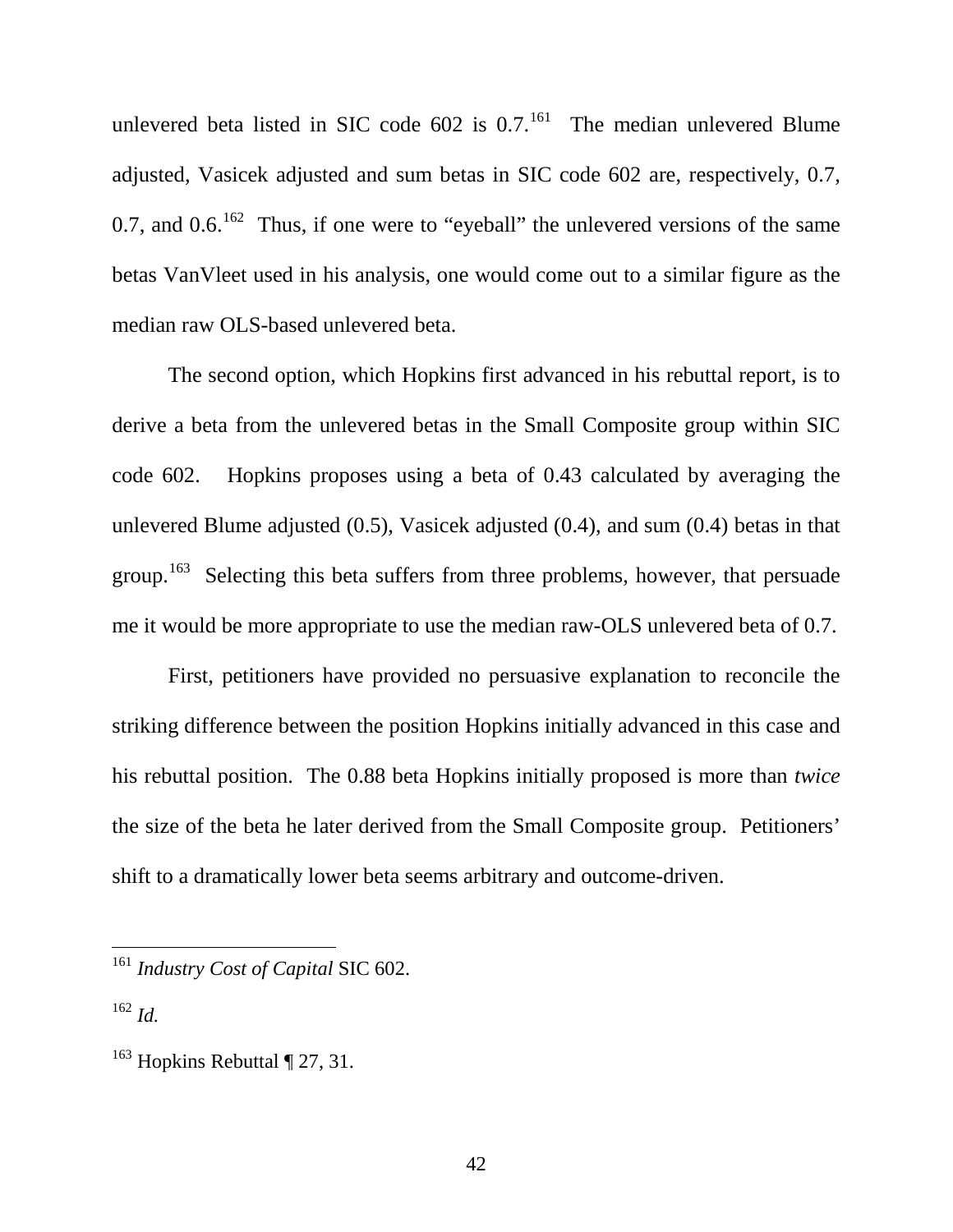unlevered beta listed in SIC code  $602$  is 0.7.<sup>[161](#page-42-0)</sup> The median unlevered Blume adjusted, Vasicek adjusted and sum betas in SIC code 602 are, respectively, 0.7, 0.7, and 0.6.<sup>162</sup> Thus, if one were to "eyeball" the unlevered versions of the same betas VanVleet used in his analysis, one would come out to a similar figure as the median raw OLS-based unlevered beta.

The second option, which Hopkins first advanced in his rebuttal report, is to derive a beta from the unlevered betas in the Small Composite group within SIC code 602. Hopkins proposes using a beta of 0.43 calculated by averaging the unlevered Blume adjusted (0.5), Vasicek adjusted (0.4), and sum (0.4) betas in that group.<sup>[163](#page-42-2)</sup> Selecting this beta suffers from three problems, however, that persuade me it would be more appropriate to use the median raw-OLS unlevered beta of 0.7.

First, petitioners have provided no persuasive explanation to reconcile the striking difference between the position Hopkins initially advanced in this case and his rebuttal position. The 0.88 beta Hopkins initially proposed is more than *twice* the size of the beta he later derived from the Small Composite group. Petitioners' shift to a dramatically lower beta seems arbitrary and outcome-driven.

<span id="page-42-0"></span><sup>161</sup> *Industry Cost of Capital* SIC 602.

<span id="page-42-1"></span><sup>162</sup> *Id.*

<span id="page-42-2"></span><sup>&</sup>lt;sup>163</sup> Hopkins Rebuttal ¶ 27, 31.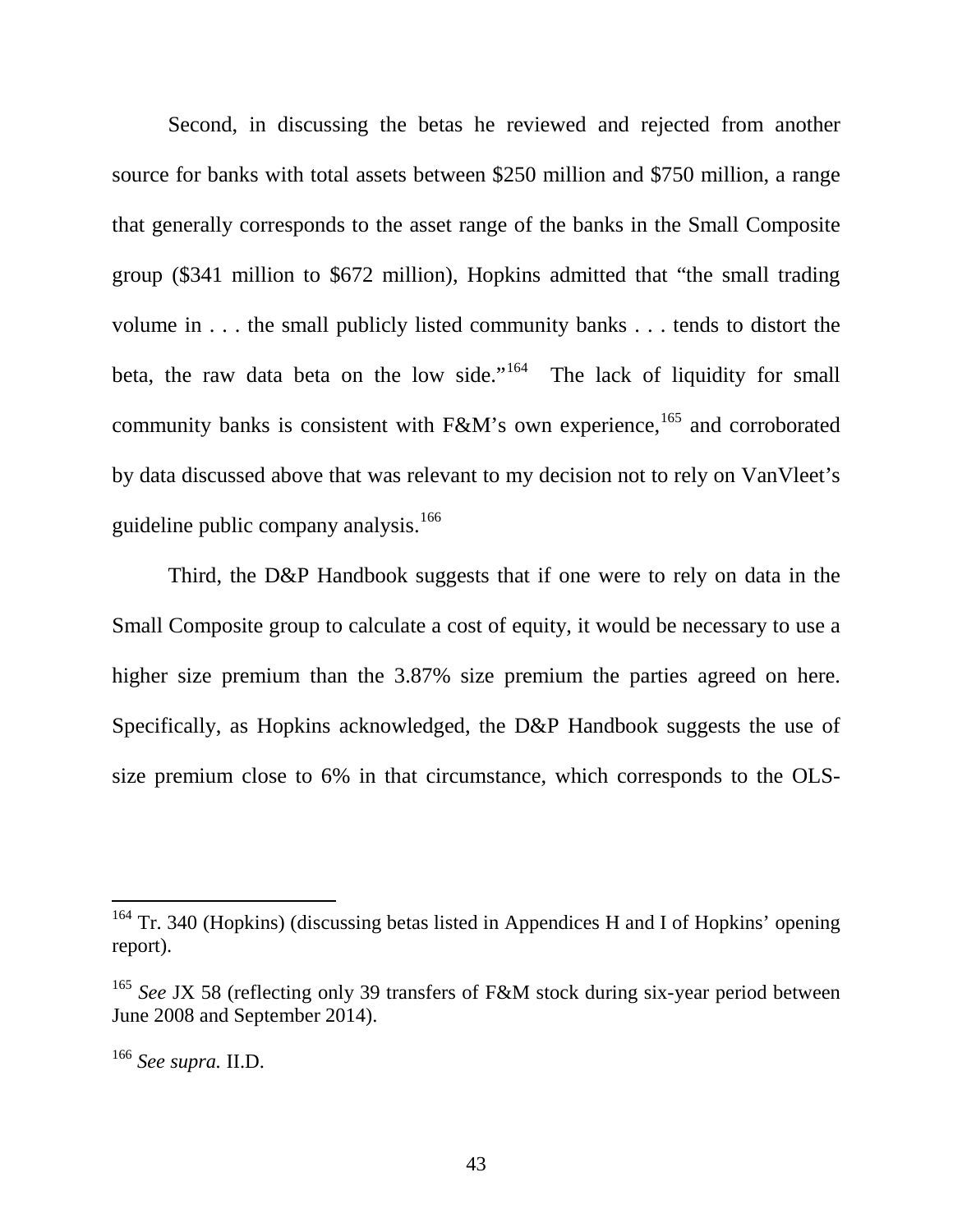Second, in discussing the betas he reviewed and rejected from another source for banks with total assets between \$250 million and \$750 million, a range that generally corresponds to the asset range of the banks in the Small Composite group (\$341 million to \$672 million), Hopkins admitted that "the small trading volume in . . . the small publicly listed community banks . . . tends to distort the beta, the raw data beta on the low side."<sup>[164](#page-43-0)</sup> The lack of liquidity for small community banks is consistent with F&M's own experience,<sup>[165](#page-43-1)</sup> and corroborated by data discussed above that was relevant to my decision not to rely on VanVleet's guideline public company analysis.<sup>166</sup>

Third, the D&P Handbook suggests that if one were to rely on data in the Small Composite group to calculate a cost of equity, it would be necessary to use a higher size premium than the 3.87% size premium the parties agreed on here. Specifically, as Hopkins acknowledged, the D&P Handbook suggests the use of size premium close to 6% in that circumstance, which corresponds to the OLS-

<span id="page-43-0"></span> $164$  Tr. 340 (Hopkins) (discussing betas listed in Appendices H and I of Hopkins' opening report).

<span id="page-43-1"></span><sup>&</sup>lt;sup>165</sup> See JX 58 (reflecting only 39 transfers of F&M stock during six-year period between June 2008 and September 2014).

<span id="page-43-2"></span><sup>166</sup> *See supra.* II.D.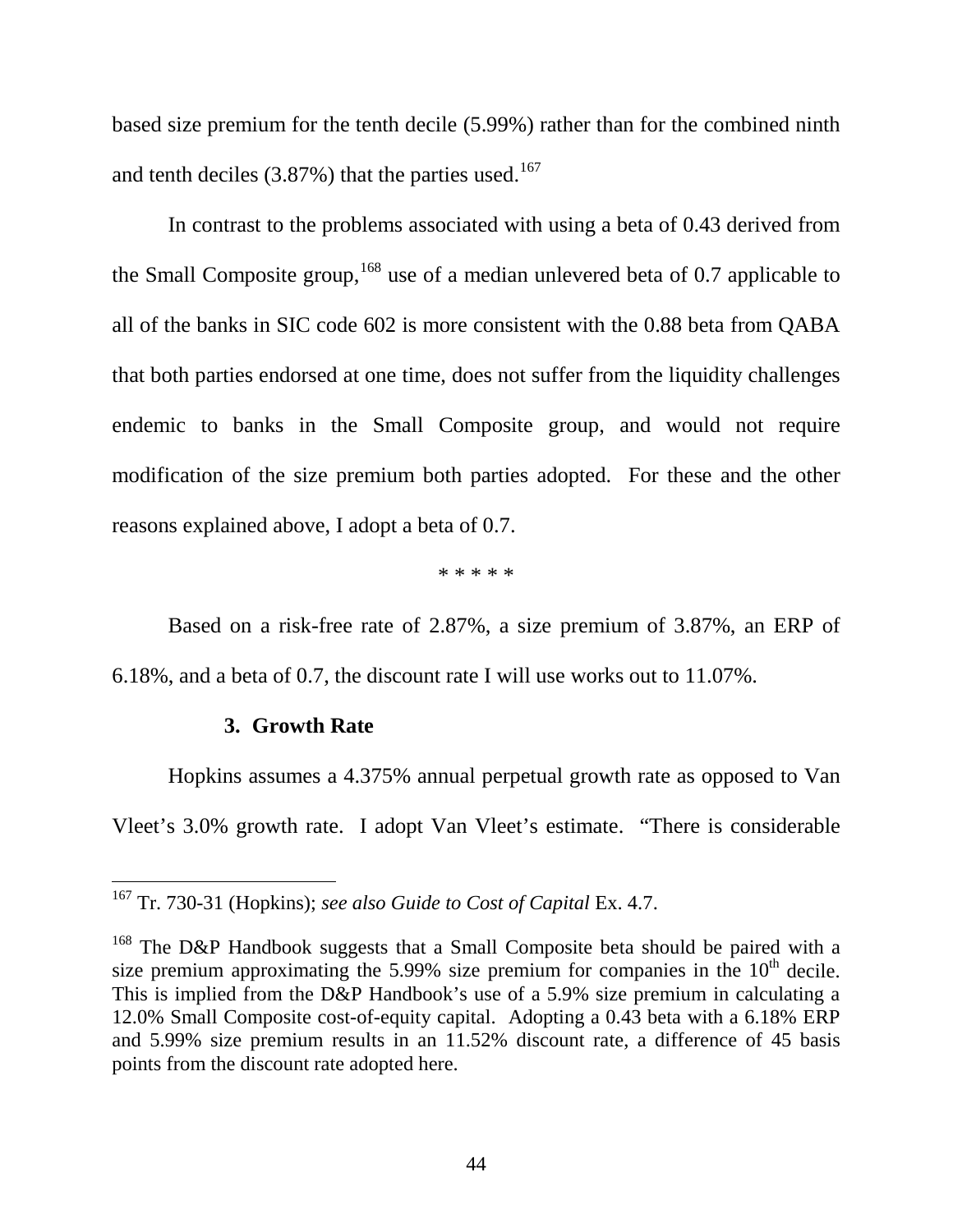based size premium for the tenth decile (5.99%) rather than for the combined ninth and tenth deciles  $(3.87%)$  that the parties used.<sup>[167](#page-44-0)</sup>

In contrast to the problems associated with using a beta of 0.43 derived from the Small Composite group,  $^{168}$  $^{168}$  $^{168}$  use of a median unlevered beta of 0.7 applicable to all of the banks in SIC code 602 is more consistent with the 0.88 beta from QABA that both parties endorsed at one time, does not suffer from the liquidity challenges endemic to banks in the Small Composite group, and would not require modification of the size premium both parties adopted. For these and the other reasons explained above, I adopt a beta of 0.7.

\* \* \* \* \*

Based on a risk-free rate of 2.87%, a size premium of 3.87%, an ERP of 6.18%, and a beta of 0.7, the discount rate I will use works out to 11.07%.

### **3. Growth Rate**

 $\overline{a}$ 

Hopkins assumes a 4.375% annual perpetual growth rate as opposed to Van Vleet's 3.0% growth rate. I adopt Van Vleet's estimate. "There is considerable

<span id="page-44-0"></span><sup>167</sup> Tr. 730-31 (Hopkins); *see also Guide to Cost of Capital* Ex. 4.7.

<span id="page-44-1"></span> $168$  The D&P Handbook suggests that a Small Composite beta should be paired with a size premium approximating the 5.99% size premium for companies in the  $10<sup>th</sup>$  decile. This is implied from the D&P Handbook's use of a 5.9% size premium in calculating a 12.0% Small Composite cost-of-equity capital. Adopting a 0.43 beta with a 6.18% ERP and 5.99% size premium results in an 11.52% discount rate, a difference of 45 basis points from the discount rate adopted here.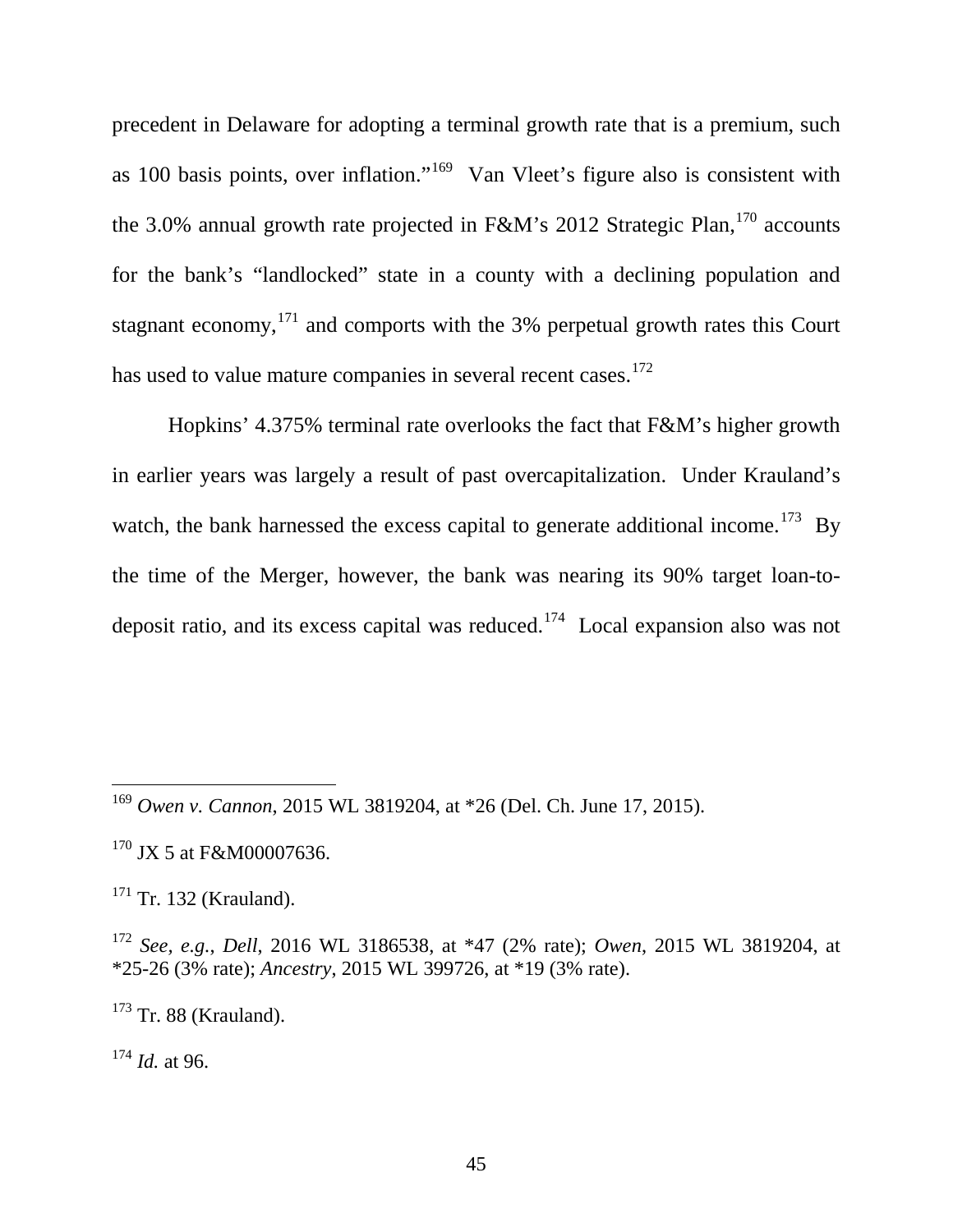precedent in Delaware for adopting a terminal growth rate that is a premium, such as 100 basis points, over inflation."[169](#page-45-0) Van Vleet's figure also is consistent with the 3.0% annual growth rate projected in F&M's 2012 Strategic Plan,  $170$  accounts for the bank's "landlocked" state in a county with a declining population and stagnant economy, $171$  and comports with the 3% perpetual growth rates this Court has used to value mature companies in several recent cases.<sup>[172](#page-45-3)</sup>

Hopkins' 4.375% terminal rate overlooks the fact that F&M's higher growth in earlier years was largely a result of past overcapitalization. Under Krauland's watch, the bank harnessed the excess capital to generate additional income.<sup>[173](#page-45-4)</sup> Bv the time of the Merger, however, the bank was nearing its 90% target loan-to-deposit ratio, and its excess capital was reduced.<sup>[174](#page-45-5)</sup> Local expansion also was not

<span id="page-45-4"></span> $173$  Tr. 88 (Krauland).

<span id="page-45-5"></span><sup>174</sup> *Id.* at 96.

<span id="page-45-0"></span><sup>169</sup> *Owen v. Cannon*, 2015 WL 3819204, at \*26 (Del. Ch. June 17, 2015).

<span id="page-45-1"></span><sup>&</sup>lt;sup>170</sup> JX 5 at F&M00007636.

<span id="page-45-2"></span> $171$  Tr. 132 (Krauland).

<span id="page-45-3"></span><sup>172</sup> *See, e.g.*, *Dell*, 2016 WL 3186538, at \*47 (2% rate); *Owen*, 2015 WL 3819204, at \*25-26 (3% rate); *Ancestry*, 2015 WL 399726, at \*19 (3% rate).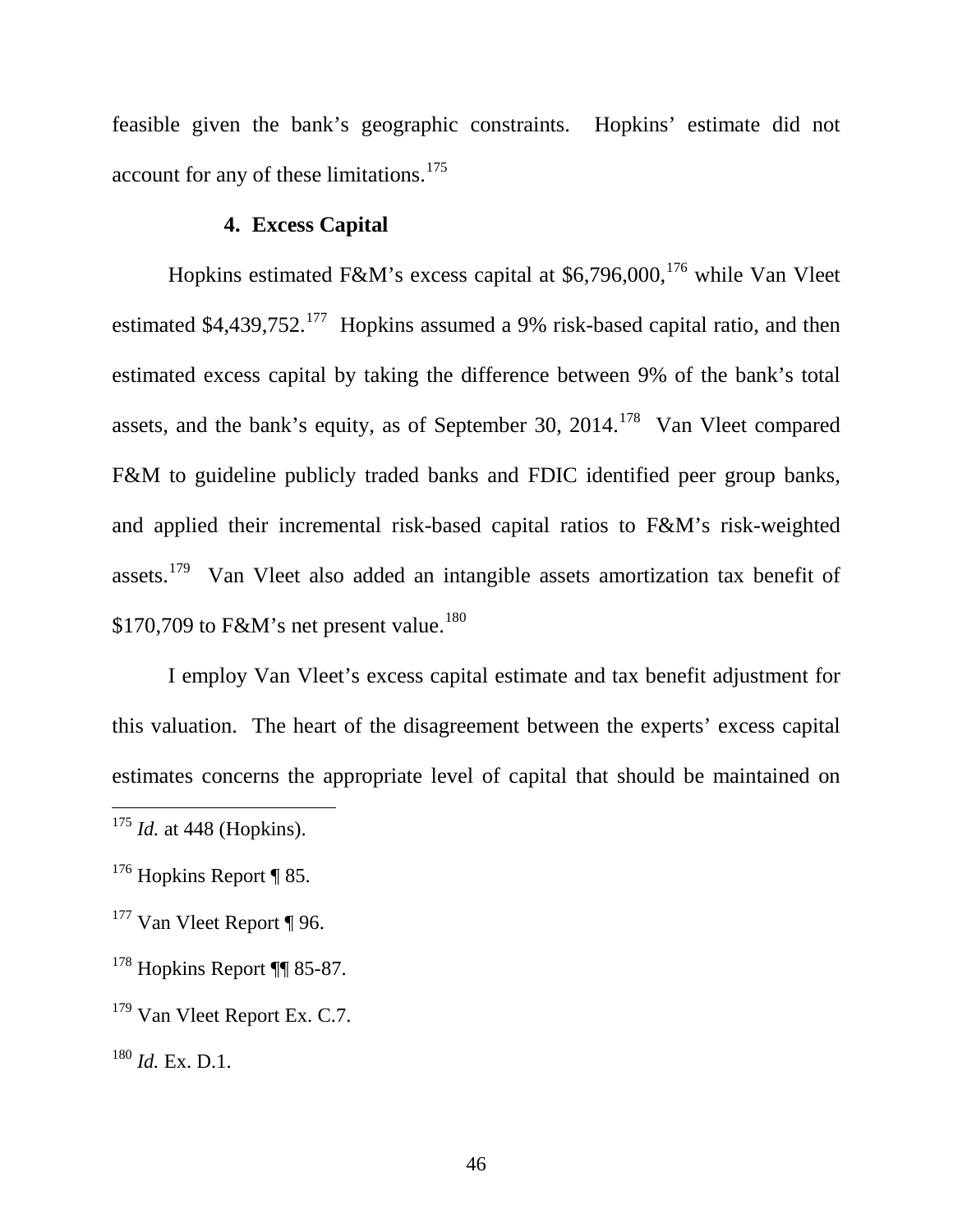feasible given the bank's geographic constraints. Hopkins' estimate did not account for any of these limitations.<sup>[175](#page-46-0)</sup>

# **4. Excess Capital**

Hopkins estimated F&M's excess capital at  $$6,796,000,176$  $$6,796,000,176$  while Van Vleet estimated  $$4,439,752$ <sup>[177](#page-46-2)</sup> Hopkins assumed a 9% risk-based capital ratio, and then estimated excess capital by taking the difference between 9% of the bank's total assets, and the bank's equity, as of September 30, 2014.<sup>178</sup> Van Vleet compared F&M to guideline publicly traded banks and FDIC identified peer group banks, and applied their incremental risk-based capital ratios to F&M's risk-weighted assets.[179](#page-46-4) Van Vleet also added an intangible assets amortization tax benefit of \$170,709 to F&M's net present value.<sup>[180](#page-46-5)</sup>

I employ Van Vleet's excess capital estimate and tax benefit adjustment for this valuation. The heart of the disagreement between the experts' excess capital estimates concerns the appropriate level of capital that should be maintained on

<span id="page-46-0"></span><sup>175</sup> *Id.* at 448 (Hopkins).

<span id="page-46-1"></span> $176$  Hopkins Report ¶ 85.

<span id="page-46-2"></span><sup>&</sup>lt;sup>177</sup> Van Vleet Report ¶ 96.

<span id="page-46-3"></span><sup>178</sup> Hopkins Report ¶¶ 85-87.

<span id="page-46-4"></span><sup>&</sup>lt;sup>179</sup> Van Vleet Report Ex. C.7.

<span id="page-46-5"></span><sup>180</sup> *Id.* Ex. D.1.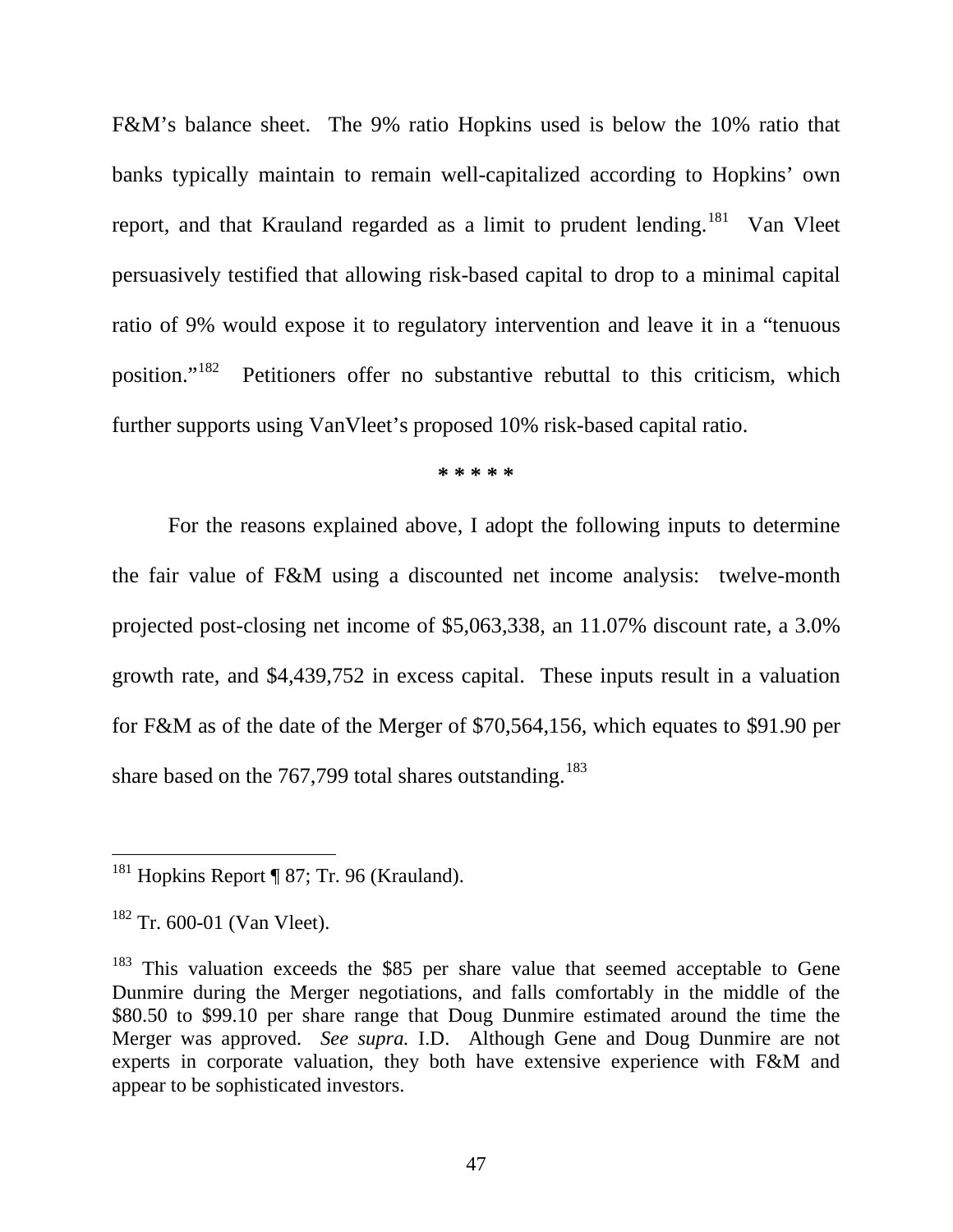F&M's balance sheet. The 9% ratio Hopkins used is below the 10% ratio that banks typically maintain to remain well-capitalized according to Hopkins' own report, and that Krauland regarded as a limit to prudent lending.<sup>181</sup> Van Vleet persuasively testified that allowing risk-based capital to drop to a minimal capital ratio of 9% would expose it to regulatory intervention and leave it in a "tenuous position."[182](#page-47-1) Petitioners offer no substantive rebuttal to this criticism, which further supports using VanVleet's proposed 10% risk-based capital ratio.

**\* \* \* \* \*** 

For the reasons explained above, I adopt the following inputs to determine the fair value of F&M using a discounted net income analysis: twelve-month projected post-closing net income of \$5,063,338, an 11.07% discount rate, a 3.0% growth rate, and \$4,439,752 in excess capital. These inputs result in a valuation for F&M as of the date of the Merger of \$70,564,156, which equates to \$91.90 per share based on the  $767,799$  total shares outstanding.<sup>[183](#page-47-2)</sup>

<span id="page-47-0"></span><sup>&</sup>lt;sup>181</sup> Hopkins Report ¶ 87; Tr. 96 (Krauland).

<span id="page-47-1"></span> $182$  Tr. 600-01 (Van Vleet).

<span id="page-47-2"></span> $183$  This valuation exceeds the \$85 per share value that seemed acceptable to Gene Dunmire during the Merger negotiations, and falls comfortably in the middle of the \$80.50 to \$99.10 per share range that Doug Dunmire estimated around the time the Merger was approved. *See supra.* I.D. Although Gene and Doug Dunmire are not experts in corporate valuation, they both have extensive experience with F&M and appear to be sophisticated investors.